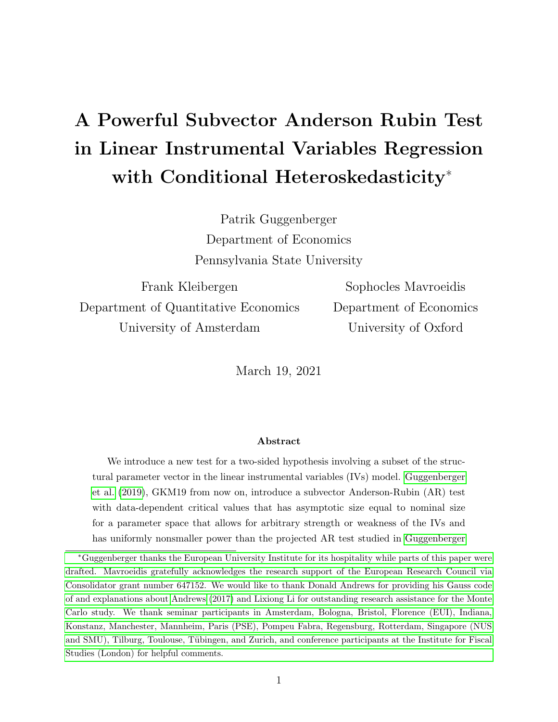# <span id="page-0-0"></span>A Powerful Subvector Anderson Rubin Test in Linear Instrumental Variables Regression with Conditional Heteroskedasticity<sup>∗</sup>

Patrik Guggenberger Department of Economics Pennsylvania State University

Frank Kleibergen Department of Quantitative Economics University of Amsterdam

Sophocles Mavroeidis Department of Economics University of Oxford

March 19, 2021

### Abstract

We introduce a new test for a two-sided hypothesis involving a subset of the structural parameter vector in the linear instrumental variables (IVs) model. [Guggenberger](#page-46-0) [et al.](#page-46-0) [\(2019\)](#page-46-0), GKM19 from now on, introduce a subvector Anderson-Rubin (AR) test with data-dependent critical values that has asymptotic size equal to nominal size for a parameter space that allows for arbitrary strength or weakness of the IVs and has uniformly nonsmaller power than the projected AR test studied in [Guggenberger](#page-46-1)

<sup>∗</sup>[Guggenberger thanks the European University Institute for its hospitality while parts of this paper were](#page-46-1) [drafted. Mavroeidis gratefully acknowledges the research support of the European Research Council via](#page-46-1) [Consolidator grant number 647152. We would like to thank Donald Andrews for providing his Gauss code](#page-46-1) [of and explanations about Andrews \(2017\) and Lixiong Li for outstanding research assistance for the Monte](#page-46-1) [Carlo study. We thank seminar participants in Amsterdam, Bologna, Bristol, Florence \(EUI\), Indiana,](#page-46-1) [Konstanz, Manchester, Mannheim, Paris \(PSE\), Pompeu Fabra, Regensburg, Rotterdam, Singapore \(NUS](#page-46-1) and SMU), Tilburg, Toulouse, Tübingen, and Zurich, and conference participants at the Institute for Fiscal [Studies \(London\) for helpful comments.](#page-46-1)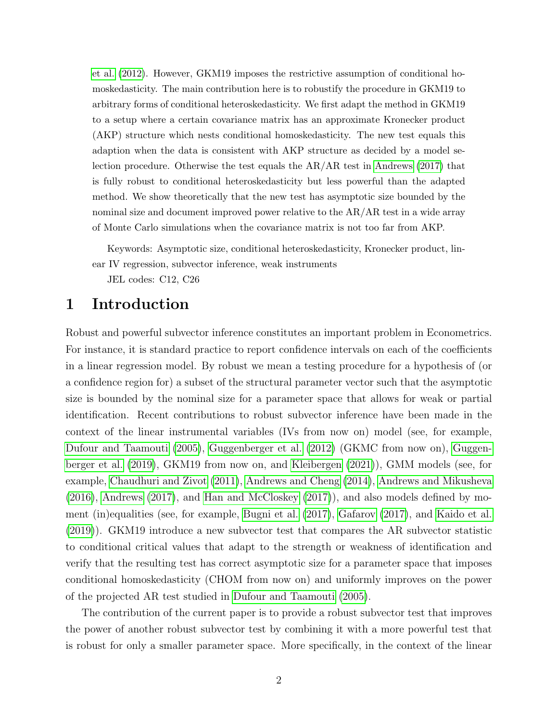[et al.](#page-46-1) [\(2012\)](#page-46-1). However, GKM19 imposes the restrictive assumption of conditional homoskedasticity. The main contribution here is to robustify the procedure in GKM19 to arbitrary forms of conditional heteroskedasticity. We first adapt the method in GKM19 to a setup where a certain covariance matrix has an approximate Kronecker product (AKP) structure which nests conditional homoskedasticity. The new test equals this adaption when the data is consistent with AKP structure as decided by a model selection procedure. Otherwise the test equals the AR/AR test in [Andrews](#page-45-0) [\(2017\)](#page-45-0) that is fully robust to conditional heteroskedasticity but less powerful than the adapted method. We show theoretically that the new test has asymptotic size bounded by the nominal size and document improved power relative to the AR/AR test in a wide array of Monte Carlo simulations when the covariance matrix is not too far from AKP.

Keywords: Asymptotic size, conditional heteroskedasticity, Kronecker product, linear IV regression, subvector inference, weak instruments JEL codes: C12, C26

### 1 Introduction

Robust and powerful subvector inference constitutes an important problem in Econometrics. For instance, it is standard practice to report confidence intervals on each of the coefficients in a linear regression model. By robust we mean a testing procedure for a hypothesis of (or a confidence region for) a subset of the structural parameter vector such that the asymptotic size is bounded by the nominal size for a parameter space that allows for weak or partial identification. Recent contributions to robust subvector inference have been made in the context of the linear instrumental variables (IVs from now on) model (see, for example, [Dufour and Taamouti \(2005\)](#page-46-2), [Guggenberger et al. \(2012\)](#page-46-1) (GKMC from now on), [Guggen](#page-46-0)[berger et al. \(2019\)](#page-46-0), GKM19 from now on, and [Kleibergen \(2021\)](#page-47-0)), GMM models (see, for example, [Chaudhuri and Zivot \(2011\)](#page-46-3), [Andrews and Cheng \(2014\)](#page-45-1), [Andrews and Mikusheva](#page-46-4) [\(2016\)](#page-46-4), [Andrews \(2017\)](#page-45-0), and [Han and McCloskey \(2017\)](#page-46-5)), and also models defined by moment (in)equalities (see, for example, [Bugni et al. \(2017\)](#page-46-6), [Gafarov \(2017\)](#page-46-7), and [Kaido et al.](#page-46-8) [\(2019\)](#page-46-8)). GKM19 introduce a new subvector test that compares the AR subvector statistic to conditional critical values that adapt to the strength or weakness of identification and verify that the resulting test has correct asymptotic size for a parameter space that imposes conditional homoskedasticity (CHOM from now on) and uniformly improves on the power of the projected AR test studied in [Dufour and Taamouti \(2005\)](#page-46-2).

The contribution of the current paper is to provide a robust subvector test that improves the power of another robust subvector test by combining it with a more powerful test that is robust for only a smaller parameter space. More specifically, in the context of the linear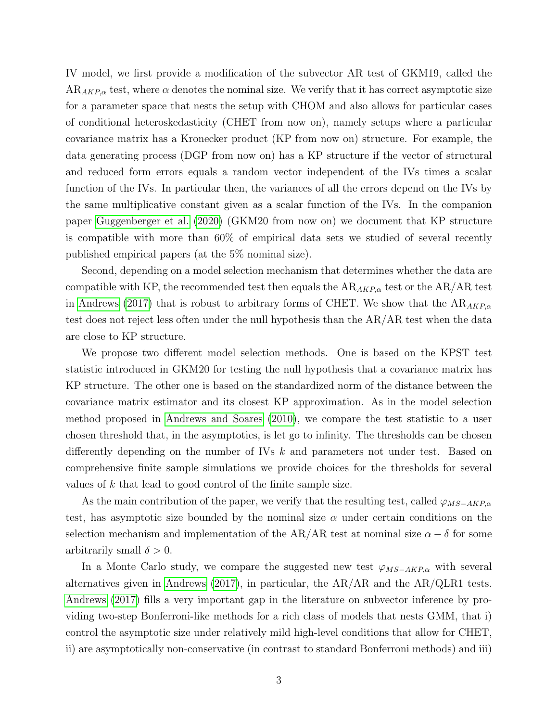IV model, we first provide a modification of the subvector AR test of GKM19, called the  $AR_{AKP,\alpha}$  test, where  $\alpha$  denotes the nominal size. We verify that it has correct asymptotic size for a parameter space that nests the setup with CHOM and also allows for particular cases of conditional heteroskedasticity (CHET from now on), namely setups where a particular covariance matrix has a Kronecker product (KP from now on) structure. For example, the data generating process (DGP from now on) has a KP structure if the vector of structural and reduced form errors equals a random vector independent of the IVs times a scalar function of the IVs. In particular then, the variances of all the errors depend on the IVs by the same multiplicative constant given as a scalar function of the IVs. In the companion paper [Guggenberger et al. \(2020\)](#page-46-9) (GKM20 from now on) we document that KP structure is compatible with more than 60% of empirical data sets we studied of several recently published empirical papers (at the 5% nominal size).

Second, depending on a model selection mechanism that determines whether the data are compatible with KP, the recommended test then equals the  $AR_{AKP,\alpha}$  test or the  $AR/AR$  test in [Andrews \(2017\)](#page-45-0) that is robust to arbitrary forms of CHET. We show that the  $AR_{AKP,\alpha}$ test does not reject less often under the null hypothesis than the AR/AR test when the data are close to KP structure.

We propose two different model selection methods. One is based on the KPST test statistic introduced in GKM20 for testing the null hypothesis that a covariance matrix has KP structure. The other one is based on the standardized norm of the distance between the covariance matrix estimator and its closest KP approximation. As in the model selection method proposed in [Andrews and Soares \(2010\)](#page-46-10), we compare the test statistic to a user chosen threshold that, in the asymptotics, is let go to infinity. The thresholds can be chosen differently depending on the number of IVs k and parameters not under test. Based on comprehensive finite sample simulations we provide choices for the thresholds for several values of k that lead to good control of the finite sample size.

As the main contribution of the paper, we verify that the resulting test, called  $\varphi_{MS-AKP,\alpha}$ test, has asymptotic size bounded by the nominal size  $\alpha$  under certain conditions on the selection mechanism and implementation of the AR/AR test at nominal size  $\alpha - \delta$  for some arbitrarily small  $\delta > 0$ .

In a Monte Carlo study, we compare the suggested new test  $\varphi_{MS-AKP,\alpha}$  with several alternatives given in [Andrews \(2017\)](#page-45-0), in particular, the AR/AR and the AR/QLR1 tests. [Andrews \(2017\)](#page-45-0) fills a very important gap in the literature on subvector inference by providing two-step Bonferroni-like methods for a rich class of models that nests GMM, that i) control the asymptotic size under relatively mild high-level conditions that allow for CHET, ii) are asymptotically non-conservative (in contrast to standard Bonferroni methods) and iii)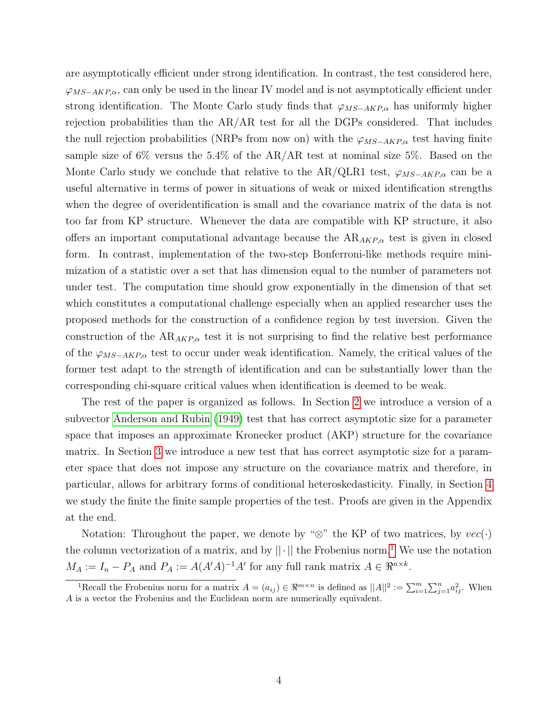are asymptotically efficient under strong identification. In contrast, the test considered here,  $\varphi_{MS-AKP,\alpha}$ , can only be used in the linear IV model and is not asymptotically efficient under strong identification. The Monte Carlo study finds that  $\varphi_{MS-AKP,\alpha}$  has uniformly higher rejection probabilities than the  $AR/AR$  test for all the DGPs considered. That includes the null rejection probabilities (NRPs from now on) with the  $\varphi_{MS-AKP,\alpha}$  test having finite sample size of 6% versus the 5.4% of the AR/AR test at nominal size 5%. Based on the Monte Carlo study we conclude that relative to the AR/QLR1 test,  $\varphi_{MS-AKP,\alpha}$  can be a useful alternative in terms of power in situations of weak or mixed identification strengths when the degree of overidentification is small and the covariance matrix of the data is not too far from KP structure. Whenever the data are compatible with KP structure, it also offers an important computational advantage because the  $AR_{AKP,\alpha}$  test is given in closed form. In contrast, implementation of the two-step Bonferroni-like methods require minimization of a statistic over a set that has dimension equal to the number of parameters not under test. The computation time should grow exponentially in the dimension of that set which constitutes a computational challenge especially when an applied researcher uses the proposed methods for the construction of a confidence region by test inversion. Given the construction of the  $AR_{AKP,\alpha}$  test it is not surprising to find the relative best performance of the  $\varphi_{MS-AKP,\alpha}$  test to occur under weak identification. Namely, the critical values of the former test adapt to the strength of identification and can be substantially lower than the corresponding chi-square critical values when identification is deemed to be weak.

The rest of the paper is organized as follows. In Section [2](#page-4-0) we introduce a version of a subvector [Anderson and Rubin \(1949\)](#page-45-2) test that has correct asymptotic size for a parameter space that imposes an approximate Kronecker product (AKP) structure for the covariance matrix. In Section [3](#page-11-0) we introduce a new test that has correct asymptotic size for a parameter space that does not impose any structure on the covariance matrix and therefore, in particular, allows for arbitrary forms of conditional heteroskedasticity. Finally, in Section [4](#page-20-0) we study the finite the finite sample properties of the test. Proofs are given in the Appendix at the end.

Notation: Throughout the paper, we denote by " $\otimes$ " the KP of two matrices, by  $vec(\cdot)$ the column vectorization of a matrix, and by  $||\cdot||$  the Frobenius norm.<sup>[1](#page-0-0)</sup> We use the notation  $M_A := I_n - P_A$  and  $P_A := A(A'A)^{-1}A'$  for any full rank matrix  $A \in \mathbb{R}^{n \times k}$ .

<sup>&</sup>lt;sup>1</sup>Recall the Frobenius norm for a matrix  $A = (a_{ij}) \in \Re^{m \times n}$  is defined as  $||A||^2 := \sum_{i=1}^m \sum_{j=1}^n a_{ij}^2$ . When A is a vector the Frobenius and the Euclidean norm are numerically equivalent.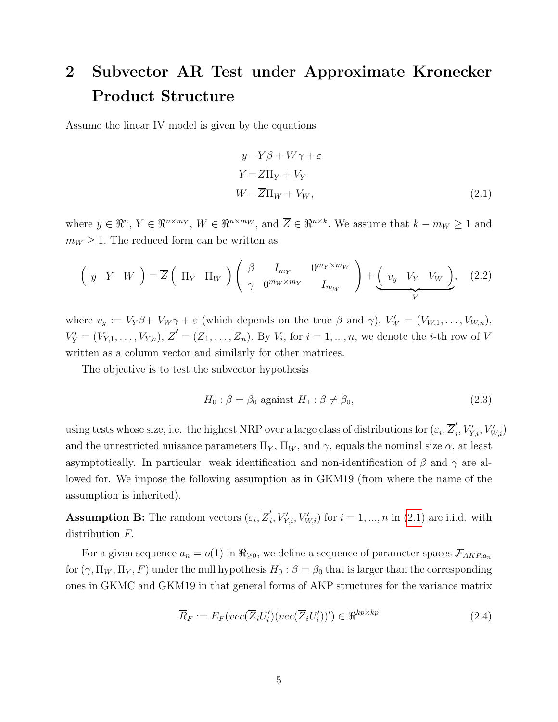# <span id="page-4-0"></span>2 Subvector AR Test under Approximate Kronecker Product Structure

Assume the linear IV model is given by the equations

<span id="page-4-1"></span>
$$
y = Y\beta + W\gamma + \varepsilon
$$
  
\n
$$
Y = \overline{Z}\Pi_Y + V_Y
$$
  
\n
$$
W = \overline{Z}\Pi_W + V_W,
$$
\n(2.1)

where  $y \in \mathbb{R}^n$ ,  $Y \in \mathbb{R}^{n \times m_Y}$ ,  $W \in \mathbb{R}^{n \times m_W}$ , and  $\overline{Z} \in \mathbb{R}^{n \times k}$ . We assume that  $k - m_W \ge 1$  and  $m_W \geq 1$ . The reduced form can be written as

$$
\left(y Y W\right) = \overline{Z} \left(\Pi_Y \Pi_W\right) \left(\begin{array}{cc} \beta & I_{m_Y} & 0^{m_Y \times m_W} \\ \gamma & 0^{m_W \times m_Y} & I_{m_W} \end{array}\right) + \underbrace{\left(\begin{array}{cc} v_y & V_Y & V_W \end{array}\right)}_{V}, \quad (2.2)
$$

where  $v_y := V_Y \beta + V_W \gamma + \varepsilon$  (which depends on the true  $\beta$  and  $\gamma$ ),  $V'_W = (V_{W,1}, \ldots, V_{W,n})$ ,  $V'_Y = (V_{Y,1}, \ldots, V_{Y,n}), \overline{Z}' = (\overline{Z}_1, \ldots, \overline{Z}_n).$  By  $V_i$ , for  $i = 1, \ldots, n$ , we denote the *i*-th row of V written as a column vector and similarly for other matrices.

The objective is to test the subvector hypothesis

<span id="page-4-2"></span>
$$
H_0: \beta = \beta_0 \text{ against } H_1: \beta \neq \beta_0,\tag{2.3}
$$

using tests whose size, i.e. the highest NRP over a large class of distributions for  $(\varepsilon_i, \overline{Z}'_i)$  $'_{i}, V'_{Y,i}, V'_{W,i}$ and the unrestricted nuisance parameters  $\Pi_Y$ ,  $\Pi_W$ , and  $\gamma$ , equals the nominal size  $\alpha$ , at least asymptotically. In particular, weak identification and non-identification of  $\beta$  and  $\gamma$  are allowed for. We impose the following assumption as in GKM19 (from where the name of the assumption is inherited).

**Assumption B:** The random vectors  $(\varepsilon_i, \overline{Z}'_i)$  $i, V'_{Y,i}, V'_{W,i}$  for  $i = 1, ..., n$  in [\(2.1\)](#page-4-1) are i.i.d. with distribution F.

For a given sequence  $a_n = o(1)$  in  $\Re_{\geq 0}$ , we define a sequence of parameter spaces  $\mathcal{F}_{AKP,a_n}$ for  $(\gamma, \Pi_W, \Pi_Y, F)$  under the null hypothesis  $H_0 : \beta = \beta_0$  that is larger than the corresponding ones in GKMC and GKM19 in that general forms of AKP structures for the variance matrix

$$
\overline{R}_F := E_F(\text{vec}(\overline{Z}_i U_i') (\text{vec}(\overline{Z}_i U_i'))') \in \mathfrak{R}^{kp \times kp} \tag{2.4}
$$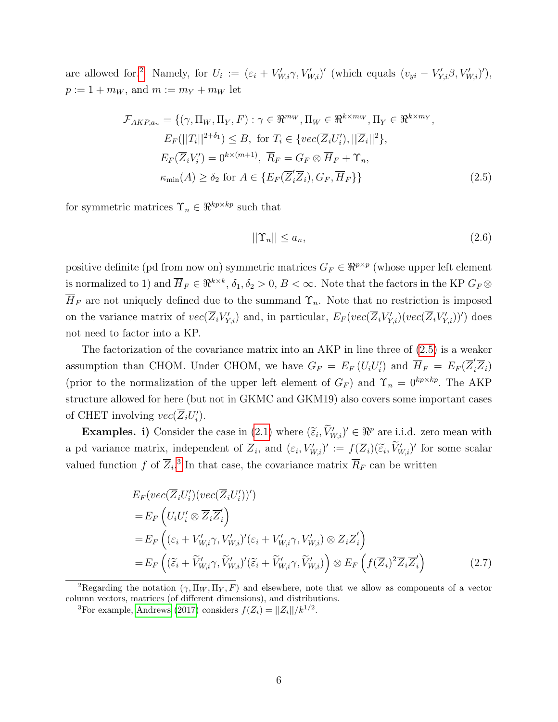are allowed for.<sup>[2](#page-0-0)</sup> Namely, for  $U_i := (\varepsilon_i + V'_{W,i} \gamma, V'_{W,i})'$  (which equals  $(v_{yi} - V'_{Y,i} \beta, V'_{W,i})'$ ),  $p := 1 + m_W$ , and  $m := m_Y + m_W$  let

$$
\mathcal{F}_{AKP,a_n} = \{ (\gamma, \Pi_W, \Pi_Y, F) : \gamma \in \mathbb{R}^{m_W}, \Pi_W \in \mathbb{R}^{k \times m_W}, \Pi_Y \in \mathbb{R}^{k \times m_Y},
$$
  
\n
$$
E_F(||T_i||^{2+\delta_1}) \leq B, \text{ for } T_i \in \{vec(\{Z_i U_i\}), ||\overline{Z}_i||^2 \},
$$
  
\n
$$
E_F(\overline{Z}_i V_i') = 0^{k \times (m+1)}, \overline{R}_F = G_F \otimes \overline{H}_F + \Upsilon_n,
$$
  
\n
$$
\kappa_{\min}(A) \geq \delta_2 \text{ for } A \in \{E_F(\overline{Z}_i' \overline{Z}_i), G_F, \overline{H}_F \} \}
$$
\n(2.5)

for symmetric matrices  $\Upsilon_n \in \Re^{kp \times kp}$  such that

<span id="page-5-0"></span>
$$
||\Upsilon_n|| \le a_n,\tag{2.6}
$$

positive definite (pd from now on) symmetric matrices  $G_F \in \mathbb{R}^{p \times p}$  (whose upper left element is normalized to 1) and  $\overline{H}_F \in \Re^{k \times k}, \delta_1, \delta_2 > 0, B < \infty$ . Note that the factors in the KP  $G_F \otimes$  $\overline{H}_F$  are not uniquely defined due to the summand  $\Upsilon_n$ . Note that no restriction is imposed on the variance matrix of  $vec(\{\overline{Z}_i V'_{Y,i}})$  and, in particular,  $E_F (vec(\{\overline{Z}_i V'_{Y,i}}) (vec(\{\overline{Z}_i V'_{Y,i}}))')$  does not need to factor into a KP.

The factorization of the covariance matrix into an AKP in line three of [\(2.5\)](#page-5-0) is a weaker assumption than CHOM. Under CHOM, we have  $G_F = E_F (U_i U_i')$  and  $\overline{H}_F = E_F (\overline{Z}_i' \overline{Z}_i)$ (prior to the normalization of the upper left element of  $G_F$ ) and  $\Upsilon_n = 0^{kp \times kp}$ . The AKP structure allowed for here (but not in GKMC and GKM19) also covers some important cases of CHET involving  $vec(\{\overline{Z}_i U'_i})$ .

**Examples.** i) Consider the case in [\(2.1\)](#page-4-1) where  $(\tilde{\epsilon}_i, \tilde{V}'_{W,i})' \in \mathbb{R}^p$  are i.i.d. zero mean with a pd variance matrix, independent of  $\overline{Z}_i$ , and  $(\varepsilon_i, V'_{W,i})' := f(\overline{Z}_i)(\widetilde{\varepsilon}_i, V'_{W,i})'$  for some scalar valued function f of  $\overline{Z}_i$ .<sup>[3](#page-0-0)</sup> In that case, the covariance matrix  $\overline{R}_F$  can be written

$$
E_F(vec(\overline{Z}_i U_i')(vec(\overline{Z}_i U_i'))')
$$
  
\n
$$
= E_F \left( U_i U_i' \otimes \overline{Z}_i \overline{Z}_i' \right)
$$
  
\n
$$
= E_F \left( (\varepsilon_i + V_{W,i}' \gamma, V_{W,i}')' (\varepsilon_i + V_{W,i}' \gamma, V_{W,i}') \otimes \overline{Z}_i \overline{Z}_i' \right)
$$
  
\n
$$
= E_F \left( (\widetilde{\varepsilon}_i + \widetilde{V}_{W,i}' \gamma, \widetilde{V}_{W,i}')' (\widetilde{\varepsilon}_i + \widetilde{V}_{W,i}' \gamma, \widetilde{V}_{W,i}') \right) \otimes E_F \left( f(\overline{Z}_i)^2 \overline{Z}_i \overline{Z}_i' \right)
$$
(2.7)

<sup>&</sup>lt;sup>2</sup>Regarding the notation  $(\gamma, \Pi_W, \Pi_Y, F)$  and elsewhere, note that we allow as components of a vector column vectors, matrices (of different dimensions), and distributions.

<sup>&</sup>lt;sup>3</sup>For example, [Andrews](#page-45-0) [\(2017\)](#page-45-0) considers  $f(Z_i) = ||Z_i||/k^{1/2}$ .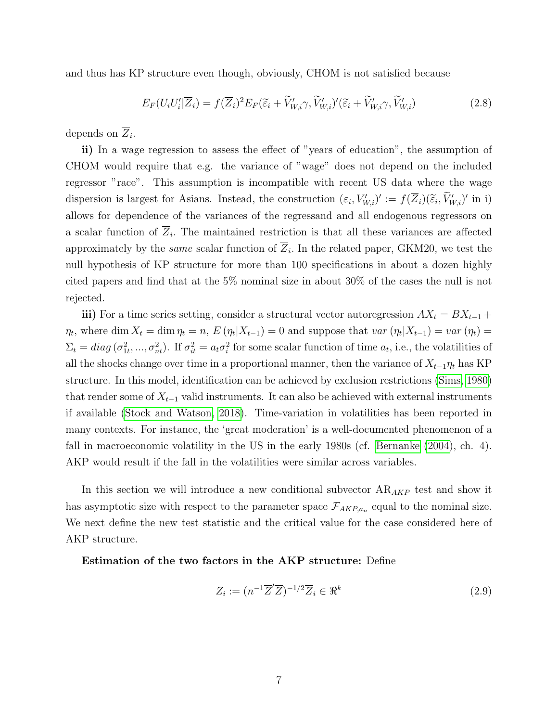and thus has KP structure even though, obviously, CHOM is not satisfied because

$$
E_F(U_iU_i'|\overline{Z}_i) = f(\overline{Z}_i)^2 E_F(\widetilde{\varepsilon}_i + \widetilde{V}'_{W,i}\gamma, \widetilde{V}'_{W,i})'(\widetilde{\varepsilon}_i + \widetilde{V}'_{W,i}\gamma, \widetilde{V}'_{W,i})
$$
\n(2.8)

depends on  $\overline{Z}_i$ .

ii) In a wage regression to assess the effect of "years of education", the assumption of CHOM would require that e.g. the variance of "wage" does not depend on the included regressor "race". This assumption is incompatible with recent US data where the wage dispersion is largest for Asians. Instead, the construction  $(\varepsilon_i, V'_{W,i})' := f(\overline{Z}_i)(\widetilde{\varepsilon}_i, V'_{W,i})'$  in i) allows for dependence of the variances of the regressand and all endogenous regressors on a scalar function of  $\overline{Z}_i$ . The maintained restriction is that all these variances are affected approximately by the *same* scalar function of  $Z_i$ . In the related paper, GKM20, we test the null hypothesis of KP structure for more than 100 specifications in about a dozen highly cited papers and find that at the 5% nominal size in about 30% of the cases the null is not rejected.

iii) For a time series setting, consider a structural vector autoregression  $AX_t = BX_{t-1}$  +  $\eta_t$ , where dim  $X_t = \dim \eta_t = n$ ,  $E(\eta_t | X_{t-1}) = 0$  and suppose that  $var(\eta_t | X_{t-1}) = var(\eta_t) =$  $\Sigma_t = diag(\sigma_{1t}^2, ..., \sigma_{nt}^2)$ . If  $\sigma_{it}^2 = a_t \sigma_i^2$  for some scalar function of time  $a_t$ , i.e., the volatilities of all the shocks change over time in a proportional manner, then the variance of  $X_{t-1}\eta_t$  has KP structure. In this model, identification can be achieved by exclusion restrictions [\(Sims, 1980\)](#page-47-1) that render some of  $X_{t-1}$  valid instruments. It can also be achieved with external instruments if available [\(Stock and Watson, 2018\)](#page-47-2). Time-variation in volatilities has been reported in many contexts. For instance, the 'great moderation' is a well-documented phenomenon of a fall in macroeconomic volatility in the US in the early 1980s (cf. Bernanke  $(2004)$ , ch. 4). AKP would result if the fall in the volatilities were similar across variables.

In this section we will introduce a new conditional subvector  $AR_{AKP}$  test and show it has asymptotic size with respect to the parameter space  $\mathcal{F}_{AKP,a_n}$  equal to the nominal size. We next define the new test statistic and the critical value for the case considered here of AKP structure.

Estimation of the two factors in the AKP structure: Define

<span id="page-6-0"></span>
$$
Z_i := (n^{-1}\overline{Z}'\overline{Z})^{-1/2}\overline{Z}_i \in \Re^k \tag{2.9}
$$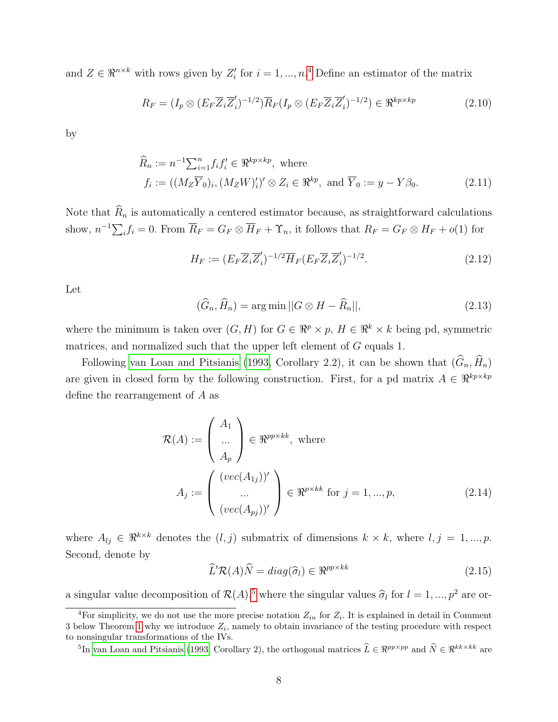and  $Z \in \mathbb{R}^{n \times k}$  with rows given by  $Z_i'$  for  $i = 1, ..., n$ .<sup>[4](#page-0-0)</sup> Define an estimator of the matrix

<span id="page-7-2"></span>
$$
R_F = (I_p \otimes (E_F \overline{Z}_i \overline{Z}'_i)^{-1/2}) \overline{R}_F (I_p \otimes (E_F \overline{Z}_i \overline{Z}'_i)^{-1/2}) \in \Re^{kp \times kp}
$$
(2.10)

by

$$
\widehat{R}_n := n^{-1} \sum_{i=1}^n f_i f'_i \in \mathfrak{R}^{kp \times kp}, \text{ where}
$$
\n
$$
f_i := ((M_Z \overline{Y}_0)_i, (M_Z W)'_i)' \otimes Z_i \in \mathfrak{R}^{kp}, \text{ and } \overline{Y}_0 := y - Y \beta_0.
$$
\n(2.11)

Note that  $\widehat{R}_n$  is automatically a centered estimator because, as straightforward calculations show,  $n^{-1}\sum_i f_i = 0$ . From  $\overline{R}_F = G_F \otimes \overline{H}_F + \Upsilon_n$ , it follows that  $R_F = G_F \otimes H_F + o(1)$  for

<span id="page-7-4"></span><span id="page-7-3"></span>
$$
H_F := (E_F \overline{Z}_i \overline{Z}'_i)^{-1/2} \overline{H}_F (E_F \overline{Z}_i \overline{Z}'_i)^{-1/2}.
$$
\n(2.12)

Let

<span id="page-7-1"></span>
$$
(\widehat{G}_n, \widehat{H}_n) = \arg\min ||G \otimes H - \widehat{R}_n||, \tag{2.13}
$$

where the minimum is taken over  $(G, H)$  for  $G \in \mathbb{R}^p \times p$ ,  $H \in \mathbb{R}^k \times k$  being pd, symmetric matrices, and normalized such that the upper left element of G equals 1.

Following [van Loan and Pitsianis \(1993,](#page-47-3) Corollary 2.2), it can be shown that  $(\widehat{G}_n, \widehat{H}_n)$ are given in closed form by the following construction. First, for a pd matrix  $A \in \mathbb{R}^{kp \times kp}$ define the rearrangement of A as

$$
\mathcal{R}(A) := \begin{pmatrix} A_1 \\ \dots \\ A_p \end{pmatrix} \in \mathfrak{R}^{pp \times kk}, \text{ where}
$$

$$
A_j := \begin{pmatrix} (vec(A_{1j}))' \\ \dots \\ (vec(A_{pj}))' \end{pmatrix} \in \mathfrak{R}^{p \times kk} \text{ for } j = 1, ..., p,
$$
(2.14)

where  $A_{lj} \in \mathbb{R}^{k \times k}$  denotes the  $(l, j)$  submatrix of dimensions  $k \times k$ , where  $l, j = 1, ..., p$ . Second, denote by

<span id="page-7-0"></span>
$$
\widehat{L}'\mathcal{R}(A)\widehat{N} = diag(\widehat{\sigma}_l) \in \mathfrak{R}^{pp \times kk}
$$
\n(2.15)

a singular value decomposition of  $\mathcal{R}(A)$ ,<sup>[5](#page-0-0)</sup> where the singular values  $\hat{\sigma}_l$  for  $l = 1, ..., p^2$  are or-

<sup>5</sup>In [van Loan and Pitsianis](#page-47-3) [\(1993,](#page-47-3) Corollary 2), the orthogonal matrices  $\hat{L} \in \mathbb{R}^{pp \times pp}$  and  $\hat{N} \in \mathbb{R}^{kk \times kk}$  are

<sup>&</sup>lt;sup>4</sup>For simplicity, we do not use the more precise notation  $Z_{in}$  for  $Z_i$ . It is explained in detail in Comment 3 below Theorem [1](#page-9-0) why we introduce  $Z_i$ , namely to obtain invariance of the testing procedure with respect to nonsingular transformations of the IVs.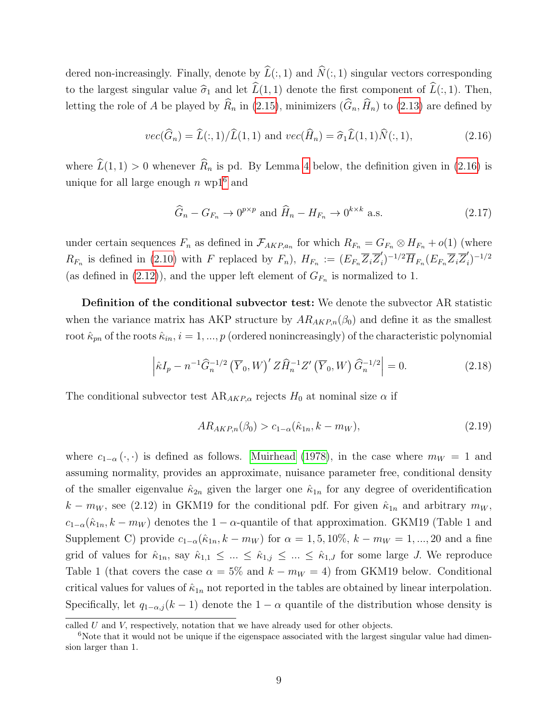dered non-increasingly. Finally, denote by  $\widehat{L}(:, 1)$  and  $\widehat{N}(:, 1)$  singular vectors corresponding to the largest singular value  $\hat{\sigma}_1$  and let  $\hat{L}(1, 1)$  denote the first component of  $\hat{L}(:, 1)$ . Then, letting the role of A be played by  $\widehat{R}_n$  in [\(2.15\)](#page-7-0), minimizers  $(\widehat{G}_n, \widehat{H}_n)$  to [\(2.13\)](#page-7-1) are defined by

<span id="page-8-0"></span>
$$
vec(\widehat{G}_n) = \widehat{L}(:,1)/\widehat{L}(1,1) \text{ and } vec(\widehat{H}_n) = \widehat{\sigma}_1 \widehat{L}(1,1)\widehat{N}(:,1),
$$
\n(2.16)

where  $\hat{L}(1, 1) > 0$  whenever  $\hat{R}_n$  is pd. By Lemma [4](#page-34-0) below, the definition given in [\(2.16\)](#page-8-0) is unique for all large enough  $n \text{ wp1}^6$  $n \text{ wp1}^6$  and

$$
\widehat{G}_n - G_{F_n} \to 0^{p \times p} \text{ and } \widehat{H}_n - H_{F_n} \to 0^{k \times k} \text{ a.s.}
$$
\n(2.17)

under certain sequences  $F_n$  as defined in  $\mathcal{F}_{AKP,a_n}$  for which  $R_{F_n} = G_{F_n} \otimes H_{F_n} + o(1)$  (where  $R_{F_n}$  is defined in [\(2.10\)](#page-7-2) with F replaced by  $F_n$ ),  $H_{F_n} := (E_{F_n} \overline{Z}_i \overline{Z}'_i)$  $\overline{H}_{F_n}(E_{F_n}\overline{Z}_i\overline{Z}_i')$  $i)^{-1/2}$ (as defined in [\(2.12\)](#page-7-3)), and the upper left element of  $G_{F_n}$  is normalized to 1.

Definition of the conditional subvector test: We denote the subvector AR statistic when the variance matrix has AKP structure by  $AR_{AKP,n}(\beta_0)$  and define it as the smallest root  $\hat{\kappa}_{pn}$  of the roots  $\hat{\kappa}_{in}$ ,  $i = 1, ..., p$  (ordered nonincreasingly) of the characteristic polynomial

<span id="page-8-2"></span>
$$
\left| \hat{\kappa} I_p - n^{-1} \hat{G}_n^{-1/2} \left( \overline{Y}_0, W \right)' Z \hat{H}_n^{-1} Z' \left( \overline{Y}_0, W \right) \hat{G}_n^{-1/2} \right| = 0. \tag{2.18}
$$

The conditional subvector test  $AR_{AKP,\alpha}$  rejects  $H_0$  at nominal size  $\alpha$  if

<span id="page-8-1"></span>
$$
AR_{AKP,n}(\beta_0) > c_{1-\alpha}(\hat{\kappa}_{1n}, k - m_W), \tag{2.19}
$$

where  $c_{1-\alpha}(\cdot, \cdot)$  is defined as follows. [Muirhead \(1978\)](#page-47-4), in the case where  $m_W = 1$  and assuming normality, provides an approximate, nuisance parameter free, conditional density of the smaller eigenvalue  $\hat{\kappa}_{2n}$  given the larger one  $\hat{\kappa}_{1n}$  for any degree of overidentification  $k - m_W$ , see (2.12) in GKM19 for the conditional pdf. For given  $\hat{\kappa}_{1n}$  and arbitrary  $m_W$ ,  $c_{1-\alpha}(\hat{\kappa}_{1n}, k-m_W)$  denotes the 1 –  $\alpha$ -quantile of that approximation. GKM19 (Table 1 and Supplement C) provide  $c_{1-\alpha}(\hat{\kappa}_{1n}, k-m_W)$  for  $\alpha=1, 5, 10\%$ ,  $k-m_W=1, ..., 20$  and a fine grid of values for  $\hat{\kappa}_{1n}$ , say  $\hat{\kappa}_{1,1} \leq ... \leq \hat{\kappa}_{1,j} \leq ... \leq \hat{\kappa}_{1,J}$  for some large J. We reproduce Table 1 (that covers the case  $\alpha = 5\%$  and  $k - m_W = 4$ ) from GKM19 below. Conditional critical values for values of  $\hat{\kappa}_{1n}$  not reported in the tables are obtained by linear interpolation. Specifically, let  $q_{1-\alpha,j}(k-1)$  denote the  $1-\alpha$  quantile of the distribution whose density is

called  $U$  and  $V$ , respectively, notation that we have already used for other objects.

 $6N$ ote that it would not be unique if the eigenspace associated with the largest singular value had dimension larger than 1.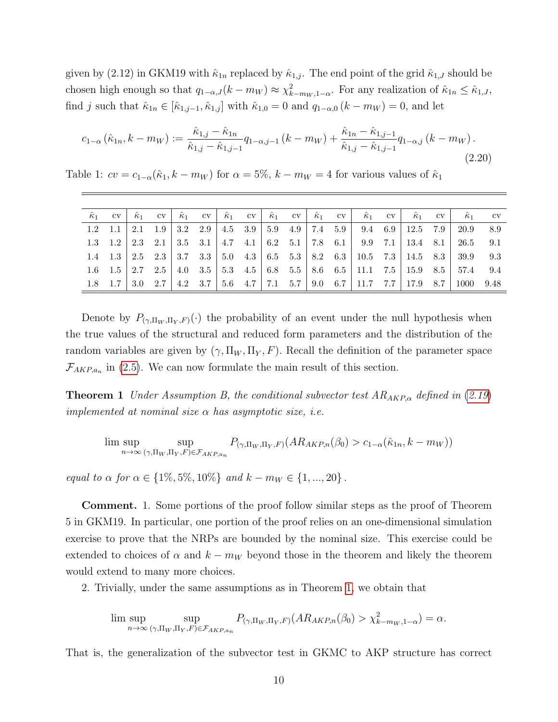given by (2.12) in GKM19 with  $\hat{\kappa}_{1n}$  replaced by  $\hat{\kappa}_{1,j}$ . The end point of the grid  $\hat{\kappa}_{1,J}$  should be chosen high enough so that  $q_{1-\alpha,J}(k-m_W) \approx \chi^2_{k-m_W,1-\alpha}$ . For any realization of  $\hat{\kappa}_{1n} \leq \hat{\kappa}_{1,J}$ , find j such that  $\hat{\kappa}_{1n} \in [\hat{\kappa}_{1,j-1}, \hat{\kappa}_{1,j}]$  with  $\hat{\kappa}_{1,0} = 0$  and  $q_{1-\alpha,0} (k - m_W) = 0$ , and let

$$
c_{1-\alpha}(\hat{\kappa}_{1n}, k - m_W) := \frac{\hat{\kappa}_{1,j} - \hat{\kappa}_{1n}}{\hat{\kappa}_{1,j} - \hat{\kappa}_{1,j-1}} q_{1-\alpha,j-1} (k - m_W) + \frac{\hat{\kappa}_{1n} - \hat{\kappa}_{1,j-1}}{\hat{\kappa}_{1,j} - \hat{\kappa}_{1,j-1}} q_{1-\alpha,j} (k - m_W). \tag{2.20}
$$

Table 1:  $cv = c_{1-\alpha}(\hat{\kappa}_1, k-m_W)$  for  $\alpha = 5\%$ ,  $k-m_W = 4$  for various values of  $\hat{\kappa}_1$ 

| $\hat{\kappa}_1$ | $_{\rm{cv}}$    | $\hat{\kappa}_1$ | $\rm{cv}$ | $\hat{\kappa}_1$ CV                     |  |  |  | $\hat{\kappa}_1$ cv $\hat{\kappa}_1$ cv $\hat{\kappa}_1$ cv $\hat{\kappa}_1$ cv $\hat{\kappa}_1$ cv | $\hat{\kappa}_1$              | CV  | $\hat{\kappa}_1$ | $_{\rm cv}$ |
|------------------|-----------------|------------------|-----------|-----------------------------------------|--|--|--|-----------------------------------------------------------------------------------------------------|-------------------------------|-----|------------------|-------------|
| 1.2              |                 | 2.1              | - 1.9     | 3.2 2.9 4.5 3.9 5.9 4.9 7.4 5.9         |  |  |  | $9.4 \quad 6.9$                                                                                     | 12.5                          | 7.9 | 20.9             | -8.9        |
|                  | $1.3 \quad 1.2$ |                  |           | 2.3 2.1 3.5 3.1 4.7 4.1 6.2 5.1 7.8 6.1 |  |  |  | $9.9$ 7.1                                                                                           | 13.4 8.1                      |     | 26.5             | 9.1         |
|                  | $1.4$ $1.3$     |                  |           | 2.5 2.3 3.7 3.3 5.0 4.3 6.5 5.3 8.2 6.3 |  |  |  |                                                                                                     | 10.5 $\,$ 7.3   14.5 $\,$ 8.3 |     | 39.9             | 9.3         |
|                  | - 1.5           | 2.7              | 2.5       |                                         |  |  |  | 4.0 $3.5$   5.3 $4.5$   6.8 $5.5$   8.6 $6.5$   11.1 $7.5$                                          | 15.9 8.5                      |     | 57.4             | 9.4         |
|                  |                 | 3.0              |           |                                         |  |  |  | 2.7   4.2 3.7   5.6 4.7   7.1 5.7   9.0 6.7   11.7 7.7                                              | 17.9                          | 8.7 |                  | 9.48        |

Denote by  $P_{(\gamma,\Pi_W,\Pi_Y,F)}(\cdot)$  the probability of an event under the null hypothesis when the true values of the structural and reduced form parameters and the distribution of the random variables are given by  $(\gamma, \Pi_W, \Pi_Y, F)$ . Recall the definition of the parameter space  $\mathcal{F}_{AKP,a_n}$  in [\(2.5\)](#page-5-0). We can now formulate the main result of this section.

<span id="page-9-0"></span>**Theorem 1** Under Assumption B, the conditional subvector test  $AR_{AKP,\alpha}$  defined in ([2.19](#page-8-1)) implemented at nominal size  $\alpha$  has asymptotic size, i.e.

$$
\lim \sup_{n \to \infty} \sup_{(\gamma, \Pi_W, \Pi_Y, F) \in \mathcal{F}_{AKP, a_n}} P_{(\gamma, \Pi_W, \Pi_Y, F)}(AR_{AKP,n}(\beta_0) > c_{1-\alpha}(\hat{\kappa}_{1n}, k - m_W))
$$

equal to  $\alpha$  for  $\alpha \in \{1\%, 5\%, 10\%\}$  and  $k - m_W \in \{1, ..., 20\}$ .

Comment. 1. Some portions of the proof follow similar steps as the proof of Theorem 5 in GKM19. In particular, one portion of the proof relies on an one-dimensional simulation exercise to prove that the NRPs are bounded by the nominal size. This exercise could be extended to choices of  $\alpha$  and  $k - m_W$  beyond those in the theorem and likely the theorem would extend to many more choices.

2. Trivially, under the same assumptions as in Theorem [1,](#page-9-0) we obtain that

$$
\limsup_{n \to \infty} \sup_{(\gamma, \Pi_W, \Pi_Y, F) \in \mathcal{F}_{AKP, a_n}} P_{(\gamma, \Pi_W, \Pi_Y, F)}(AR_{AKP,n}(\beta_0) > \chi^2_{k - m_W, 1 - \alpha}) = \alpha.
$$

That is, the generalization of the subvector test in GKMC to AKP structure has correct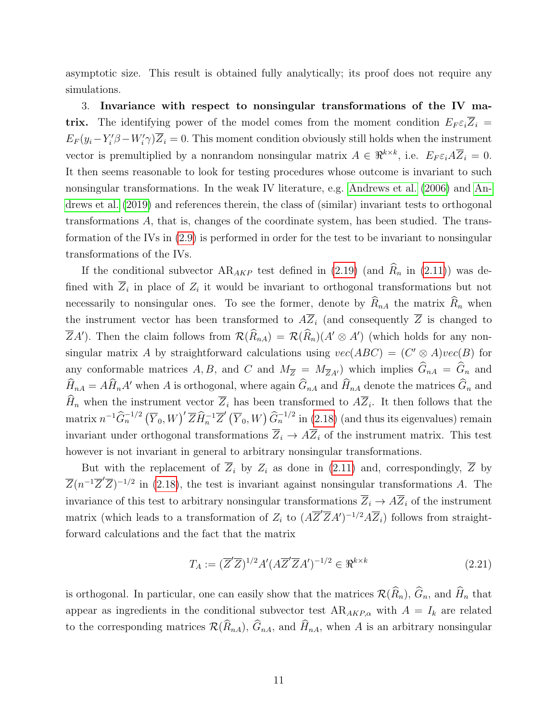asymptotic size. This result is obtained fully analytically; its proof does not require any simulations.

3. Invariance with respect to nonsingular transformations of the IV matrix. The identifying power of the model comes from the moment condition  $E_F \varepsilon_i \overline{Z}_i =$  $E_F(y_i - Y_i' \beta - W_i' \gamma) \overline{Z}_i = 0$ . This moment condition obviously still holds when the instrument vector is premultiplied by a nonrandom nonsingular matrix  $A \in \mathbb{R}^{k \times k}$ , i.e.  $E_F \varepsilon_i A \overline{Z}_i = 0$ . It then seems reasonable to look for testing procedures whose outcome is invariant to such nonsingular transformations. In the weak IV literature, e.g. [Andrews et al. \(2006\)](#page-46-12) and [An](#page-46-13)[drews et al. \(2019\)](#page-46-13) and references therein, the class of (similar) invariant tests to orthogonal transformations A, that is, changes of the coordinate system, has been studied. The transformation of the IVs in [\(2.9\)](#page-6-0) is performed in order for the test to be invariant to nonsingular transformations of the IVs.

If the conditional subvector  $AR_{AKP}$  test defined in [\(2.19\)](#page-8-1) (and  $\widehat{R}_n$  in [\(2.11\)](#page-7-4)) was defined with  $\overline{Z}_i$  in place of  $Z_i$  it would be invariant to orthogonal transformations but not necessarily to nonsingular ones. To see the former, denote by  $\widehat{R}_{nA}$  the matrix  $\widehat{R}_n$  when the instrument vector has been transformed to  $A\overline{Z}_i$  (and consequently  $\overline{Z}$  is changed to  $\overline{Z}A'$ ). Then the claim follows from  $\mathcal{R}(\widehat{R}_{nA}) = \mathcal{R}(\widehat{R}_{nA})(A' \otimes A')$  (which holds for any nonsingular matrix A by straightforward calculations using  $vec(ABC) = (C' \otimes A)vec(B)$  for any conformable matrices A, B, and C and  $M_{\overline{Z}} = M_{\overline{Z}A'}$  which implies  $\widehat{G}_{nA} = \widehat{G}_n$  and  $\widehat{H}_{nA} = A\widehat{H}_nA'$  when A is orthogonal, where again  $\widehat{G}_{nA}$  and  $\widehat{H}_{nA}$  denote the matrices  $\widehat{G}_n$  and  $H_n$  when the instrument vector  $Z_i$  has been transformed to  $AZ_i$ . It then follows that the matrix  $n^{-1}\widehat{G}_n^{-1/2} (\overline{Y}_0, W)'\overline{Z}\widehat{H}_n^{-1}\overline{Z}'(\overline{Y}_0, W)\widehat{G}_n^{-1/2}$  in [\(2.18\)](#page-8-2) (and thus its eigenvalues) remain invariant under orthogonal transformations  $\overline{Z}_i \rightarrow A\overline{Z}_i$  of the instrument matrix. This test however is not invariant in general to arbitrary nonsingular transformations.

But with the replacement of  $\overline{Z}_i$  by  $Z_i$  as done in [\(2.11\)](#page-7-4) and, correspondingly,  $\overline{Z}$  by  $\overline{Z}(n^{-1}\overline{Z}'\overline{Z})^{-1/2}$  in [\(2.18\)](#page-8-2), the test is invariant against nonsingular transformations A. The invariance of this test to arbitrary nonsingular transformations  $\overline{Z}_i \to A\overline{Z}_i$  of the instrument matrix (which leads to a transformation of  $Z_i$  to  $(A\overline{Z}'\overline{Z}A')^{-1/2}A\overline{Z}_i$ ) follows from straightforward calculations and the fact that the matrix

$$
T_A := (\overline{Z}'\overline{Z})^{1/2} A'(A\overline{Z}'\overline{Z}A')^{-1/2} \in \mathfrak{R}^{k \times k}
$$
\n(2.21)

is orthogonal. In particular, one can easily show that the matrices  $\mathcal{R}(\widehat{R}_n)$ ,  $\widehat{G}_n$ , and  $\widehat{H}_n$  that appear as ingredients in the conditional subvector test  $AR_{AKP,\alpha}$  with  $A = I_k$  are related to the corresponding matrices  $\mathcal{R}(\widehat{R}_{nA}), \widehat{G}_{nA}$ , and  $\widehat{H}_{nA}$ , when A is an arbitrary nonsingular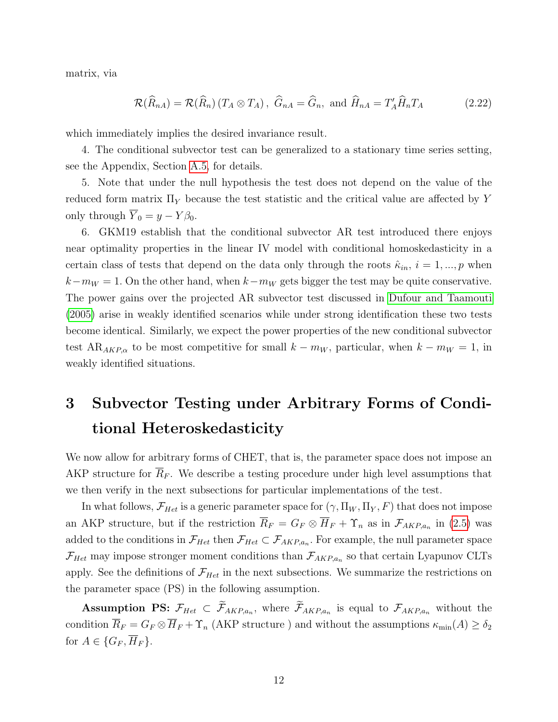matrix, via

<span id="page-11-1"></span>
$$
\mathcal{R}(\widehat{R}_{nA}) = \mathcal{R}(\widehat{R}_{n}) \left( T_A \otimes T_A \right), \ \widehat{G}_{nA} = \widehat{G}_n, \text{ and } \widehat{H}_{nA} = T'_A \widehat{H}_n T_A \tag{2.22}
$$

which immediately implies the desired invariance result.

4. The conditional subvector test can be generalized to a stationary time series setting, see the Appendix, Section [A.5,](#page-44-0) for details.

5. Note that under the null hypothesis the test does not depend on the value of the reduced form matrix  $\Pi_Y$  because the test statistic and the critical value are affected by Y only through  $\overline{Y}_0 = y - Y \beta_0$ .

6. GKM19 establish that the conditional subvector AR test introduced there enjoys near optimality properties in the linear IV model with conditional homoskedasticity in a certain class of tests that depend on the data only through the roots  $\hat{\kappa}_{in}$ ,  $i = 1, ..., p$  when  $k-m_W = 1$ . On the other hand, when  $k-m_W$  gets bigger the test may be quite conservative. The power gains over the projected AR subvector test discussed in [Dufour and Taamouti](#page-46-2) [\(2005\)](#page-46-2) arise in weakly identified scenarios while under strong identification these two tests become identical. Similarly, we expect the power properties of the new conditional subvector test AR<sub>AKP, $\alpha$ </sub> to be most competitive for small  $k - m_W$ , particular, when  $k - m_W = 1$ , in weakly identified situations.

## <span id="page-11-0"></span>3 Subvector Testing under Arbitrary Forms of Conditional Heteroskedasticity

We now allow for arbitrary forms of CHET, that is, the parameter space does not impose an AKP structure for  $\overline{R}_F$ . We describe a testing procedure under high level assumptions that we then verify in the next subsections for particular implementations of the test.

In what follows,  $\mathcal{F}_{Het}$  is a generic parameter space for  $(\gamma, \Pi_W, \Pi_Y, F)$  that does not impose an AKP structure, but if the restriction  $R_F = G_F \otimes H_F + \Upsilon_n$  as in  $\mathcal{F}_{AKP,a_n}$  in [\(2.5\)](#page-5-0) was added to the conditions in  $\mathcal{F}_{Het}$  then  $\mathcal{F}_{Het}\subset\mathcal{F}_{AKP,a_n}$ . For example, the null parameter space  $\mathcal{F}_{Het}$  may impose stronger moment conditions than  $\mathcal{F}_{AKP,a_n}$  so that certain Lyapunov CLTs apply. See the definitions of  $\mathcal{F}_{Het}$  in the next subsections. We summarize the restrictions on the parameter space (PS) in the following assumption.

Assumption PS:  $\mathcal{F}_{Het} \subset \mathcal{F}_{AKP,a_n}$ , where  $\mathcal{F}_{AKP,a_n}$  is equal to  $\mathcal{F}_{AKP,a_n}$  without the condition  $\overline{R}_F = G_F \otimes \overline{H}_F + \Upsilon_n$  (AKP structure) and without the assumptions  $\kappa_{\min}(A) \ge \delta_2$ for  $A \in \{G_F, \overline{H}_F\}.$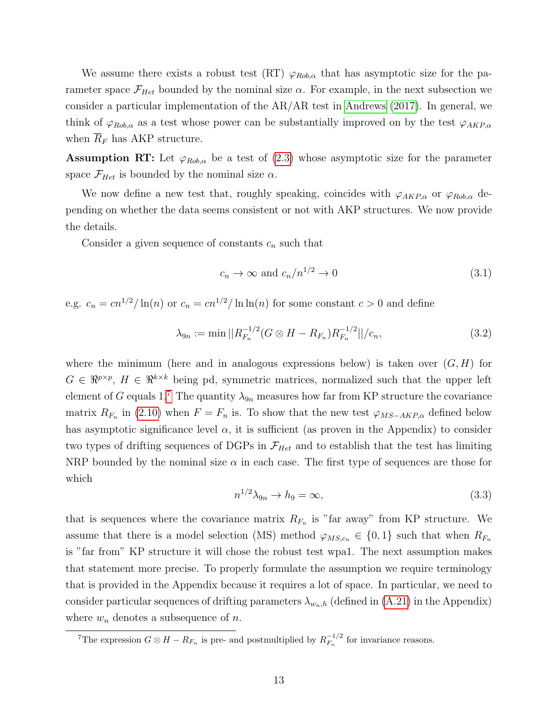We assume there exists a robust test  $(RT) \varphi_{Rob,\alpha}$  that has asymptotic size for the parameter space  $\mathcal{F}_{Het}$  bounded by the nominal size  $\alpha$ . For example, in the next subsection we consider a particular implementation of the AR/AR test in [Andrews \(2017\)](#page-45-0). In general, we think of  $\varphi_{Rob,\alpha}$  as a test whose power can be substantially improved on by the test  $\varphi_{AKP,\alpha}$ when  $\overline{R}_F$  has AKP structure.

Assumption RT: Let  $\varphi_{Rob,\alpha}$  be a test of [\(2.3\)](#page-4-2) whose asymptotic size for the parameter space  $\mathcal{F}_{Het}$  is bounded by the nominal size  $\alpha$ .

We now define a new test that, roughly speaking, coincides with  $\varphi_{AKP,\alpha}$  or  $\varphi_{Rob,\alpha}$  depending on whether the data seems consistent or not with AKP structures. We now provide the details.

Consider a given sequence of constants  $c_n$  such that

<span id="page-12-1"></span>
$$
c_n \to \infty \text{ and } c_n/n^{1/2} \to 0 \tag{3.1}
$$

e.g.  $c_n = \frac{cn^{1/2}}{\ln(n)}$  or  $c_n = \frac{cn^{1/2}}{\ln(n)}$  for some constant  $c > 0$  and define

<span id="page-12-2"></span>
$$
\lambda_{9n} := \min \left| \left| R_{F_n}^{-1/2} (G \otimes H - R_{F_n}) R_{F_n}^{-1/2} \right| \right| / c_n, \tag{3.2}
$$

where the minimum (here and in analogous expressions below) is taken over  $(G, H)$  for  $G \in \mathbb{R}^{p \times p}$ ,  $H \in \mathbb{R}^{k \times k}$  being pd, symmetric matrices, normalized such that the upper left element of G equals 1.<sup>[7](#page-0-0)</sup> The quantity  $\lambda_{9n}$  measures how far from KP structure the covariance matrix  $R_{F_n}$  in [\(2.10\)](#page-7-2) when  $F = F_n$  is. To show that the new test  $\varphi_{MS-AKP,\alpha}$  defined below has asymptotic significance level  $\alpha$ , it is sufficient (as proven in the Appendix) to consider two types of drifting sequences of DGPs in  $\mathcal{F}_{Het}$  and to establish that the test has limiting NRP bounded by the nominal size  $\alpha$  in each case. The first type of sequences are those for which

<span id="page-12-0"></span>
$$
n^{1/2}\lambda_{9n} \to h_9 = \infty,\tag{3.3}
$$

that is sequences where the covariance matrix  $R_{F_n}$  is "far away" from KP structure. We assume that there is a model selection (MS) method  $\varphi_{MS,c_n} \in \{0,1\}$  such that when  $R_{F_n}$ is "far from" KP structure it will chose the robust test wpa1. The next assumption makes that statement more precise. To properly formulate the assumption we require terminology that is provided in the Appendix because it requires a lot of space. In particular, we need to consider particular sequences of drifting parameters  $\lambda_{w_n,h}$  (defined in [\(A.21\)](#page-32-0) in the Appendix) where  $w_n$  denotes a subsequence of n.

<sup>&</sup>lt;sup>7</sup>The expression  $G \otimes H - R_{F_n}$  is pre- and postmultiplied by  $R_{F_n}^{-1/2}$  $F_n^{-1/2}$  for invariance reasons.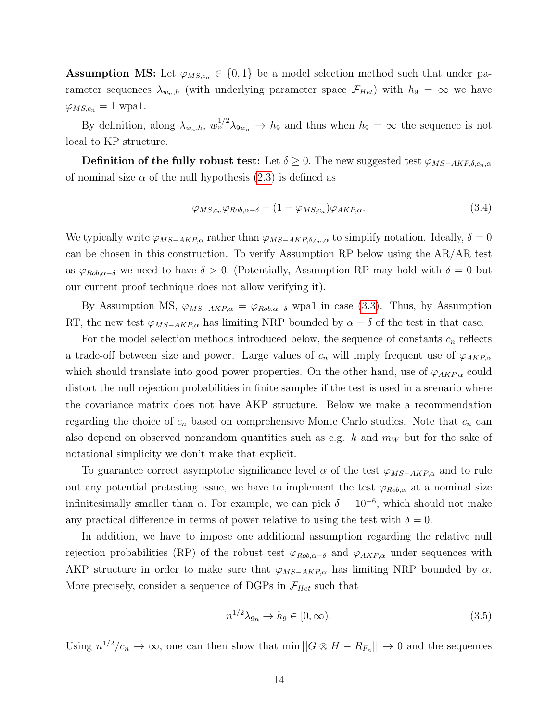**Assumption MS:** Let  $\varphi_{MS,c_n} \in \{0,1\}$  be a model selection method such that under parameter sequences  $\lambda_{w_n,h}$  (with underlying parameter space  $\mathcal{F}_{Het}$ ) with  $h_9 = \infty$  we have  $\varphi_{MS,c_n} = 1$  wpa1.

By definition, along  $\lambda_{w_n,h}$ ,  $w_n^{1/2}\lambda_{9w_n} \to h_9$  and thus when  $h_9 = \infty$  the sequence is not local to KP structure.

**Definition of the fully robust test:** Let  $\delta \geq 0$ . The new suggested test  $\varphi_{MS-AKP,\delta,c_n,\alpha}$ of nominal size  $\alpha$  of the null hypothesis [\(2.3\)](#page-4-2) is defined as

<span id="page-13-1"></span>
$$
\varphi_{MS,c_n}\varphi_{Rob,\alpha-\delta} + (1 - \varphi_{MS,c_n})\varphi_{AKP,\alpha}.\tag{3.4}
$$

We typically write  $\varphi_{MS-AKP,\alpha}$  rather than  $\varphi_{MS-AKP,\delta,c_n,\alpha}$  to simplify notation. Ideally,  $\delta = 0$ can be chosen in this construction. To verify Assumption RP below using the AR/AR test as  $\varphi_{Rob,\alpha-\delta}$  we need to have  $\delta > 0$ . (Potentially, Assumption RP may hold with  $\delta = 0$  but our current proof technique does not allow verifying it).

By Assumption MS,  $\varphi_{MS-AKP,\alpha} = \varphi_{Rob,\alpha-\delta}$  wpa1 in case [\(3.3\)](#page-12-0). Thus, by Assumption RT, the new test  $\varphi_{MS-AKP,\alpha}$  has limiting NRP bounded by  $\alpha - \delta$  of the test in that case.

For the model selection methods introduced below, the sequence of constants  $c_n$  reflects a trade-off between size and power. Large values of  $c_n$  will imply frequent use of  $\varphi_{AKP,\alpha}$ which should translate into good power properties. On the other hand, use of  $\varphi_{AKP,\alpha}$  could distort the null rejection probabilities in finite samples if the test is used in a scenario where the covariance matrix does not have AKP structure. Below we make a recommendation regarding the choice of  $c_n$  based on comprehensive Monte Carlo studies. Note that  $c_n$  can also depend on observed nonrandom quantities such as e.g.  $k$  and  $m_W$  but for the sake of notational simplicity we don't make that explicit.

To guarantee correct asymptotic significance level  $\alpha$  of the test  $\varphi_{MS-AKP,\alpha}$  and to rule out any potential pretesting issue, we have to implement the test  $\varphi_{Rob,\alpha}$  at a nominal size infinitesimally smaller than  $\alpha$ . For example, we can pick  $\delta = 10^{-6}$ , which should not make any practical difference in terms of power relative to using the test with  $\delta = 0$ .

In addition, we have to impose one additional assumption regarding the relative null rejection probabilities (RP) of the robust test  $\varphi_{Rob,\alpha-\delta}$  and  $\varphi_{AKP,\alpha}$  under sequences with AKP structure in order to make sure that  $\varphi_{MS-AKP,\alpha}$  has limiting NRP bounded by  $\alpha$ . More precisely, consider a sequence of DGPs in  $\mathcal{F}_{Het}$  such that

<span id="page-13-0"></span>
$$
n^{1/2}\lambda_{9n} \to h_9 \in [0, \infty). \tag{3.5}
$$

Using  $n^{1/2}/c_n \to \infty$ , one can then show that min  $||G \otimes H - R_{F_n}|| \to 0$  and the sequences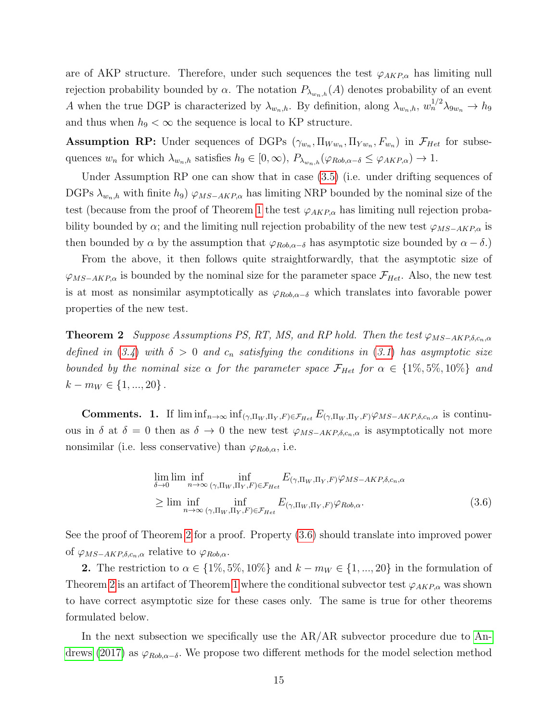are of AKP structure. Therefore, under such sequences the test  $\varphi_{AKP,\alpha}$  has limiting null rejection probability bounded by  $\alpha$ . The notation  $P_{\lambda_{w_n,h}}(A)$  denotes probability of an event A when the true DGP is characterized by  $\lambda_{w_n,h}$ . By definition, along  $\lambda_{w_n,h}$ ,  $w_n^{1/2}\lambda_{9w_n} \to h_9$ and thus when  $h_9 < \infty$  the sequence is local to KP structure.

**Assumption RP:** Under sequences of DGPs  $(\gamma_{w_n}, \Pi_{W w_n}, \Pi_{Y w_n}, F_{w_n})$  in  $\mathcal{F}_{Het}$  for subsequences  $w_n$  for which  $\lambda_{w_n,h}$  satisfies  $h_9 \in [0,\infty)$ ,  $P_{\lambda_{w_n,h}}(\varphi_{Rob,\alpha-\delta} \leq \varphi_{AKP,\alpha}) \to 1$ .

Under Assumption RP one can show that in case [\(3.5\)](#page-13-0) (i.e. under drifting sequences of DGPs  $\lambda_{w_n,h}$  with finite  $h_9$ )  $\varphi_{MS-AKP,\alpha}$  has limiting NRP bounded by the nominal size of the test (because from the proof of Theorem [1](#page-9-0) the test  $\varphi_{AKP,\alpha}$  has limiting null rejection probability bounded by  $\alpha$ ; and the limiting null rejection probability of the new test  $\varphi_{MS-AKP,\alpha}$  is then bounded by  $\alpha$  by the assumption that  $\varphi_{Rob,\alpha-\delta}$  has asymptotic size bounded by  $\alpha-\delta$ .)

From the above, it then follows quite straightforwardly, that the asymptotic size of  $\varphi_{MS-AKP,\alpha}$  is bounded by the nominal size for the parameter space  $\mathcal{F}_{Het}$ . Also, the new test is at most as nonsimilar asymptotically as  $\varphi_{Rob,\alpha-\delta}$  which translates into favorable power properties of the new test.

<span id="page-14-0"></span>**Theorem 2** Suppose Assumptions PS, RT, MS, and RP hold. Then the test  $\varphi_{MS-AKP,\delta,c_n,\alpha}$ defined in ([3.4](#page-13-1)) with  $\delta > 0$  and  $c_n$  satisfying the conditions in ([3.1](#page-12-1)) has asymptotic size bounded by the nominal size  $\alpha$  for the parameter space  $\mathcal{F}_{Het}$  for  $\alpha \in \{1\%, 5\%, 10\%\}$  and  $k - m_W \in \{1, ..., 20\}$ .

Comments. 1. If  $\liminf_{n\to\infty} \inf_{(\gamma,\Pi_W,\Pi_Y,F)\in\mathcal{F}_{Het}} E_{(\gamma,\Pi_W,\Pi_Y,F)}\varphi_{MS-AKP,\delta,c_n,\alpha}$  is continuous in  $\delta$  at  $\delta = 0$  then as  $\delta \to 0$  the new test  $\varphi_{MS-AKP,\delta,c_n,\alpha}$  is asymptotically not more nonsimilar (i.e. less conservative) than  $\varphi_{Rob,\alpha}$ , i.e.

<span id="page-14-1"></span>
$$
\lim_{\delta \to 0} \liminf_{n \to \infty} \inf_{(\gamma, \Pi_W, \Pi_Y, F) \in \mathcal{F}_{Het}} E_{(\gamma, \Pi_W, \Pi_Y, F)} \varphi_{MS-AKP, \delta, c_n, \alpha}
$$
\n
$$
\geq \liminf_{n \to \infty} \inf_{(\gamma, \Pi_W, \Pi_Y, F) \in \mathcal{F}_{Het}} E_{(\gamma, \Pi_W, \Pi_Y, F)} \varphi_{Rob, \alpha}.
$$
\n(3.6)

See the proof of Theorem [2](#page-14-0) for a proof. Property [\(3.6\)](#page-14-1) should translate into improved power of  $\varphi_{MS-AKP,\delta,c_n,\alpha}$  relative to  $\varphi_{Rob,\alpha}$ .

2. The restriction to  $\alpha \in \{1\%, 5\%, 10\%\}\$  and  $k - m_W \in \{1, ..., 20\}$  in the formulation of Theorem [2](#page-14-0) is an artifact of Theorem [1](#page-9-0) where the conditional subvector test  $\varphi_{AKP,\alpha}$  was shown to have correct asymptotic size for these cases only. The same is true for other theorems formulated below.

In the next subsection we specifically use the AR/AR subvector procedure due to [An](#page-45-0)[drews \(2017\)](#page-45-0) as  $\varphi_{Rob,\alpha-\delta}$ . We propose two different methods for the model selection method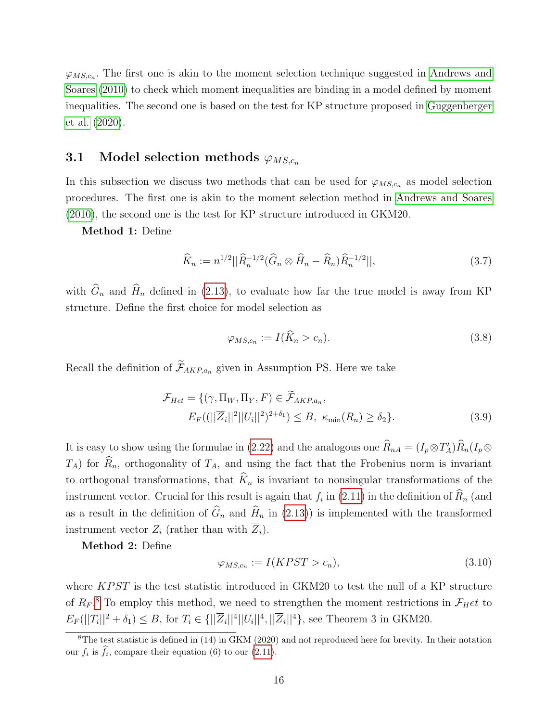$\varphi_{MS,c_n}$ . The first one is akin to the moment selection technique suggested in [Andrews and](#page-46-10) [Soares \(2010\)](#page-46-10) to check which moment inequalities are binding in a model defined by moment inequalities. The second one is based on the test for KP structure proposed in [Guggenberger](#page-46-9) [et al. \(2020\)](#page-46-9).

### <span id="page-15-1"></span>3.1 Model selection methods  $\varphi_{MS,c_n}$

In this subsection we discuss two methods that can be used for  $\varphi_{MS,c_n}$  as model selection procedures. The first one is akin to the moment selection method in [Andrews and Soares](#page-46-10) [\(2010\)](#page-46-10), the second one is the test for KP structure introduced in GKM20.

Method 1: Define

$$
\widehat{K}_n := n^{1/2} ||\widehat{R}_n^{-1/2} (\widehat{G}_n \otimes \widehat{H}_n - \widehat{R}_n) \widehat{R}_n^{-1/2} ||, \tag{3.7}
$$

with  $\widehat{G}_n$  and  $\widehat{H}_n$  defined in [\(2.13\)](#page-7-1), to evaluate how far the true model is away from KP structure. Define the first choice for model selection as

<span id="page-15-2"></span><span id="page-15-0"></span>
$$
\varphi_{MS,c_n} := I(\hat{K}_n > c_n). \tag{3.8}
$$

Recall the definition of  $\widetilde{\mathcal{F}}_{AKP,a_n}$  given in Assumption PS. Here we take

$$
\mathcal{F}_{Het} = \{(\gamma, \Pi_W, \Pi_Y, F) \in \widetilde{\mathcal{F}}_{AKP,a_n},\
$$

$$
E_F((||\overline{Z}_i||^2||U_i||^2)^{2+\delta_1}) \leq B, \ \kappa_{\min}(R_n) \geq \delta_2\}. \tag{3.9}
$$

It is easy to show using the formulae in [\(2.22\)](#page-11-1) and the analogous one  $\widehat{R}_{nA} = (I_p \otimes T'_A)\widehat{R}_n(I_p \otimes T'_B)$  $T_A$ ) for  $\widehat{R}_n$ , orthogonality of  $T_A$ , and using the fact that the Frobenius norm is invariant to orthogonal transformations, that  $\widehat{K}_n$  is invariant to nonsingular transformations of the instrument vector. Crucial for this result is again that  $f_i$  in [\(2.11\)](#page-7-4) in the definition of  $R_n$  (and as a result in the definition of  $\widehat{G}_n$  and  $\widehat{H}_n$  in [\(2.13\)](#page-7-1)) is implemented with the transformed instrument vector  $Z_i$  (rather than with  $\overline{Z}_i$ ).

Method 2: Define

<span id="page-15-3"></span>
$$
\varphi_{MS,c_n} := I(KPST > c_n),\tag{3.10}
$$

where  $KPST$  is the test statistic introduced in GKM20 to test the null of a KP structure of  $R_F$ .<sup>[8](#page-0-0)</sup> To employ this method, we need to strengthen the moment restrictions in  $\mathcal{F}_H$ et to  $E_F(||T_i||^2 + \delta_1) \leq B$ , for  $T_i \in {\{||\overline{Z}_i||^4||U_i||^4, ||\overline{Z}_i||^4\}}$ , see Theorem 3 in GKM20.

<sup>&</sup>lt;sup>8</sup>The test statistic is defined in (14) in  $\overline{G}$ KM (2020) and not reproduced here for brevity. In their notation our  $f_i$  is  $f_i$ , compare their equation (6) to our [\(2.11\)](#page-7-4).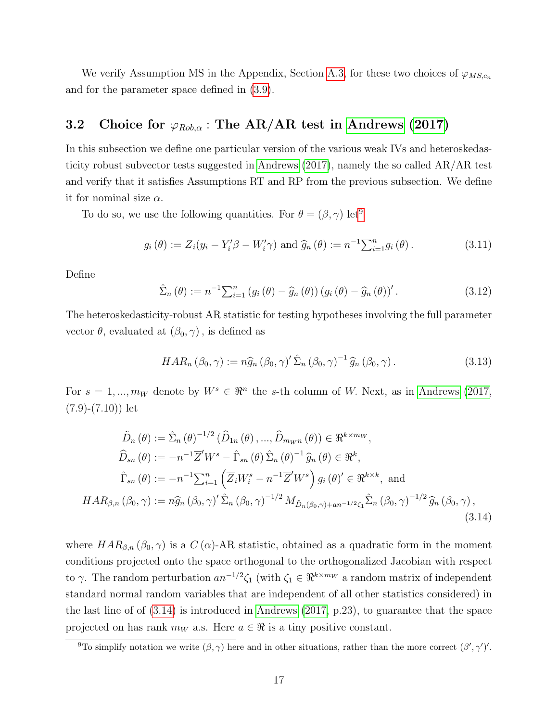We verify Assumption MS in the Appendix, Section [A.3,](#page-40-0) for these two choices of  $\varphi_{MS,c_n}$ and for the parameter space defined in [\(3.9\)](#page-15-0).

### 3.2 Choice for  $\varphi_{Rob,\alpha}$ : The AR/AR test in [Andrews](#page-45-0) [\(2017\)](#page-45-0)

In this subsection we define one particular version of the various weak IVs and heteroskedasticity robust subvector tests suggested in [Andrews \(2017\)](#page-45-0), namely the so called AR/AR test and verify that it satisfies Assumptions RT and RP from the previous subsection. We define it for nominal size  $\alpha$ .

To do so, we use the following quantities. For  $\theta = (\beta, \gamma)$  let<sup>[9](#page-0-0)</sup>

$$
g_i(\theta) := \overline{Z}_i(y_i - Y_i'\beta - W_i'\gamma) \text{ and } \widehat{g}_n(\theta) := n^{-1} \sum_{i=1}^n g_i(\theta).
$$
 (3.11)

Define

$$
\hat{\Sigma}_n(\theta) := n^{-1} \sum_{i=1}^n \left( g_i(\theta) - \hat{g}_n(\theta) \right) \left( g_i(\theta) - \hat{g}_n(\theta) \right)'.
$$
\n(3.12)

The heteroskedasticity-robust AR statistic for testing hypotheses involving the full parameter vector  $\theta$ , evaluated at  $(\beta_0, \gamma)$ , is defined as

<span id="page-16-1"></span><span id="page-16-0"></span>
$$
HAR_n\left(\beta_0,\gamma\right) := n\widehat{g}_n\left(\beta_0,\gamma\right)'\widehat{\Sigma}_n\left(\beta_0,\gamma\right)^{-1}\widehat{g}_n\left(\beta_0,\gamma\right). \tag{3.13}
$$

For  $s = 1, ..., m_W$  denote by  $W^s \in \mathbb{R}^n$  the s-th column of W. Next, as in [Andrews \(2017,](#page-45-0)  $(7.9)-(7.10)$  let

$$
\tilde{D}_{n}(\theta) := \hat{\Sigma}_{n}(\theta)^{-1/2} (\hat{D}_{1n}(\theta), ..., \hat{D}_{m_{Wh}}(\theta)) \in \mathbb{R}^{k \times m_{W}},
$$
\n
$$
\hat{D}_{sn}(\theta) := -n^{-1} \overline{Z}' W^{s} - \hat{\Gamma}_{sn}(\theta) \hat{\Sigma}_{n}(\theta)^{-1} \hat{g}_{n}(\theta) \in \mathbb{R}^{k},
$$
\n
$$
\hat{\Gamma}_{sn}(\theta) := -n^{-1} \sum_{i=1}^{n} (\overline{Z}_{i} W_{i}^{s} - n^{-1} \overline{Z}' W^{s}) g_{i}(\theta)' \in \mathbb{R}^{k \times k}, \text{ and}
$$
\n
$$
HAR_{\beta,n}(\beta_{0}, \gamma) := n \hat{g}_{n}(\beta_{0}, \gamma)' \hat{\Sigma}_{n}(\beta_{0}, \gamma)^{-1/2} M_{\tilde{D}_{n}(\beta_{0}, \gamma)+an^{-1/2} \zeta_{1}} \hat{\Sigma}_{n}(\beta_{0}, \gamma)^{-1/2} \hat{g}_{n}(\beta_{0}, \gamma),
$$
\n(3.14)

where  $HAR_{\beta,n}(\beta_0,\gamma)$  is a  $C(\alpha)$ -AR statistic, obtained as a quadratic form in the moment conditions projected onto the space orthogonal to the orthogonalized Jacobian with respect to  $\gamma$ . The random perturbation  $an^{-1/2}\zeta_1$  (with  $\zeta_1 \in \Re^{k \times m_W}$  a random matrix of independent standard normal random variables that are independent of all other statistics considered) in the last line of of [\(3.14\)](#page-16-0) is introduced in [Andrews \(2017,](#page-45-0) p.23), to guarantee that the space projected on has rank  $m_W$  a.s. Here  $a \in \Re$  is a tiny positive constant.

<sup>&</sup>lt;sup>9</sup>To simplify notation we write  $(\beta, \gamma)$  here and in other situations, rather than the more correct  $(\beta', \gamma')'$ .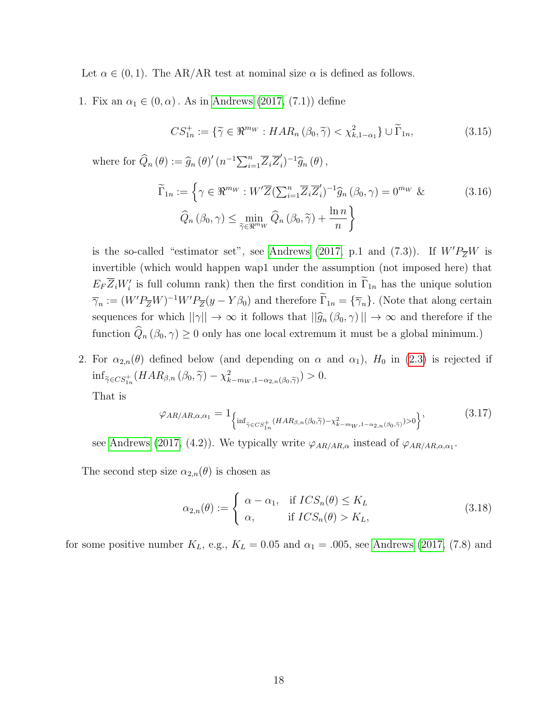Let  $\alpha \in (0, 1)$ . The AR/AR test at nominal size  $\alpha$  is defined as follows.

1. Fix an  $\alpha_1 \in (0, \alpha)$ . As in [Andrews \(2017,](#page-45-0) (7.1)) define

<span id="page-17-3"></span><span id="page-17-2"></span>
$$
CS_{1n}^+ := \{ \widetilde{\gamma} \in \Re^{m_W} : HAR_n \left( \beta_0, \widetilde{\gamma} \right) < \chi^2_{k, 1 - \alpha_1} \} \cup \widetilde{\Gamma}_{1n}, \tag{3.15}
$$

where for  $\widehat{Q}_n(\theta) := \widehat{g}_n(\theta)'(n^{-1}\sum_{i=1}^n \overline{Z}_i \overline{Z}'_i)$  $j_{i}^{\prime})^{-1}\widehat{g}_{n}(\theta),$ 

$$
\widetilde{\Gamma}_{1n} := \left\{ \gamma \in \mathbb{R}^{m_W} : W' \overline{Z} (\sum_{i=1}^n \overline{Z}_i \overline{Z}'_i)^{-1} \widehat{g}_n \left( \beta_0, \gamma \right) = 0^{m_W} \& \right\}
$$
\n
$$
\widehat{Q}_n \left( \beta_0, \gamma \right) \le \min_{\widetilde{\gamma} \in \mathbb{R}^{m_W}} \widehat{Q}_n \left( \beta_0, \widetilde{\gamma} \right) + \frac{\ln n}{n} \right\}
$$
\n(3.16)

is the so-called "estimator set", see [Andrews \(2017,](#page-45-0) p.1 and (7.3)). If  $W'P_{\overline{Z}}W$  is invertible (which would happen wap1 under the assumption (not imposed here) that  $E_F \overline{Z}_i W_i'$  is full column rank) then the first condition in  $\overline{\Gamma}_{1n}$  has the unique solution  $\overline{\gamma}_n := (W'P_{\overline{Z}}W)^{-1}W'P_{\overline{Z}}(y - Y\beta_0)$  and therefore  $\overline{\Gamma}_{1n} = {\overline{\gamma}_n}$ . (Note that along certain sequences for which  $||\gamma|| \to \infty$  it follows that  $||\hat{g}_n(\beta_0, \gamma)|| \to \infty$  and therefore if the function  $\widehat{Q}_n(\beta_0, \gamma) \geq 0$  only has one local extremum it must be a global minimum.)

2. For  $\alpha_{2,n}(\theta)$  defined below (and depending on  $\alpha$  and  $\alpha_1$ ),  $H_0$  in [\(2.3\)](#page-4-2) is rejected if  $\inf_{\widetilde{\gamma} \in CS_{1n}^+} (HAR_{\beta,n}(\beta_0, \widetilde{\gamma}) - \chi^2_{k-m_W, 1-\alpha_{2,n}(\beta_0, \widetilde{\gamma})}) > 0.$ 

That is

<span id="page-17-0"></span>
$$
\varphi_{AR/AR,\alpha,\alpha_1} = 1_{\left\{ \inf_{\tilde{\gamma} \in CS_{1n}^+} (HAR_{\beta,n}(\beta_0,\tilde{\gamma}) - \chi^2_{k-m_W,1-\alpha_{2,n}(\beta_0,\tilde{\gamma})}) > 0 \right\}},
$$
\n(3.17)

see [Andrews \(2017,](#page-45-0) (4.2)). We typically write  $\varphi_{AR/AR,\alpha}$  instead of  $\varphi_{AR/AR,\alpha,\alpha_1}$ .

The second step size  $\alpha_{2,n}(\theta)$  is chosen as

<span id="page-17-1"></span>
$$
\alpha_{2,n}(\theta) := \begin{cases} \alpha - \alpha_1, & \text{if } ICS_n(\theta) \le K_L \\ \alpha, & \text{if } ICS_n(\theta) > K_L, \end{cases}
$$
\n(3.18)

for some positive number  $K_L$ , e.g.,  $K_L = 0.05$  and  $\alpha_1 = .005$ , see [Andrews \(2017,](#page-45-0) (7.8) and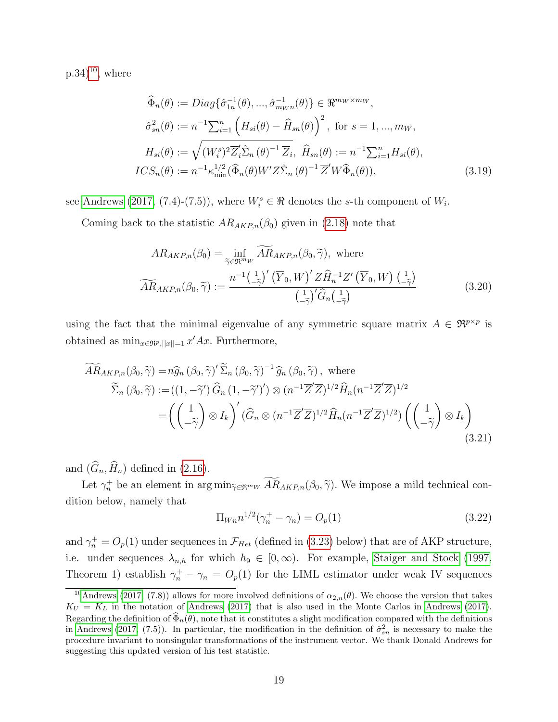$(p.34)^{10}$  $(p.34)^{10}$  $(p.34)^{10}$ , where

$$
\widehat{\Phi}_n(\theta) := Diag\{\widehat{\sigma}_{1n}^{-1}(\theta), ..., \widehat{\sigma}_{m_{W}n}^{-1}(\theta)\} \in \mathbb{R}^{m_{W} \times m_{W}},
$$
\n
$$
\widehat{\sigma}_{sn}^2(\theta) := n^{-1} \sum_{i=1}^n \left( H_{si}(\theta) - \widehat{H}_{sn}(\theta) \right)^2, \text{ for } s = 1, ..., m_{W},
$$
\n
$$
H_{si}(\theta) := \sqrt{(W_i^s)^2 \overline{Z}_i' \widehat{\Sigma}_n(\theta)^{-1} \overline{Z}_i}, \widehat{H}_{sn}(\theta) := n^{-1} \sum_{i=1}^n H_{si}(\theta),
$$
\n
$$
ICS_n(\theta) := n^{-1} \kappa_{\min}^{1/2} (\widehat{\Phi}_n(\theta) W' Z \widehat{\Sigma}_n(\theta)^{-1} \overline{Z}' W \widehat{\Phi}_n(\theta)),
$$
\n(3.19)

see [Andrews \(2017,](#page-45-0) (7.4)-(7.5)), where  $W_i^s \in \Re$  denotes the s-th component of  $W_i$ .

Coming back to the statistic  $AR_{AKP,n}(\beta_0)$  given in [\(2.18\)](#page-8-2) note that

$$
AR_{AKP,n}(\beta_0) = \inf_{\widetilde{\gamma} \in \mathfrak{R}^{m_W}} \widetilde{AR}_{AKP,n}(\beta_0, \widetilde{\gamma}), \text{ where}
$$

$$
\widetilde{AR}_{AKP,n}(\beta_0, \widetilde{\gamma}) := \frac{n^{-1}(\underline{\cdot}_{\widetilde{\gamma}})'(\overline{Y}_0, W)' Z \widehat{H}_n^{-1} Z'(\overline{Y}_0, W) (\underline{\cdot}_{\widetilde{\gamma}})}{(\underline{\cdot}_{\widetilde{\gamma}})' \widehat{G}_n(\underline{\cdot}_{\widetilde{\gamma}})}
$$
(3.20)

using the fact that the minimal eigenvalue of any symmetric square matrix  $A \in \mathbb{R}^{p \times p}$  is obtained as  $\min_{x \in \Re^p, ||x|| = 1} x' Ax$ . Furthermore,

$$
\widetilde{AR}_{AKP,n}(\beta_0, \widetilde{\gamma}) = n\widehat{g}_n(\beta_0, \widetilde{\gamma})' \widetilde{\Sigma}_n(\beta_0, \widetilde{\gamma})^{-1} \widehat{g}_n(\beta_0, \widetilde{\gamma}), \text{ where}
$$
\n
$$
\widetilde{\Sigma}_n(\beta_0, \widetilde{\gamma}) := ((1, -\widetilde{\gamma}') \widehat{G}_n (1, -\widetilde{\gamma}')') \otimes (n^{-1} \overline{Z}' \overline{Z})^{1/2} \widehat{H}_n(n^{-1} \overline{Z}' \overline{Z})^{1/2}
$$
\n
$$
= \left( \begin{pmatrix} 1 \\ -\widetilde{\gamma} \end{pmatrix} \otimes I_k \right)' (\widehat{G}_n \otimes (n^{-1} \overline{Z}' \overline{Z})^{1/2} \widehat{H}_n(n^{-1} \overline{Z}' \overline{Z})^{1/2}) \left( \begin{pmatrix} 1 \\ -\widetilde{\gamma} \end{pmatrix} \otimes I_k \right)
$$
\n(3.21)

and  $(\widehat{G}_n, \widehat{H}_n)$  defined in [\(2.16\)](#page-8-0).

Let  $\gamma_n^+$  be an element in  $\arg \min_{\tilde{\gamma} \in \mathfrak{R}^{m_W}} AR_{AKP,n}(\beta_0, \tilde{\gamma})$ . We impose a mild technical condition below, namely that

<span id="page-18-1"></span><span id="page-18-0"></span>
$$
\Pi_{Wn} n^{1/2} (\gamma_n^+ - \gamma_n) = O_p(1)
$$
\n(3.22)

and  $\gamma_n^+ = O_p(1)$  under sequences in  $\mathcal{F}_{Het}$  (defined in [\(3.23\)](#page-19-0) below) that are of AKP structure, i.e. under sequences  $\lambda_{n,h}$  for which  $h_9 \in [0,\infty)$ . For example, [Staiger and Stock \(1997,](#page-47-5) Theorem 1) establish  $\gamma_n^+ - \gamma_n = O_p(1)$  for the LIML estimator under weak IV sequences

<sup>&</sup>lt;sup>10</sup>[Andrews](#page-45-0) [\(2017,](#page-45-0) (7.8)) allows for more involved definitions of  $\alpha_{2,n}(\theta)$ . We choose the version that takes  $K_U = K_L$  in the notation of [Andrews](#page-45-0) [\(2017\)](#page-45-0) that is also used in the Monte Carlos in Andrews (2017). Regarding the definition of  $\tilde{\Phi}_n(\theta)$ , note that it constitutes a slight modification compared with the definitions in [Andrews](#page-45-0) [\(2017,](#page-45-0) (7.5)). In particular, the modification in the definition of  $\hat{\sigma}_{sn}^2$  is necessary to make the procedure invariant to nonsingular transformations of the instrument vector. We thank Donald Andrews for suggesting this updated version of his test statistic.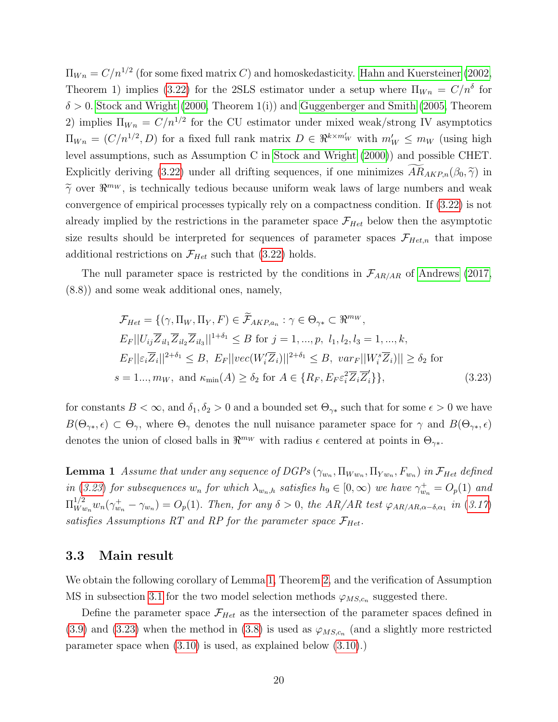$\Pi_{Wn} = C/n^{1/2}$  (for some fixed matrix C) and homoskedasticity. [Hahn and Kuersteiner \(2002,](#page-46-14) Theorem 1) implies [\(3.22\)](#page-18-0) for the 2SLS estimator under a setup where  $\Pi_{W_n} = C/n^{\delta}$  for  $\delta > 0$ . [Stock and Wright \(2000,](#page-47-6) Theorem 1(i)) and [Guggenberger and Smith \(2005,](#page-46-15) Theorem 2) implies  $\Pi_{Wn} = C/n^{1/2}$  for the CU estimator under mixed weak/strong IV asymptotics  $\Pi_{Wn} = (C/n^{1/2}, D)$  for a fixed full rank matrix  $D \in \Re^{k \times m'_{W}}$  with  $m'_{W} \leq m_{W}$  (using high level assumptions, such as Assumption C in [Stock and Wright \(2000\)](#page-47-6)) and possible CHET. Explicitly deriving [\(3.22\)](#page-18-0) under all drifting sequences, if one minimizes  $AR_{AKP,n}(\beta_0, \tilde{\gamma})$  in  $\widetilde{\gamma}$  over  $\mathbb{R}^{m_W}$ , is technically tedious because uniform weak laws of large numbers and weak convergence of empirical processes typically rely on a compactness condition. If [\(3.22\)](#page-18-0) is not already implied by the restrictions in the parameter space  $\mathcal{F}_{Het}$  below then the asymptotic size results should be interpreted for sequences of parameter spaces  $\mathcal{F}_{Het,n}$  that impose additional restrictions on  $\mathcal{F}_{Het}$  such that [\(3.22\)](#page-18-0) holds.

The null parameter space is restricted by the conditions in  $\mathcal{F}_{AR/AR}$  of [Andrews \(2017,](#page-45-0) (8.8)) and some weak additional ones, namely,

<span id="page-19-0"></span>
$$
\mathcal{F}_{Het} = \{(\gamma, \Pi_W, \Pi_Y, F) \in \widetilde{\mathcal{F}}_{AKP,a_n} : \gamma \in \Theta_{\gamma*} \subset \Re^{mw},
$$
  
\n
$$
E_F||U_{ij}\overline{Z}_{il_1}\overline{Z}_{il_2}\overline{Z}_{il_3}||^{1+\delta_1} \leq B \text{ for } j = 1, ..., p, l_1, l_2, l_3 = 1, ..., k,
$$
  
\n
$$
E_F||\varepsilon_i\overline{Z}_i||^{2+\delta_1} \leq B, E_F||vec(W_i'\overline{Z}_i)||^{2+\delta_1} \leq B, var_F||W_i^s\overline{Z}_i)|| \geq \delta_2 \text{ for}
$$
  
\n
$$
s = 1..., m_W, \text{ and } \kappa_{\min}(A) \geq \delta_2 \text{ for } A \in \{R_F, E_F\varepsilon_i^2\overline{Z}_i\overline{Z}_i'\},
$$
\n(3.23)

for constants  $B < \infty$ , and  $\delta_1, \delta_2 > 0$  and a bounded set  $\Theta_{\gamma*}$  such that for some  $\epsilon > 0$  we have  $B(\Theta_{\gamma*}, \epsilon) \subset \Theta_{\gamma}$ , where  $\Theta_{\gamma}$  denotes the null nuisance parameter space for  $\gamma$  and  $B(\Theta_{\gamma*}, \epsilon)$ denotes the union of closed balls in  $\mathbb{R}^{m_W}$  with radius  $\epsilon$  centered at points in  $\Theta_{\gamma^*}$ .

<span id="page-19-1"></span>**Lemma 1** Assume that under any sequence of DGPs  $(\gamma_{w_n}, \Pi_{W w_n}, \Pi_{Y w_n}, F_{w_n})$  in  $\mathcal{F}_{Het}$  defined in ([3.23](#page-19-0)) for subsequences  $w_n$  for which  $\lambda_{w_n,h}$  satisfies  $h_9 \in [0,\infty)$  we have  $\gamma_{w_n}^+ = O_p(1)$  and  $\Pi_{Wu}^{1/2}$  $W_{w_n}^{1/2} w_n(\gamma_{w_n}^+ - \gamma_{w_n}) = O_p(1)$ . Then, for any  $\delta > 0$ , the AR/AR test  $\varphi_{AR/AR,\alpha-\delta,\alpha_1}$  in ([3.17](#page-17-0)) satisfies Assumptions RT and RP for the parameter space  $\mathcal{F}_{Het}$ .

### 3.3 Main result

We obtain the following corollary of Lemma [1,](#page-19-1) Theorem [2,](#page-14-0) and the verification of Assumption MS in subsection [3.1](#page-15-1) for the two model selection methods  $\varphi_{MS,c_n}$  suggested there.

Define the parameter space  $\mathcal{F}_{Het}$  as the intersection of the parameter spaces defined in [\(3.9\)](#page-15-0) and [\(3.23\)](#page-19-0) when the method in [\(3.8\)](#page-15-2) is used as  $\varphi_{MS,c_n}$  (and a slightly more restricted parameter space when [\(3.10\)](#page-15-3) is used, as explained below [\(3.10\)](#page-15-3).)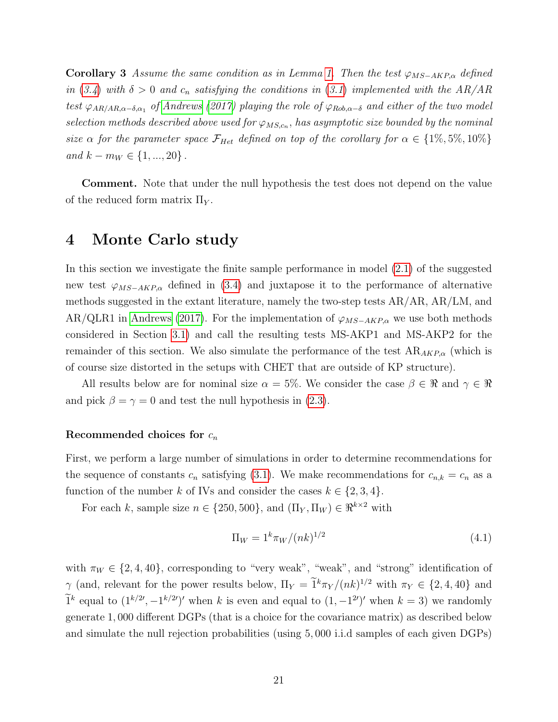**Corollary 3** Assume the same condition as in Lemma [1.](#page-19-1) Then the test  $\varphi_{MS-AKP,\alpha}$  defined in ([3.4](#page-13-1)) with  $\delta > 0$  and  $c_n$  satisfying the conditions in ([3.1](#page-12-1)) implemented with the AR/AR test  $\varphi_{AR/AR,\alpha-\delta,\alpha_1}$  of [Andrews](#page-45-0) [\(2017\)](#page-45-0) playing the role of  $\varphi_{Rob,\alpha-\delta}$  and either of the two model selection methods described above used for  $\varphi_{MS,c_n}$ , has asymptotic size bounded by the nominal size  $\alpha$  for the parameter space  $\mathcal{F}_{Het}$  defined on top of the corollary for  $\alpha \in \{1\%, 5\%, 10\%\}$ and  $k - m_W \in \{1, ..., 20\}$ .

Comment. Note that under the null hypothesis the test does not depend on the value of the reduced form matrix  $\Pi_Y$ .

### <span id="page-20-0"></span>4 Monte Carlo study

In this section we investigate the finite sample performance in model [\(2.1\)](#page-4-1) of the suggested new test  $\varphi_{MS-AKP,\alpha}$  defined in [\(3.4\)](#page-13-1) and juxtapose it to the performance of alternative methods suggested in the extant literature, namely the two-step tests AR/AR, AR/LM, and AR/QLR1 in [Andrews \(2017\)](#page-45-0). For the implementation of  $\varphi_{MS-AKP,\alpha}$  we use both methods considered in Section [3.1\)](#page-15-1) and call the resulting tests MS-AKP1 and MS-AKP2 for the remainder of this section. We also simulate the performance of the test  $AR_{AKP,\alpha}$  (which is of course size distorted in the setups with CHET that are outside of KP structure).

All results below are for nominal size  $\alpha = 5\%$ . We consider the case  $\beta \in \Re$  and  $\gamma \in \Re$ and pick  $\beta = \gamma = 0$  and test the null hypothesis in [\(2.3\)](#page-4-2).

### Recommended choices for  $c_n$

First, we perform a large number of simulations in order to determine recommendations for the sequence of constants  $c_n$  satisfying [\(3.1\)](#page-12-1). We make recommendations for  $c_{n,k} = c_n$  as a function of the number k of IVs and consider the cases  $k \in \{2, 3, 4\}.$ 

For each k, sample size  $n \in \{250, 500\}$ , and  $(\Pi_Y, \Pi_W) \in \Re^{k \times 2}$  with

<span id="page-20-1"></span>
$$
\Pi_W = 1^k \pi_W / (nk)^{1/2} \tag{4.1}
$$

with  $\pi_W \in \{2, 4, 40\}$ , corresponding to "very weak", "weak", and "strong" identification of  $\gamma$  (and, relevant for the power results below,  $\Pi_Y = \tilde{1}^k \pi_Y / (nk)^{1/2}$  with  $\pi_Y \in \{2, 4, 40\}$  and  $\tilde{1}^k$  equal to  $(1^{k/2}, -1^{k/2})'$  when k is even and equal to  $(1, -1^{2})'$  when  $k = 3$ ) we randomly generate 1, 000 different DGPs (that is a choice for the covariance matrix) as described below and simulate the null rejection probabilities (using 5, 000 i.i.d samples of each given DGPs)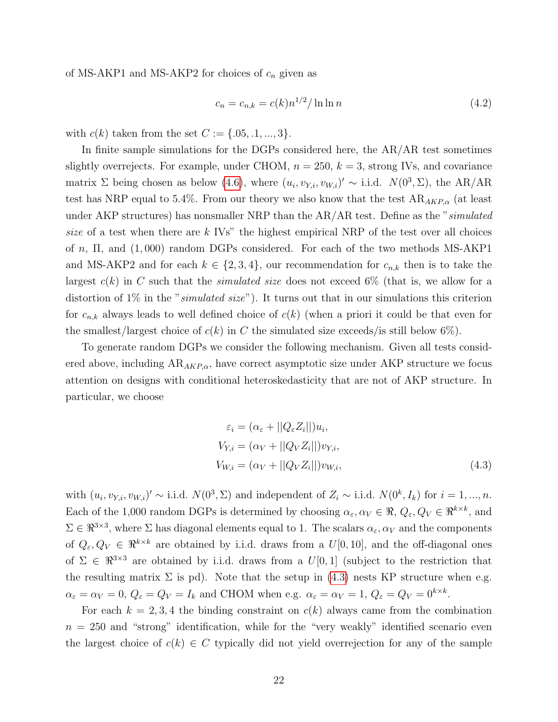of MS-AKP1 and MS-AKP2 for choices of  $c_n$  given as

<span id="page-21-1"></span>
$$
c_n = c_{n,k} = c(k)n^{1/2} / \ln \ln n \tag{4.2}
$$

with  $c(k)$  taken from the set  $C := \{.05, .1, ..., 3\}.$ 

In finite sample simulations for the DGPs considered here, the AR/AR test sometimes slightly overrejects. For example, under CHOM,  $n = 250$ ,  $k = 3$ , strong IVs, and covariance matrix  $\Sigma$  being chosen as below [\(4.6\)](#page-23-0), where  $(u_i, v_{Y,i}, v_{W,i})' \sim$  i.i.d.  $N(0^3, \Sigma)$ , the AR/AR test has NRP equal to 5.4%. From our theory we also know that the test  $AR_{AKP,\alpha}$  (at least under AKP structures) has nonsmaller NRP than the AR/AR test. Define as the "simulated size of a test when there are  $k$  IVs" the highest empirical NRP of the test over all choices of n, Π, and (1, 000) random DGPs considered. For each of the two methods MS-AKP1 and MS-AKP2 and for each  $k \in \{2,3,4\}$ , our recommendation for  $c_{n,k}$  then is to take the largest  $c(k)$  in C such that the *simulated size* does not exceed 6% (that is, we allow for a distortion of  $1\%$  in the "*simulated size*"). It turns out that in our simulations this criterion for  $c_{n,k}$  always leads to well defined choice of  $c(k)$  (when a priori it could be that even for the smallest/largest choice of  $c(k)$  in C the simulated size exceeds/is still below 6%).

To generate random DGPs we consider the following mechanism. Given all tests considered above, including  $AR_{AKP,\alpha}$ , have correct asymptotic size under AKP structure we focus attention on designs with conditional heteroskedasticity that are not of AKP structure. In particular, we choose

<span id="page-21-0"></span>
$$
\varepsilon_i = (\alpha_{\varepsilon} + ||Q_{\varepsilon}Z_i||)u_i,
$$
  
\n
$$
V_{Y,i} = (\alpha_V + ||Q_VZ_i||)v_{Y,i},
$$
  
\n
$$
V_{W,i} = (\alpha_V + ||Q_VZ_i||)v_{W,i},
$$
\n(4.3)

with  $(u_i, v_{Y,i}, v_{W,i})' \sim$  i.i.d.  $N(0^3, \Sigma)$  and independent of  $Z_i \sim$  i.i.d.  $N(0^k, I_k)$  for  $i = 1, ..., n$ . Each of the 1,000 random DGPs is determined by choosing  $\alpha_{\varepsilon}, \alpha_{V} \in \mathbb{R}$ ,  $Q_{\varepsilon}, Q_{V} \in \mathbb{R}^{k \times k}$ , and  $\Sigma \in \mathbb{R}^{3\times3}$ , where  $\Sigma$  has diagonal elements equal to 1. The scalars  $\alpha_{\varepsilon}, \alpha_{V}$  and the components of  $Q_{\varepsilon}, Q_V \in \mathbb{R}^{k \times k}$  are obtained by i.i.d. draws from a  $U[0, 10]$ , and the off-diagonal ones of  $\Sigma \in \mathbb{R}^{3\times3}$  are obtained by i.i.d. draws from a  $U[0,1]$  (subject to the restriction that the resulting matrix  $\Sigma$  is pd). Note that the setup in [\(4.3\)](#page-21-0) nests KP structure when e.g.  $\alpha_{\varepsilon} = \alpha_V = 0, \ Q_{\varepsilon} = Q_V = I_k$  and CHOM when e.g.  $\alpha_{\varepsilon} = \alpha_V = 1, \ Q_{\varepsilon} = Q_V = 0^{k \times k}$ .

For each  $k = 2, 3, 4$  the binding constraint on  $c(k)$  always came from the combination  $n = 250$  and "strong" identification, while for the "very weakly" identified scenario even the largest choice of  $c(k) \in C$  typically did not yield overrejection for any of the sample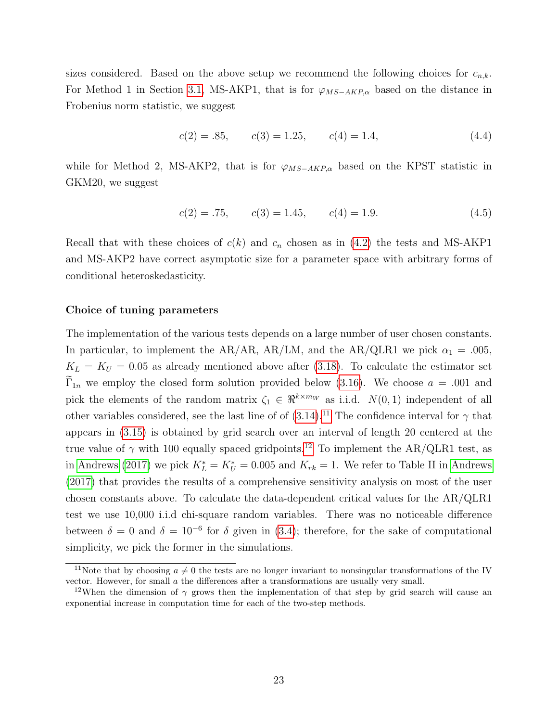sizes considered. Based on the above setup we recommend the following choices for  $c_{n,k}$ . For Method 1 in Section [3.1,](#page-15-1) MS-AKP1, that is for  $\varphi_{MS-AKP,\alpha}$  based on the distance in Frobenius norm statistic, we suggest

$$
c(2) = .85, \qquad c(3) = 1.25, \qquad c(4) = 1.4,\tag{4.4}
$$

while for Method 2, MS-AKP2, that is for  $\varphi_{MS-AKP,\alpha}$  based on the KPST statistic in GKM20, we suggest

$$
c(2) = .75, \qquad c(3) = 1.45, \qquad c(4) = 1.9. \tag{4.5}
$$

Recall that with these choices of  $c(k)$  and  $c_n$  chosen as in [\(4.2\)](#page-21-1) the tests and MS-AKP1 and MS-AKP2 have correct asymptotic size for a parameter space with arbitrary forms of conditional heteroskedasticity.

### Choice of tuning parameters

The implementation of the various tests depends on a large number of user chosen constants. In particular, to implement the AR/AR, AR/LM, and the AR/QLR1 we pick  $\alpha_1 = .005$ ,  $K_L = K_U = 0.05$  as already mentioned above after [\(3.18\)](#page-17-1). To calculate the estimator set  $\Gamma_{1n}$  we employ the closed form solution provided below [\(3.16\)](#page-17-2). We choose  $a = .001$  and pick the elements of the random matrix  $\zeta_1 \in \Re^{k \times m_W}$  as i.i.d.  $N(0, 1)$  independent of all other variables considered, see the last line of of  $(3.14)$ .<sup>[11](#page-0-0)</sup> The confidence interval for  $\gamma$  that appears in [\(3.15\)](#page-17-3) is obtained by grid search over an interval of length 20 centered at the true value of  $\gamma$  with 100 equally spaced gridpoints.<sup>[12](#page-0-0)</sup> To implement the AR/QLR1 test, as in [Andrews \(2017\)](#page-45-0) we pick  $K_L^* = K_U^* = 0.005$  and  $K_{rk} = 1$ . We refer to Table II in [Andrews](#page-45-0) [\(2017\)](#page-45-0) that provides the results of a comprehensive sensitivity analysis on most of the user chosen constants above. To calculate the data-dependent critical values for the AR/QLR1 test we use 10,000 i.i.d chi-square random variables. There was no noticeable difference between  $\delta = 0$  and  $\delta = 10^{-6}$  for  $\delta$  given in [\(3.4\)](#page-13-1); therefore, for the sake of computational simplicity, we pick the former in the simulations.

<sup>&</sup>lt;sup>11</sup>Note that by choosing  $a \neq 0$  the tests are no longer invariant to nonsingular transformations of the IV vector. However, for small a the differences after a transformations are usually very small.

<sup>&</sup>lt;sup>12</sup>When the dimension of  $\gamma$  grows then the implementation of that step by grid search will cause an exponential increase in computation time for each of the two-step methods.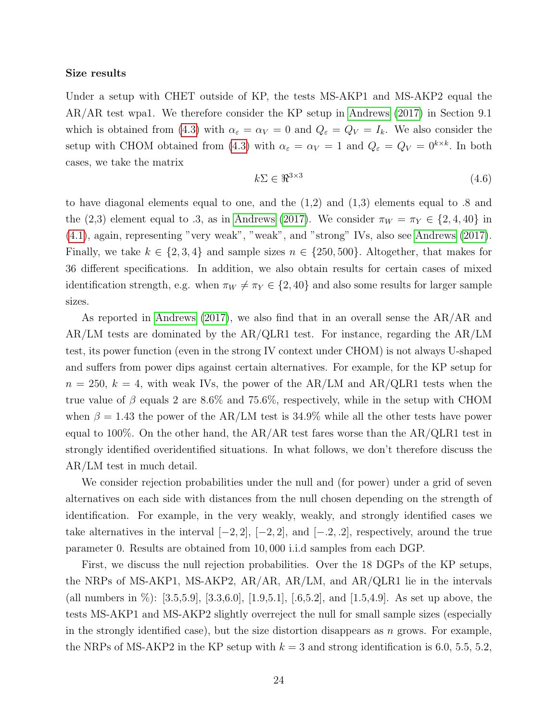#### Size results

Under a setup with CHET outside of KP, the tests MS-AKP1 and MS-AKP2 equal the AR/AR test wpa1. We therefore consider the KP setup in [Andrews \(2017\)](#page-45-0) in Section 9.1 which is obtained from [\(4.3\)](#page-21-0) with  $\alpha_{\varepsilon} = \alpha_V = 0$  and  $Q_{\varepsilon} = Q_V = I_k$ . We also consider the setup with CHOM obtained from [\(4.3\)](#page-21-0) with  $\alpha_{\varepsilon} = \alpha_{V} = 1$  and  $Q_{\varepsilon} = Q_{V} = 0^{k \times k}$ . In both cases, we take the matrix

<span id="page-23-0"></span>
$$
k\Sigma \in \mathbb{R}^{3 \times 3} \tag{4.6}
$$

to have diagonal elements equal to one, and the  $(1,2)$  and  $(1,3)$  elements equal to .8 and the (2,3) element equal to .3, as in [Andrews \(2017\)](#page-45-0). We consider  $\pi_W = \pi_Y \in \{2, 4, 40\}$  in [\(4.1\)](#page-20-1), again, representing "very weak", "weak", and "strong" IVs, also see [Andrews \(2017\)](#page-45-0). Finally, we take  $k \in \{2,3,4\}$  and sample sizes  $n \in \{250,500\}$ . Altogether, that makes for 36 different specifications. In addition, we also obtain results for certain cases of mixed identification strength, e.g. when  $\pi_W \neq \pi_Y \in \{2, 40\}$  and also some results for larger sample sizes.

As reported in [Andrews \(2017\)](#page-45-0), we also find that in an overall sense the AR/AR and AR/LM tests are dominated by the AR/QLR1 test. For instance, regarding the AR/LM test, its power function (even in the strong IV context under CHOM) is not always U-shaped and suffers from power dips against certain alternatives. For example, for the KP setup for  $n = 250, k = 4$ , with weak IVs, the power of the AR/LM and AR/QLR1 tests when the true value of  $\beta$  equals 2 are 8.6% and 75.6%, respectively, while in the setup with CHOM when  $\beta = 1.43$  the power of the AR/LM test is 34.9% while all the other tests have power equal to 100%. On the other hand, the  $AR/AR$  test fares worse than the  $AR/QLR1$  test in strongly identified overidentified situations. In what follows, we don't therefore discuss the AR/LM test in much detail.

We consider rejection probabilities under the null and (for power) under a grid of seven alternatives on each side with distances from the null chosen depending on the strength of identification. For example, in the very weakly, weakly, and strongly identified cases we take alternatives in the interval  $[-2, 2]$ ,  $[-2, 2]$ , and  $[-2, 2]$ , respectively, around the true parameter 0. Results are obtained from 10, 000 i.i.d samples from each DGP.

First, we discuss the null rejection probabilities. Over the 18 DGPs of the KP setups, the NRPs of MS-AKP1, MS-AKP2, AR/AR, AR/LM, and AR/QLR1 lie in the intervals (all numbers in %): [3.5,5.9], [3.3,6.0], [1.9,5.1], [.6,5.2], and [1.5,4.9]. As set up above, the tests MS-AKP1 and MS-AKP2 slightly overreject the null for small sample sizes (especially in the strongly identified case), but the size distortion disappears as  $n$  grows. For example, the NRPs of MS-AKP2 in the KP setup with  $k = 3$  and strong identification is 6.0, 5.5, 5.2,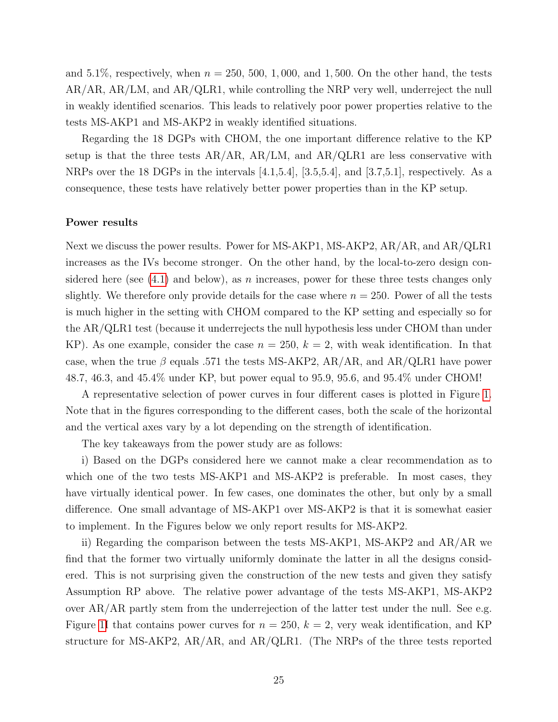and 5.1%, respectively, when  $n = 250, 500, 1,000,$  and 1,500. On the other hand, the tests AR/AR, AR/LM, and AR/QLR1, while controlling the NRP very well, underreject the null in weakly identified scenarios. This leads to relatively poor power properties relative to the tests MS-AKP1 and MS-AKP2 in weakly identified situations.

Regarding the 18 DGPs with CHOM, the one important difference relative to the KP setup is that the three tests  $AR/AR$ ,  $AR/LM$ , and  $AR/QLR1$  are less conservative with NRPs over the 18 DGPs in the intervals  $[4.1,5.4]$ ,  $[3.5,5.4]$ , and  $[3.7,5.1]$ , respectively. As a consequence, these tests have relatively better power properties than in the KP setup.

#### Power results

Next we discuss the power results. Power for MS-AKP1, MS-AKP2, AR/AR, and AR/QLR1 increases as the IVs become stronger. On the other hand, by the local-to-zero design considered here (see  $(4.1)$  and below), as n increases, power for these three tests changes only slightly. We therefore only provide details for the case where  $n = 250$ . Power of all the tests is much higher in the setting with CHOM compared to the KP setting and especially so for the AR/QLR1 test (because it underrejects the null hypothesis less under CHOM than under KP). As one example, consider the case  $n = 250$ ,  $k = 2$ , with weak identification. In that case, when the true  $\beta$  equals .571 the tests MS-AKP2, AR/AR, and AR/QLR1 have power 48.7, 46.3, and 45.4% under KP, but power equal to 95.9, 95.6, and 95.4% under CHOM!

A representative selection of power curves in four different cases is plotted in Figure [1.](#page-25-0) Note that in the figures corresponding to the different cases, both the scale of the horizontal and the vertical axes vary by a lot depending on the strength of identification.

The key takeaways from the power study are as follows:

i) Based on the DGPs considered here we cannot make a clear recommendation as to which one of the two tests MS-AKP1 and MS-AKP2 is preferable. In most cases, they have virtually identical power. In few cases, one dominates the other, but only by a small difference. One small advantage of MS-AKP1 over MS-AKP2 is that it is somewhat easier to implement. In the Figures below we only report results for MS-AKP2.

ii) Regarding the comparison between the tests MS-AKP1, MS-AKP2 and AR/AR we find that the former two virtually uniformly dominate the latter in all the designs considered. This is not surprising given the construction of the new tests and given they satisfy Assumption RP above. The relative power advantage of the tests MS-AKP1, MS-AKP2 over AR/AR partly stem from the underrejection of the latter test under the null. See e.g. Figure [1I](#page-25-0) that contains power curves for  $n = 250$ ,  $k = 2$ , very weak identification, and KP structure for MS-AKP2, AR/AR, and AR/QLR1. (The NRPs of the three tests reported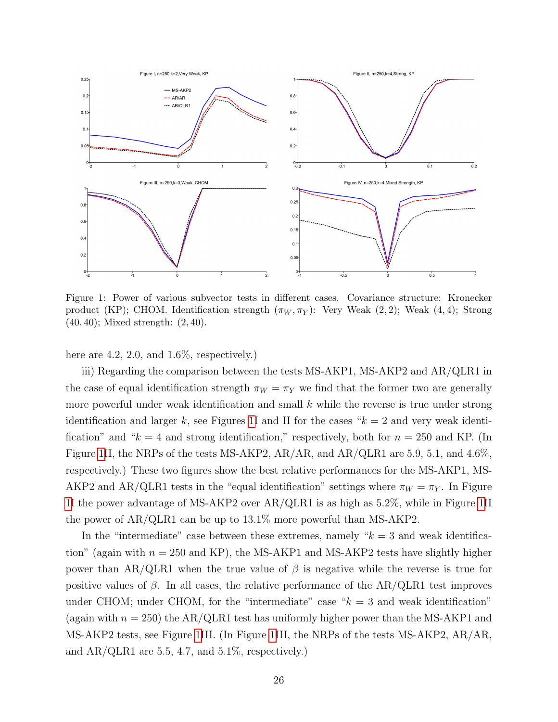<span id="page-25-0"></span>

Figure 1: Power of various subvector tests in different cases. Covariance structure: Kronecker product (KP); CHOM. Identification strength  $(\pi_W, \pi_Y)$ : Very Weak  $(2, 2)$ ; Weak  $(4, 4)$ ; Strong (40, 40); Mixed strength: (2, 40).

here are 4.2, 2.0, and  $1.6\%$ , respectively.)

iii) Regarding the comparison between the tests MS-AKP1, MS-AKP2 and AR/QLR1 in the case of equal identification strength  $\pi_W = \pi_Y$  we find that the former two are generally more powerful under weak identification and small  $k$  while the reverse is true under strong identification and larger k, see Figures [1I](#page-25-0) and II for the cases " $k = 2$  and very weak identification" and " $k = 4$  and strong identification," respectively, both for  $n = 250$  and KP. (In Figure [1I](#page-25-0)I, the NRPs of the tests MS-AKP2, AR/AR, and AR/QLR1 are 5.9, 5.1, and 4.6%, respectively.) These two figures show the best relative performances for the MS-AKP1, MS-AKP2 and AR/QLR1 tests in the "equal identification" settings where  $\pi_W = \pi_Y$ . In Figure [1I](#page-25-0) the power advantage of MS-AKP2 over AR/QLR1 is as high as 5.2%, while in Figure [1I](#page-25-0)I the power of AR/QLR1 can be up to 13.1% more powerful than MS-AKP2.

In the "intermediate" case between these extremes, namely  $k = 3$  and weak identification" (again with  $n = 250$  and KP), the MS-AKP1 and MS-AKP2 tests have slightly higher power than AR/QLR1 when the true value of  $\beta$  is negative while the reverse is true for positive values of  $\beta$ . In all cases, the relative performance of the AR/QLR1 test improves under CHOM; under CHOM, for the "intermediate" case  $k = 3$  and weak identification" (again with  $n = 250$ ) the AR/QLR1 test has uniformly higher power than the MS-AKP1 and MS-AKP2 tests, see Figure [1I](#page-25-0)II. (In Figure [1I](#page-25-0)II, the NRPs of the tests MS-AKP2, AR/AR, and  $AR/QLR1$  are 5.5, 4.7, and 5.1%, respectively.)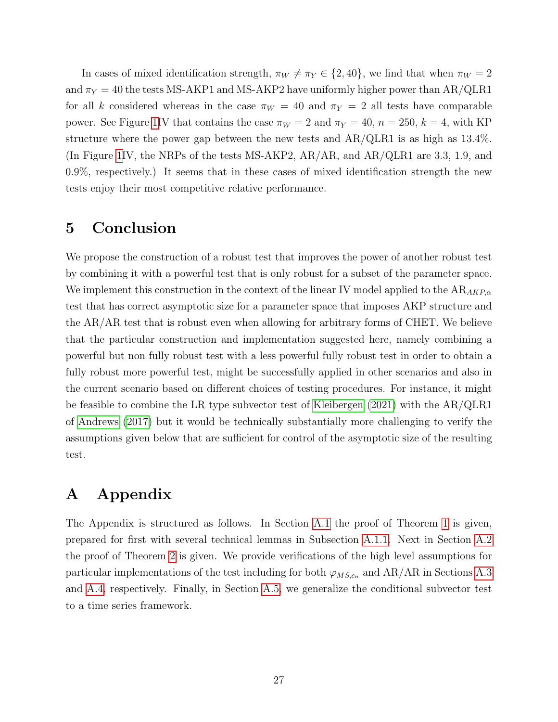In cases of mixed identification strength,  $\pi_W \neq \pi_Y \in \{2, 40\}$ , we find that when  $\pi_W = 2$ and  $\pi_Y = 40$  the tests MS-AKP1 and MS-AKP2 have uniformly higher power than AR/QLR1 for all k considered whereas in the case  $\pi_W = 40$  and  $\pi_Y = 2$  all tests have comparable power. See Figure [1I](#page-25-0)V that contains the case  $\pi_W = 2$  and  $\pi_Y = 40$ ,  $n = 250$ ,  $k = 4$ , with KP structure where the power gap between the new tests and AR/QLR1 is as high as 13.4%. (In Figure [1I](#page-25-0)V, the NRPs of the tests MS-AKP2, AR/AR, and AR/QLR1 are 3.3, 1.9, and 0.9%, respectively.) It seems that in these cases of mixed identification strength the new tests enjoy their most competitive relative performance.

### 5 Conclusion

We propose the construction of a robust test that improves the power of another robust test by combining it with a powerful test that is only robust for a subset of the parameter space. We implement this construction in the context of the linear IV model applied to the  $AR_{AKP,\alpha}$ test that has correct asymptotic size for a parameter space that imposes AKP structure and the AR/AR test that is robust even when allowing for arbitrary forms of CHET. We believe that the particular construction and implementation suggested here, namely combining a powerful but non fully robust test with a less powerful fully robust test in order to obtain a fully robust more powerful test, might be successfully applied in other scenarios and also in the current scenario based on different choices of testing procedures. For instance, it might be feasible to combine the LR type subvector test of [Kleibergen \(2021\)](#page-47-0) with the AR/QLR1 of [Andrews \(2017\)](#page-45-0) but it would be technically substantially more challenging to verify the assumptions given below that are sufficient for control of the asymptotic size of the resulting test.

### A Appendix

The Appendix is structured as follows. In Section [A.1](#page-27-0) the proof of Theorem [1](#page-9-0) is given, prepared for first with several technical lemmas in Subsection [A.1.1.](#page-27-1) Next in Section [A.2](#page-38-0) the proof of Theorem [2](#page-14-0) is given. We provide verifications of the high level assumptions for particular implementations of the test including for both  $\varphi_{MS,c_n}$  and AR/AR in Sections [A.3](#page-40-0) and [A.4,](#page-40-1) respectively. Finally, in Section [A.5,](#page-44-0) we generalize the conditional subvector test to a time series framework.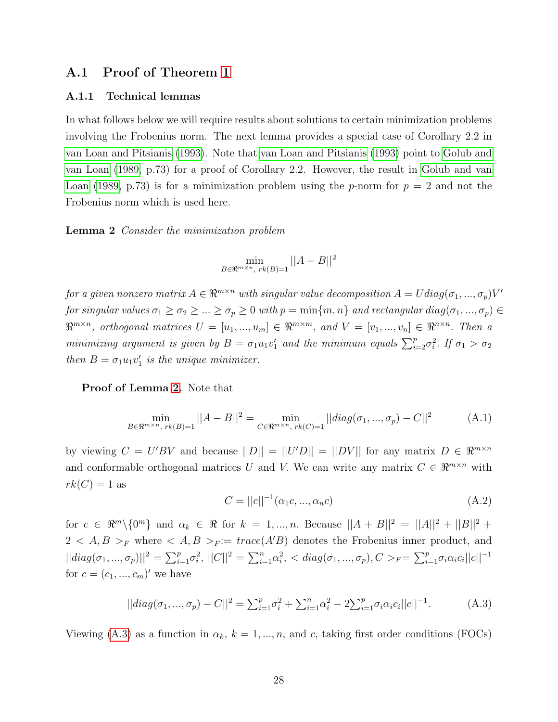### <span id="page-27-0"></span>A.1 Proof of Theorem [1](#page-9-0)

#### <span id="page-27-1"></span>A.1.1 Technical lemmas

In what follows below we will require results about solutions to certain minimization problems involving the Frobenius norm. The next lemma provides a special case of Corollary 2.2 in [van Loan and Pitsianis \(1993\)](#page-47-3). Note that [van Loan and Pitsianis \(1993\)](#page-47-3) point to [Golub and](#page-46-16) [van Loan \(1989,](#page-46-16) p.73) for a proof of Corollary 2.2. However, the result in [Golub and van](#page-46-16) [Loan \(1989,](#page-46-16) p.73) is for a minimization problem using the p-norm for  $p = 2$  and not the Frobenius norm which is used here.

<span id="page-27-2"></span>Lemma 2 Consider the minimization problem

$$
\min_{B \in \mathbb{R}^{m \times n}, \ rk(B) = 1} ||A - B||^2
$$

for a given nonzero matrix  $A \in \Re^{m \times n}$  with singular value decomposition  $A = U diag(\sigma_1, ..., \sigma_p)V'$ for singular values  $\sigma_1 \geq \sigma_2 \geq ... \geq \sigma_p \geq 0$  with  $p = \min\{m, n\}$  and rectangular diag $(\sigma_1, ..., \sigma_p) \in$  $\mathbb{R}^{m \times n}$ , orthogonal matrices  $U = [u_1, ..., u_m] \in \mathbb{R}^{m \times m}$ , and  $V = [v_1, ..., v_n] \in \mathbb{R}^{n \times n}$ . Then a minimizing argument is given by  $B = \sigma_1 u_1 v_1'$  and the minimum equals  $\sum_{i=2}^p \sigma_i^2$ . If  $\sigma_1 > \sigma_2$ then  $B = \sigma_1 u_1 v'_1$  is the unique minimizer.

Proof of Lemma [2.](#page-27-2) Note that

<span id="page-27-4"></span>
$$
\min_{B \in \mathbb{R}^{m \times n}, \ r k(B)=1} ||A - B||^2 = \min_{C \in \mathbb{R}^{m \times n}, \ r k(C)=1} ||diag(\sigma_1, ..., \sigma_p) - C||^2 \tag{A.1}
$$

by viewing  $C = U'BV$  and because  $||D|| = ||U'D|| = ||DV||$  for any matrix  $D \in \mathbb{R}^{m \times n}$ and conformable orthogonal matrices U and V. We can write any matrix  $C \in \mathbb{R}^{m \times n}$  with  $rk(C) = 1$  as

<span id="page-27-5"></span>
$$
C = ||c||^{-1}(\alpha_1 c, ..., \alpha_n c)
$$
\n(A.2)

for  $c \in \Re^m \setminus \{0^m\}$  and  $\alpha_k \in \Re$  for  $k = 1, ..., n$ . Because  $||A + B||^2 = ||A||^2 + ||B||^2 + ||B||^2$  $2 < A, B >_F$  where  $< A, B >_F := trace(A'B)$  denotes the Frobenius inner product, and  $||diag(\sigma_1, ..., \sigma_p)||^2 = \sum_{i=1}^p \sigma_i^2$ ,  $||C||^2 = \sum_{i=1}^n \alpha_i^2$ ,  $\langle diag(\sigma_1, ..., \sigma_p), C \rangle_F = \sum_{i=1}^p \sigma_i \alpha_i c_i ||c||^{-1}$ for  $c = (c_1, ..., c_m)'$  we have

<span id="page-27-3"></span>
$$
||diag(\sigma_1, ..., \sigma_p) - C||^2 = \sum_{i=1}^p \sigma_i^2 + \sum_{i=1}^n \alpha_i^2 - 2\sum_{i=1}^p \sigma_i \alpha_i c_i ||c||^{-1}.
$$
 (A.3)

Viewing [\(A.3\)](#page-27-3) as a function in  $\alpha_k$ ,  $k = 1, ..., n$ , and c, taking first order conditions (FOCs)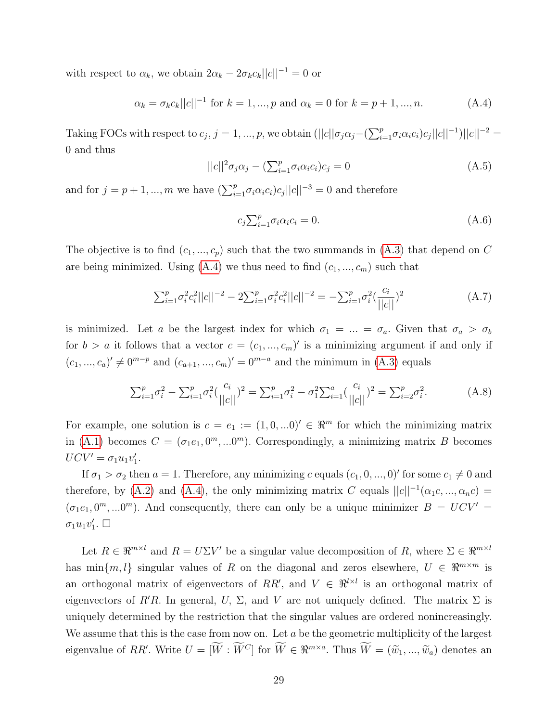with respect to  $\alpha_k$ , we obtain  $2\alpha_k - 2\sigma_k c_k ||c||^{-1} = 0$  or

<span id="page-28-0"></span>
$$
\alpha_k = \sigma_k c_k ||c||^{-1} \text{ for } k = 1, ..., p \text{ and } \alpha_k = 0 \text{ for } k = p + 1, ..., n. \tag{A.4}
$$

Taking FOCs with respect to  $c_j$ ,  $j = 1, ..., p$ , we obtain  $(||c|| \sigma_j \alpha_j - (\sum_{i=1}^p \sigma_i \alpha_i c_i) c_j ||c||^{-1}) ||c||^{-2} =$ 0 and thus

$$
||c||^2 \sigma_j \alpha_j - \left(\sum_{i=1}^p \sigma_i \alpha_i c_i\right) c_j = 0 \tag{A.5}
$$

and for  $j = p + 1, ..., m$  we have  $\left(\sum_{i=1}^p \sigma_i \alpha_i c_i\right) c_j ||c||^{-3} = 0$  and therefore

$$
c_j \sum_{i=1}^p \sigma_i \alpha_i c_i = 0. \tag{A.6}
$$

The objective is to find  $(c_1, ..., c_p)$  such that the two summands in  $(A.3)$  that depend on C are being minimized. Using  $(A.4)$  we thus need to find  $(c_1, ..., c_m)$  such that

$$
\sum_{i=1}^{p} \sigma_i^2 c_i^2 ||c||^{-2} - 2 \sum_{i=1}^{p} \sigma_i^2 c_i^2 ||c||^{-2} = - \sum_{i=1}^{p} \sigma_i^2 \left(\frac{c_i}{||c||}\right)^2 \tag{A.7}
$$

is minimized. Let a be the largest index for which  $\sigma_1 = ... = \sigma_a$ . Given that  $\sigma_a > \sigma_b$ for  $b > a$  it follows that a vector  $c = (c_1, ..., c_m)'$  is a minimizing argument if and only if  $(c_1, ..., c_a)' \neq 0^{m-p}$  and  $(c_{a+1}, ..., c_m)' = 0^{m-a}$  and the minimum in [\(A.3\)](#page-27-3) equals

$$
\sum_{i=1}^{p} \sigma_i^2 - \sum_{i=1}^{p} \sigma_i^2 \left(\frac{c_i}{||c||}\right)^2 = \sum_{i=1}^{p} \sigma_i^2 - \sigma_1^2 \sum_{i=1}^{a} \left(\frac{c_i}{||c||}\right)^2 = \sum_{i=2}^{p} \sigma_i^2.
$$
 (A.8)

For example, one solution is  $c = e_1 := (1, 0, ...0)' \in \mathbb{R}^m$  for which the minimizing matrix in [\(A.1\)](#page-27-4) becomes  $C = (\sigma_1 e_1, 0^m, ... 0^m)$ . Correspondingly, a minimizing matrix B becomes  $UCV' = \sigma_1 u_1 v'_1.$ 

If  $\sigma_1 > \sigma_2$  then  $a = 1$ . Therefore, any minimizing c equals  $(c_1, 0, ..., 0)$ ' for some  $c_1 \neq 0$  and therefore, by [\(A.2\)](#page-27-5) and [\(A.4\)](#page-28-0), the only minimizing matrix C equals  $||c||^{-1}(\alpha_1 c, ..., \alpha_n c)$  $(\sigma_1 e_1, 0^m, \ldots, 0^m)$ . And consequently, there can only be a unique minimizer  $B = UCV'$  $\sigma_1 u_1 v'_1$ .  $\Box$ 

Let  $R \in \mathbb{R}^{m \times l}$  and  $R = U \Sigma V'$  be a singular value decomposition of R, where  $\Sigma \in \mathbb{R}^{m \times l}$ has min $\{m, l\}$  singular values of R on the diagonal and zeros elsewhere,  $U \in \mathbb{R}^{m \times m}$  is an orthogonal matrix of eigenvectors of RR', and  $V \in \mathbb{R}^{l \times l}$  is an orthogonal matrix of eigenvectors of R'R. In general, U,  $\Sigma$ , and V are not uniquely defined. The matrix  $\Sigma$  is uniquely determined by the restriction that the singular values are ordered nonincreasingly. We assume that this is the case from now on. Let  $a$  be the geometric multiplicity of the largest eigenvalue of RR'. Write  $U = [W : \tilde{W}^C]$  for  $\tilde{W} \in \mathbb{R}^{m \times a}$ . Thus  $\tilde{W} = (\tilde{w}_1, ..., \tilde{w}_a)$  denotes an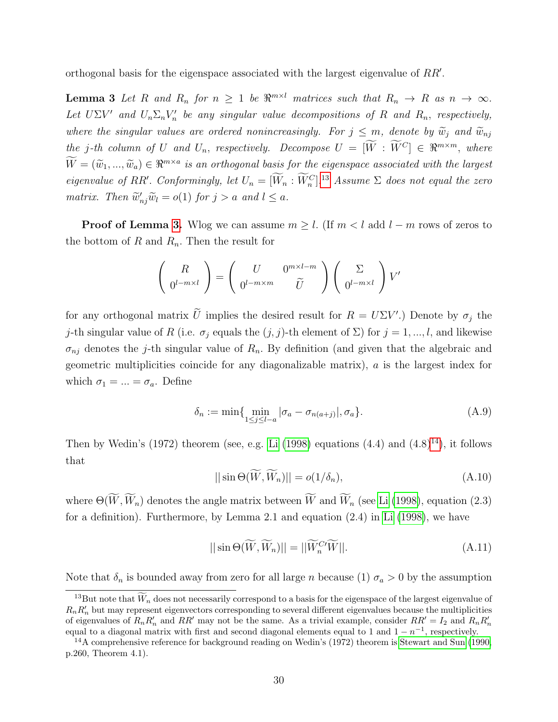<span id="page-29-0"></span>orthogonal basis for the eigenspace associated with the largest eigenvalue of  $RR'$ .

**Lemma 3** Let R and  $R_n$  for  $n \geq 1$  be  $\Re^{m \times l}$  matrices such that  $R_n \to R$  as  $n \to \infty$ . Let  $U\Sigma V'$  and  $U_n \Sigma_n V'_n$  be any singular value decompositions of R and R<sub>n</sub>, respectively, where the singular values are ordered nonincreasingly. For  $j \leq m$ , denote by  $\widetilde{w}_j$  and  $\widetilde{w}_{nj}$ the j-th column of U and  $U_n$ , respectively. Decompose  $U = [\widetilde{W} : \widetilde{W}^C] \in \mathbb{R}^{m \times m}$ , where  $\widetilde{W} = (\widetilde{w}_1, ..., \widetilde{w}_a) \in \Re^{m \times a}$  is an orthogonal basis for the eigenspace associated with the largest eigenvalue of RR'. Conformingly, let  $U_n = [W_n : W_n^C]$ .<sup>[13](#page-0-0)</sup> Assume  $\Sigma$  does not equal the zero matrix. Then  $\widetilde{w}'_{nj}\widetilde{w}_l = o(1)$  for  $j > a$  and  $l \leq a$ .

**Proof of Lemma [3.](#page-29-0)** Wlog we can assume  $m \geq l$ . (If  $m < l$  add  $l - m$  rows of zeros to the bottom of R and  $R_n$ . Then the result for

$$
\begin{pmatrix} R \\ 0^{l-m \times l} \end{pmatrix} = \begin{pmatrix} U & 0^{m \times l-m} \\ 0^{l-m \times m} & \widetilde{U} \end{pmatrix} \begin{pmatrix} \Sigma \\ 0^{l-m \times l} \end{pmatrix} V'
$$

for any orthogonal matrix  $\tilde{U}$  implies the desired result for  $R = U\Sigma V'$ .) Denote by  $\sigma_j$  the j-th singular value of R (i.e.  $\sigma_j$  equals the  $(j, j)$ -th element of  $\Sigma$ ) for  $j = 1, ..., l$ , and likewise  $\sigma_{nj}$  denotes the j-th singular value of  $R_n$ . By definition (and given that the algebraic and geometric multiplicities coincide for any diagonalizable matrix), a is the largest index for which  $\sigma_1 = ... = \sigma_a$ . Define

$$
\delta_n := \min\{\min_{1 \le j \le l-a} |\sigma_a - \sigma_{n(a+j)}|, \sigma_a\}.
$$
\n(A.9)

Then by Wedin's (1972) theorem (see, e.g. [Li \(1998\)](#page-47-7) equations  $(4.4)$  and  $(4.8)^{14}$  $(4.8)^{14}$  $(4.8)^{14}$ ), it follows that

<span id="page-29-1"></span>
$$
||\sin\Theta(\widetilde{W}, \widetilde{W}_n)|| = o(1/\delta_n), \tag{A.10}
$$

where  $\Theta(\widetilde{W}, \widetilde{W}_n)$  denotes the angle matrix between  $\widetilde{W}$  and  $\widetilde{W}_n$  (see [Li \(1998\)](#page-47-7), equation (2.3) for a definition). Furthermore, by Lemma 2.1 and equation (2.4) in [Li \(1998\)](#page-47-7), we have

<span id="page-29-2"></span>
$$
||\sin\Theta(\widetilde{W}, \widetilde{W}_n)|| = ||\widetilde{W}_n^{C'}\widetilde{W}||. \tag{A.11}
$$

Note that  $\delta_n$  is bounded away from zero for all large *n* because (1)  $\sigma_a > 0$  by the assumption

<sup>&</sup>lt;sup>13</sup>But note that  $\widetilde{W}_n$  does not necessarily correspond to a basis for the eigenspace of the largest eigenvalue of  $R_n R'_n$  but may represent eigenvectors corresponding to several different eigenvalues because the multiplicities of eigenvalues of  $R_n R'_n$  and  $RR'$  may not be the same. As a trivial example, consider  $RR' = I_2$  and  $R_n R'_n$ equal to a diagonal matrix with first and second diagonal elements equal to 1 and  $1 - n^{-1}$ , respectively.

 $14A$  comprehensive reference for background reading on Wedin's (1972) theorem is [Stewart and Sun](#page-47-8) [\(1990,](#page-47-8) p.260, Theorem 4.1).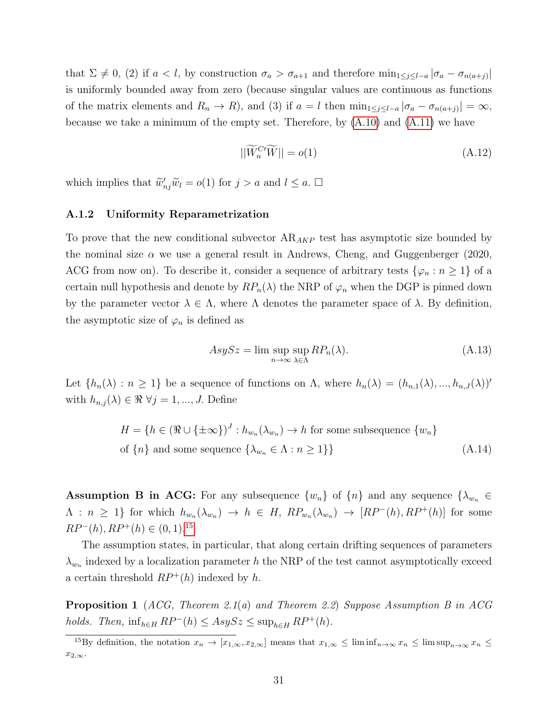that  $\Sigma \neq 0$ , (2) if  $a < l$ , by construction  $\sigma_a > \sigma_{a+1}$  and therefore  $\min_{1 \leq j \leq l-a} |\sigma_a - \sigma_{n(a+j)}|$ is uniformly bounded away from zero (because singular values are continuous as functions of the matrix elements and  $R_n \to R$ , and (3) if  $a = l$  then  $\min_{1 \leq j \leq l-a} |\sigma_a - \sigma_{n(a+j)}| = \infty$ , because we take a minimum of the empty set. Therefore, by  $(A.10)$  and  $(A.11)$  we have

$$
||\widetilde{W}_n^{C'}\widetilde{W}|| = o(1) \tag{A.12}
$$

which implies that  $\widetilde{w}'_{nj}\widetilde{w}_l = o(1)$  for  $j > a$  and  $l \leq a$ .  $\Box$ 

#### A.1.2 Uniformity Reparametrization

To prove that the new conditional subvector  $AR_{AKP}$  test has asymptotic size bounded by the nominal size  $\alpha$  we use a general result in Andrews, Cheng, and Guggenberger (2020, ACG from now on). To describe it, consider a sequence of arbitrary tests  $\{\varphi_n : n \geq 1\}$  of a certain null hypothesis and denote by  $RP_n(\lambda)$  the NRP of  $\varphi_n$  when the DGP is pinned down by the parameter vector  $\lambda \in \Lambda$ , where  $\Lambda$  denotes the parameter space of  $\lambda$ . By definition, the asymptotic size of  $\varphi_n$  is defined as

<span id="page-30-0"></span>
$$
AsySz = \limsup_{n \to \infty} \sup_{\lambda \in \Lambda} RP_n(\lambda). \tag{A.13}
$$

Let  $\{h_n(\lambda): n \geq 1\}$  be a sequence of functions on  $\Lambda$ , where  $h_n(\lambda) = (h_{n,1}(\lambda), ..., h_{n,J}(\lambda))'$ with  $h_{n,j}(\lambda) \in \Re \ \forall j = 1, ..., J$ . Define

$$
H = \{ h \in (\Re \cup \{\pm \infty\})^J : h_{w_n}(\lambda_{w_n}) \to h \text{ for some subsequence } \{w_n\}
$$
  
of  $\{n\}$  and some sequence  $\{\lambda_{w_n} \in \Lambda : n \ge 1\}$  (A.14)

**Assumption B in ACG:** For any subsequence  $\{w_n\}$  of  $\{n\}$  and any sequence  $\{\lambda_{w_n} \in$  $\Lambda : n \geq 1$  for which  $h_{w_n}(\lambda_{w_n}) \to h \in H$ ,  $RP_{w_n}(\lambda_{w_n}) \to [RP^-(h), RP^+(h)]$  for some  $RP^-(h), RP^+(h) \in (0,1).^{15}$  $RP^-(h), RP^+(h) \in (0,1).^{15}$  $RP^-(h), RP^+(h) \in (0,1).^{15}$ 

The assumption states, in particular, that along certain drifting sequences of parameters  $\lambda_{w_n}$  indexed by a localization parameter h the NRP of the test cannot asymptotically exceed a certain threshold  $RP^+(h)$  indexed by h.

<span id="page-30-1"></span>**Proposition 1** (ACG, Theorem 2.1(a) and Theorem 2.2) Suppose Assumption B in ACG holds. Then,  $\inf_{h \in H} RP^{-}(h) \leq AsySz \leq \sup_{h \in H} RP^{+}(h)$ .

<sup>&</sup>lt;sup>15</sup>By definition, the notation  $x_n \to [x_{1,\infty}, x_{2,\infty}]$  means that  $x_{1,\infty} \leq \liminf_{n\to\infty} x_n \leq \limsup_{n\to\infty} x_n \leq$  $x_{2,\infty}$ .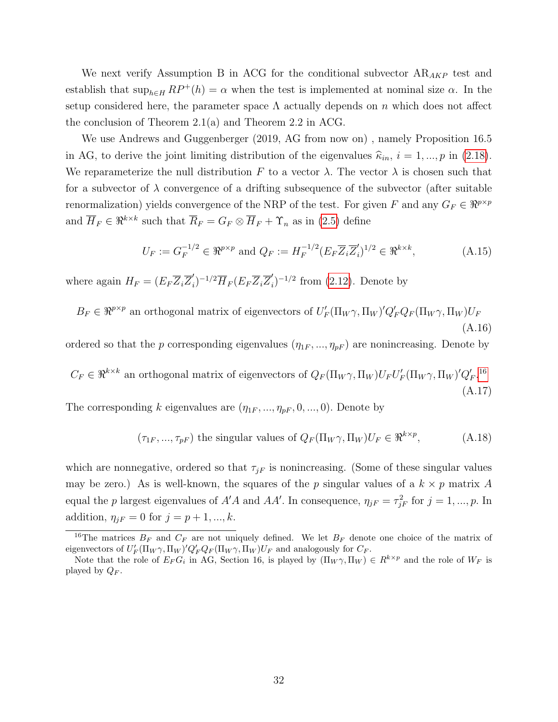We next verify Assumption B in ACG for the conditional subvector  $AR_{AKP}$  test and establish that  $\sup_{h\in H} RP^+(h) = \alpha$  when the test is implemented at nominal size  $\alpha$ . In the setup considered here, the parameter space  $\Lambda$  actually depends on n which does not affect the conclusion of Theorem 2.1(a) and Theorem 2.2 in ACG.

We use Andrews and Guggenberger (2019, AG from now on) , namely Proposition 16.5 in AG, to derive the joint limiting distribution of the eigenvalues  $\hat{\kappa}_{in}$ ,  $i = 1, ..., p$  in [\(2.18\)](#page-8-2). We reparameterize the null distribution F to a vector  $\lambda$ . The vector  $\lambda$  is chosen such that for a subvector of  $\lambda$  convergence of a drifting subsequence of the subvector (after suitable renormalization) yields convergence of the NRP of the test. For given F and any  $G_F \in \mathbb{R}^{p \times p}$ and  $\overline{H}_F \in \Re^{k \times k}$  such that  $\overline{R}_F = G_F \otimes \overline{H}_F + \Upsilon_n$  as in [\(2.5\)](#page-5-0) define

<span id="page-31-0"></span>
$$
U_F := G_F^{-1/2} \in \mathfrak{R}^{p \times p} \text{ and } Q_F := H_F^{-1/2} (E_F \overline{Z}_i \overline{Z}'_i)^{1/2} \in \mathfrak{R}^{k \times k}, \tag{A.15}
$$

where again  $H_F = (E_F \overline{Z}_i \overline{Z}'_i)$  $\overline{H}_{i})^{-1/2}\overline{H}_{F}(E_{F}\overline{Z}_{i}\overline{Z}_{i}')$  $j_1^{'}$ <sup>-1/2</sup> from [\(2.12\)](#page-7-3). Denote by

 $B_F \in \mathbb{R}^{p \times p}$  an orthogonal matrix of eigenvectors of  $U'_F(\Pi_W \gamma, \Pi_W)' Q'_F Q_F(\Pi_W \gamma, \Pi_W) U_F$ (A.16)

ordered so that the p corresponding eigenvalues  $(\eta_{1F}, ..., \eta_{pF})$  are nonincreasing. Denote by

 $C_F \in \Re^{k \times k}$  an orthogonal matrix of eigenvectors of  $Q_F(\Pi_W \gamma, \Pi_W) U_F U_F'(\Pi_W \gamma, \Pi_W)' Q_F'$ .<sup>[16](#page-0-0)</sup> (A.17)

The corresponding k eigenvalues are  $(\eta_{1F}, ..., \eta_{pF}, 0, ..., 0)$ . Denote by

<span id="page-31-1"></span>
$$
(\tau_{1F}, ..., \tau_{pF})
$$
 the singular values of  $Q_F(\Pi_W \gamma, \Pi_W)U_F \in \mathbb{R}^{k \times p}$ , (A.18)

which are nonnegative, ordered so that  $\tau_{iF}$  is nonincreasing. (Some of these singular values may be zero.) As is well-known, the squares of the p singular values of a  $k \times p$  matrix A equal the p largest eigenvalues of  $A'A$  and  $AA'$ . In consequence,  $\eta_{jF} = \tau_{jF}^2$  for  $j = 1, ..., p$ . In addition,  $\eta_{jF} = 0$  for  $j = p + 1, ..., k$ .

<sup>&</sup>lt;sup>16</sup>The matrices  $B_F$  and  $C_F$  are not uniquely defined. We let  $B_F$  denote one choice of the matrix of eigenvectors of  $U'_F(\Pi_W\gamma,\Pi_W)Q'_FQ_F(\Pi_W\gamma,\Pi_W)U_F$  and analogously for  $C_F$ .

Note that the role of  $E_F G_i$  in AG, Section 16, is played by  $(\Pi_W \gamma, \Pi_W) \in R^{k \times p}$  and the role of  $W_F$  is played by  $Q_F$ .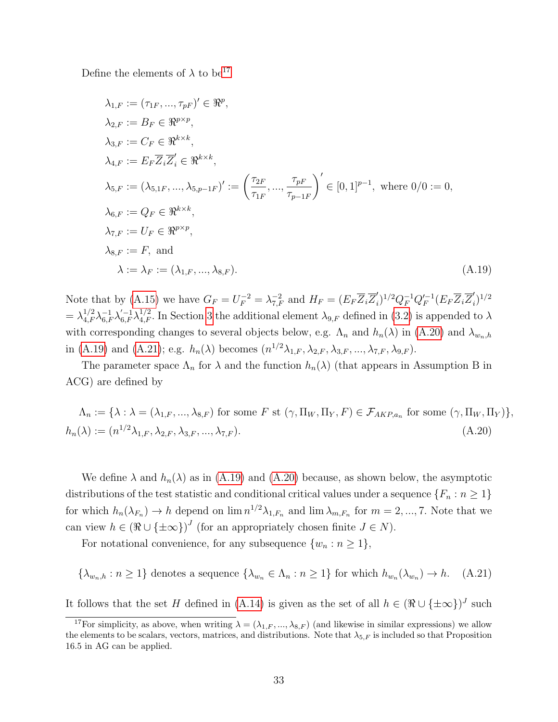Define the elements of  $\lambda$  to be<sup>[17](#page-0-0)</sup>

<span id="page-32-2"></span>
$$
\lambda_{1,F} := (\tau_{1F}, ..., \tau_{pF})' \in \mathbb{R}^p,
$$
  
\n
$$
\lambda_{2,F} := B_F \in \mathbb{R}^{p \times p},
$$
  
\n
$$
\lambda_{3,F} := C_F \in \mathbb{R}^{k \times k},
$$
  
\n
$$
\lambda_{4,F} := E_F \overline{Z}_i \overline{Z}'_i \in \mathbb{R}^{k \times k},
$$
  
\n
$$
\lambda_{5,F} := (\lambda_{5,1F}, ..., \lambda_{5,p-1F})' := \left(\frac{\tau_{2F}}{\tau_{1F}}, ..., \frac{\tau_{pF}}{\tau_{p-1F}}\right)' \in [0,1]^{p-1}, \text{ where } 0/0 := 0,
$$
  
\n
$$
\lambda_{6,F} := Q_F \in \mathbb{R}^{k \times k},
$$
  
\n
$$
\lambda_{7,F} := U_F \in \mathbb{R}^{p \times p},
$$
  
\n
$$
\lambda_{8,F} := F, \text{ and}
$$
  
\n
$$
\lambda := \lambda_F := (\lambda_{1,F}, ..., \lambda_{8,F}).
$$
  
\n(A.19)

Note that by [\(A.15\)](#page-31-0) we have  $G_F = U_F^{-2} = \lambda_{7,F}^{-2}$  and  $H_F = (E_F \overline{Z}_i \overline{Z}_i')$  $j_0^{'}\rangle^{1/2}Q_F^{-1}Q_F'^{-1}$  $I_F^{-1}(E_F \overline{Z}_i \overline{Z}_i^\prime$  $\binom{n}{i}^{1/2}$  $=\lambda_{4,F}^{1/2}\lambda_{6,F}^{-1}\lambda_{6,F}^{1/2}$ . In Section [3](#page-11-0) the additional element  $\lambda_{9,F}$  defined in [\(3.2\)](#page-12-2) is appended to  $\lambda$ with corresponding changes to several objects below, e.g.  $\Lambda_n$  and  $h_n(\lambda)$  in [\(A.20\)](#page-32-1) and  $\lambda_{w_n,h}$ in [\(A.19\)](#page-32-2) and [\(A.21\)](#page-32-0); e.g.  $h_n(\lambda)$  becomes  $(n^{1/2}\lambda_{1,F}, \lambda_{2,F}, \lambda_{3,F}, ..., \lambda_{7,F}, \lambda_{9,F}).$ 

The parameter space  $\Lambda_n$  for  $\lambda$  and the function  $h_n(\lambda)$  (that appears in Assumption B in ACG) are defined by

<span id="page-32-1"></span>
$$
\Lambda_n := \{ \lambda : \lambda = (\lambda_{1,F}, ..., \lambda_{8,F}) \text{ for some } F \text{ st } (\gamma, \Pi_W, \Pi_Y, F) \in \mathcal{F}_{AKP,a_n} \text{ for some } (\gamma, \Pi_W, \Pi_Y) \},
$$

$$
h_n(\lambda) := (n^{1/2}\lambda_{1,F}, \lambda_{2,F}, \lambda_{3,F}, ..., \lambda_{7,F}).
$$
\n(A.20)

We define  $\lambda$  and  $h_n(\lambda)$  as in [\(A.19\)](#page-32-2) and [\(A.20\)](#page-32-1) because, as shown below, the asymptotic distributions of the test statistic and conditional critical values under a sequence  $\{F_n : n \geq 1\}$ for which  $h_n(\lambda_{F_n}) \to h$  depend on  $\lim n^{1/2} \lambda_{1,F_n}$  and  $\lim \lambda_{m,F_n}$  for  $m = 2, ..., 7$ . Note that we can view  $h \in (\Re \cup \{\pm \infty\})^J$  (for an appropriately chosen finite  $J \in N$ ).

For notational convenience, for any subsequence  $\{w_n : n \geq 1\},\$ 

<span id="page-32-0"></span>
$$
\{\lambda_{w_n,h} : n \ge 1\} \text{ denotes a sequence } \{\lambda_{w_n} \in \Lambda_n : n \ge 1\} \text{ for which } h_{w_n}(\lambda_{w_n}) \to h. \quad (A.21)
$$

It follows that the set H defined in [\(A.14\)](#page-30-0) is given as the set of all  $h \in (\Re \cup \{\pm \infty\})^J$  such

<sup>&</sup>lt;sup>17</sup>For simplicity, as above, when writing  $\lambda = (\lambda_{1,F}, ..., \lambda_{8,F})$  (and likewise in similar expressions) we allow the elements to be scalars, vectors, matrices, and distributions. Note that  $\lambda_{5,F}$  is included so that Proposition 16.5 in AG can be applied.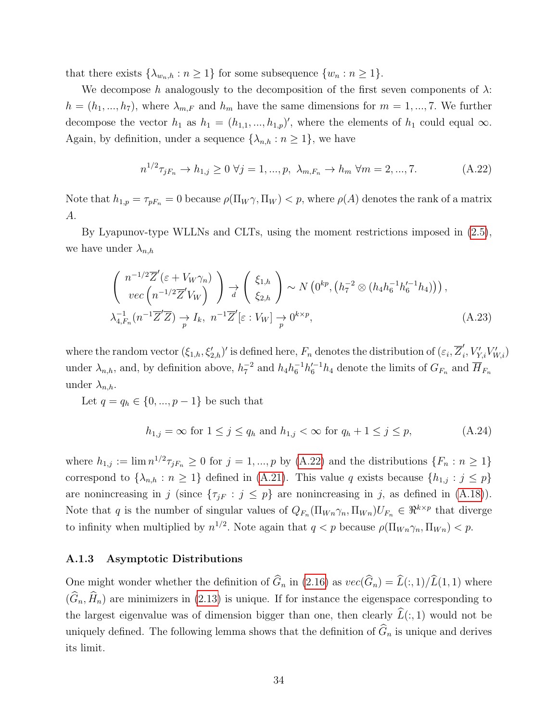that there exists  $\{\lambda_{w_n,h} : n \geq 1\}$  for some subsequence  $\{w_n : n \geq 1\}.$ 

We decompose h analogously to the decomposition of the first seven components of  $\lambda$ :  $h = (h_1, ..., h_7)$ , where  $\lambda_{m,F}$  and  $h_m$  have the same dimensions for  $m = 1, ..., 7$ . We further decompose the vector  $h_1$  as  $h_1 = (h_{1,1},...,h_{1,p})'$ , where the elements of  $h_1$  could equal  $\infty$ . Again, by definition, under a sequence  $\{\lambda_{n,h} : n \geq 1\}$ , we have

<span id="page-33-0"></span>
$$
n^{1/2}\tau_{jF_n} \to h_{1,j} \ge 0 \,\,\forall j = 1, ..., p, \,\,\lambda_{m,F_n} \to h_m \,\,\forall m = 2, ..., 7. \tag{A.22}
$$

Note that  $h_{1,p} = \tau_{pF_n} = 0$  because  $\rho(\Pi_W \gamma, \Pi_W) < p$ , where  $\rho(A)$  denotes the rank of a matrix A.

By Lyapunov-type WLLNs and CLTs, using the moment restrictions imposed in [\(2.5\)](#page-5-0), we have under  $\lambda_{n,h}$ 

$$
\begin{pmatrix}\nn^{-1/2}\overline{Z}'(\varepsilon + V_W \gamma_n) \\
vec\left(n^{-1/2}\overline{Z}'V_W\right)\n\end{pmatrix}\n\rightarrow\n\begin{pmatrix}\n\xi_{1,h} \\
\xi_{2,h}\n\end{pmatrix}\n\sim N\left(0^{kp}, \left(h_7^{-2} \otimes (h_4 h_6^{-1} h_6'^{-1} h_4)\right)\right),\n\lambda_{4,F_n}^{-1}\left(n^{-1}\overline{Z}'\overline{Z}\right)\n\rightarrow I_k, \quad n^{-1}\overline{Z}'[\varepsilon : V_W]\n\rightarrow\n0^{k \times p},
$$
\n(A.23)

where the random vector  $(\xi_{1,h}, \xi'_{2,h})'$  is defined here,  $F_n$  denotes the distribution of  $(\varepsilon_i, \overline{Z}'_i)$  $'_{i}, V'_{Y,i}V'_{W,i}$ under  $\lambda_{n,h}$ , and, by definition above,  $h_7^{-2}$  and  $h_4h_6^{-1}h_6'^{-1}h_4$  denote the limits of  $G_{F_n}$  and  $\overline{H}_{F_n}$ under  $\lambda_{n,h}$ .

Let  $q = q_h \in \{0, ..., p-1\}$  be such that

<span id="page-33-2"></span><span id="page-33-1"></span>
$$
h_{1,j} = \infty \text{ for } 1 \le j \le q_h \text{ and } h_{1,j} < \infty \text{ for } q_h + 1 \le j \le p,\tag{A.24}
$$

where  $h_{1,j} := \lim_{n \to \infty} n^{1/2} \tau_{jF_n} \geq 0$  for  $j = 1, ..., p$  by [\(A.22\)](#page-33-0) and the distributions  $\{F_n : n \geq 1\}$ correspond to  $\{\lambda_{n,h} : n \geq 1\}$  defined in [\(A.21\)](#page-32-0). This value q exists because  $\{h_{1,j} : j \leq p\}$ are nonincreasing in j (since  $\{\tau_{jF} : j \leq p\}$  are nonincreasing in j, as defined in [\(A.18\)](#page-31-1)). Note that q is the number of singular values of  $Q_{F_n}(\Pi_{W_n}\gamma_n, \Pi_{W_n})U_{F_n} \in \Re^{k \times p}$  that diverge to infinity when multiplied by  $n^{1/2}$ . Note again that  $q < p$  because  $\rho(\Pi_{Wn} \gamma_n, \Pi_{Wn}) < p$ .

### A.1.3 Asymptotic Distributions

One might wonder whether the definition of  $\widehat{G}_n$  in [\(2.16\)](#page-8-0) as  $vec(\widehat{G}_n) = \widehat{L}(:, 1)/\widehat{L}(1, 1)$  where  $(\widehat{G}_n, \widehat{H}_n)$  are minimizers in [\(2.13\)](#page-7-1) is unique. If for instance the eigenspace corresponding to the largest eigenvalue was of dimension bigger than one, then clearly  $\widehat{L}(:, 1)$  would not be uniquely defined. The following lemma shows that the definition of  $\widehat{G}_n$  is unique and derives its limit.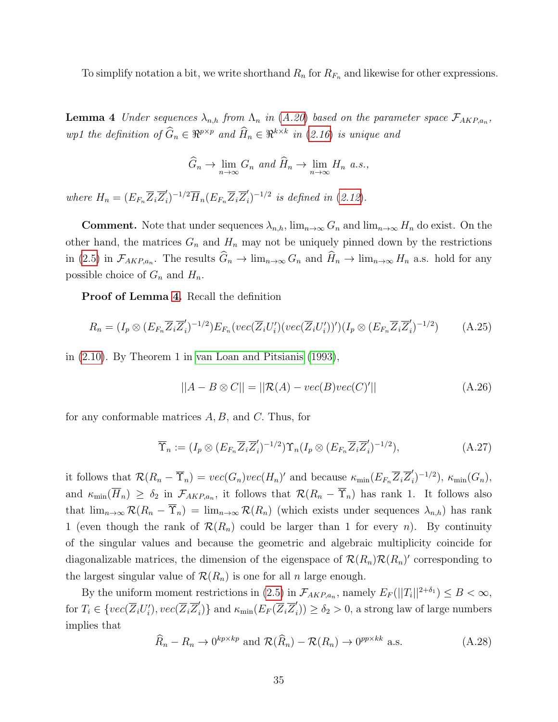To simplify notation a bit, we write shorthand  $R_n$  for  $R_{F_n}$  and likewise for other expressions.

<span id="page-34-0"></span>**Lemma 4** Under sequences  $\lambda_{n,h}$  from  $\Lambda_n$  in ([A.20](#page-32-1)) based on the parameter space  $\mathcal{F}_{AKP,a_n}$ , wp1 the definition of  $\widehat{G}_n \in \Re^{p \times p}$  and  $\widehat{H}_n \in \Re^{k \times k}$  in ([2.16](#page-8-0)) is unique and

$$
\widehat{G}_n \to \lim_{n \to \infty} G_n \text{ and } \widehat{H}_n \to \lim_{n \to \infty} H_n \text{ a.s.},
$$

where  $H_n = (E_{F_n} \overline{Z}_i \overline{Z}'_i)$  $\overline{H}_i)^{-1/2}\overline{H}_n(E_{F_n}\overline{Z}_i\overline{Z}_i')$  $i)$ <sup>-1/2</sup> is defined in ([2.12](#page-7-3)).

**Comment.** Note that under sequences  $\lambda_{n,h}$ ,  $\lim_{n\to\infty} G_n$  and  $\lim_{n\to\infty} H_n$  do exist. On the other hand, the matrices  $G_n$  and  $H_n$  may not be uniquely pinned down by the restrictions in [\(2.5\)](#page-5-0) in  $\mathcal{F}_{AKP,a_n}$ . The results  $G_n \to \lim_{n\to\infty} G_n$  and  $H_n \to \lim_{n\to\infty} H_n$  a.s. hold for any possible choice of  $G_n$  and  $H_n$ .

Proof of Lemma [4.](#page-34-0) Recall the definition

$$
R_n = (I_p \otimes (E_{F_n} \overline{Z}_i \overline{Z}'_i)^{-1/2}) E_{F_n}(vec(\overline{Z}_i U'_i) (vec(\overline{Z}_i U'_i))') (I_p \otimes (E_{F_n} \overline{Z}_i \overline{Z}'_i)^{-1/2})
$$
(A.25)

in [\(2.10\)](#page-7-2). By Theorem 1 in [van Loan and Pitsianis \(1993\)](#page-47-3),

$$
||A - B \otimes C|| = ||\mathcal{R}(A) - vec(B)vec(C)'||
$$
\n(A.26)

for any conformable matrices  $A, B$ , and  $C$ . Thus, for

$$
\overline{\Upsilon}_n := (I_p \otimes (E_{F_n} \overline{Z}_i \overline{Z}'_i)^{-1/2}) \Upsilon_n (I_p \otimes (E_{F_n} \overline{Z}_i \overline{Z}'_i)^{-1/2}), \tag{A.27}
$$

it follows that  $\mathcal{R}(R_n - \overline{\Upsilon}_n) = vec(G_n)vec(H_n)$  and because  $\kappa_{\min}(E_{F_n}\overline{Z}_i\overline{Z}_i)$  $\kappa'_i)^{-1/2}, \ \kappa_{\min}(G_n),$ and  $\kappa_{\min}(H_n) \geq \delta_2$  in  $\mathcal{F}_{AKP,a_n}$ , it follows that  $\mathcal{R}(R_n - \Upsilon_n)$  has rank 1. It follows also that  $\lim_{n\to\infty} \mathcal{R}(R_n - \overline{\Upsilon}_n) = \lim_{n\to\infty} \mathcal{R}(R_n)$  (which exists under sequences  $\lambda_{n,h}$ ) has rank 1 (even though the rank of  $\mathcal{R}(R_n)$  could be larger than 1 for every n). By continuity of the singular values and because the geometric and algebraic multiplicity coincide for diagonalizable matrices, the dimension of the eigenspace of  $\mathcal{R}(R_n)\mathcal{R}(R_n)$ ' corresponding to the largest singular value of  $\mathcal{R}(R_n)$  is one for all n large enough.

By the uniform moment restrictions in [\(2.5\)](#page-5-0) in  $\mathcal{F}_{AKP,a_n}$ , namely  $E_F(||T_i||^{2+\delta_1}) \leq B < \infty$ , for  $T_i \in \{vec(\overline{Z}_i U'_i), vec(\overline{Z}_i \overline{Z}'_i)\}$  $\mathcal{K}_i$ )} and  $\kappa_{\min}(E_F(\overline{Z}_i\overline{Z}_i')$  $\delta_i$ )  $\geq \delta_2 > 0$ , a strong law of large numbers implies that

<span id="page-34-1"></span>
$$
\widehat{R}_n - R_n \to 0^{kp \times kp} \text{ and } \mathcal{R}(\widehat{R}_n) - \mathcal{R}(R_n) \to 0^{pp \times kk} \text{ a.s.}
$$
\n(A.28)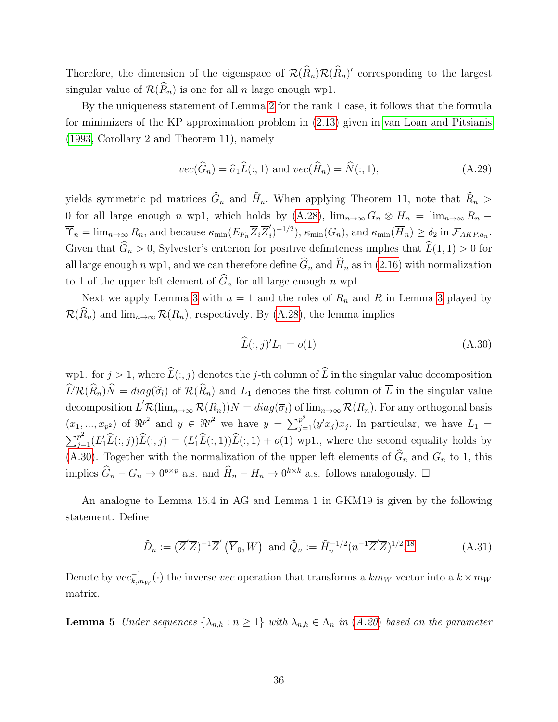Therefore, the dimension of the eigenspace of  $\mathcal{R}(\widehat{R}_n)\mathcal{R}(\widehat{R}_n)'$  corresponding to the largest singular value of  $\mathcal{R}(\widehat{R}_n)$  is one for all n large enough wp1.

By the uniqueness statement of Lemma [2](#page-27-2) for the rank 1 case, it follows that the formula for minimizers of the KP approximation problem in [\(2.13\)](#page-7-1) given in [van Loan and Pitsianis](#page-47-3) [\(1993,](#page-47-3) Corollary 2 and Theorem 11), namely

$$
vec(\hat{G}_n) = \hat{\sigma}_1 \hat{L}(:,1) \text{ and } vec(\hat{H}_n) = \hat{N}(:,1), \qquad (A.29)
$$

yields symmetric pd matrices  $\widehat{G}_n$  and  $\widehat{H}_n$ . When applying Theorem 11, note that  $\widehat{R}_n >$ 0 for all large enough n wp1, which holds by [\(A.28\)](#page-34-1),  $\lim_{n\to\infty} G_n \otimes H_n = \lim_{n\to\infty} R_n$  $\overline{\Upsilon}_n = \lim_{n \to \infty} R_n$ , and because  $\kappa_{\min}(E_{F_n} \overline{Z}_i \overline{Z}_i')$  $\mathcal{K}'_i$ <sup>-1/2</sup>),  $\kappa_{\min}(G_n)$ , and  $\kappa_{\min}(\overline{H}_n) \ge \delta_2$  in  $\mathcal{F}_{AKP,a_n}$ . Given that  $\widehat{G}_n > 0$ , Sylvester's criterion for positive definiteness implies that  $\widehat{L}(1, 1) > 0$  for all large enough n wp1, and we can therefore define  $\widehat{G}_n$  and  $\widehat{H}_n$  as in [\(2.16\)](#page-8-0) with normalization to 1 of the upper left element of  $\widehat{G}_n$  for all large enough n wp1.

Next we apply Lemma [3](#page-29-0) with  $a = 1$  and the roles of  $R_n$  and R in Lemma 3 played by  $\mathcal{R}(\widehat{R}_n)$  and  $\lim_{n\to\infty} \mathcal{R}(R_n)$ , respectively. By [\(A.28\)](#page-34-1), the lemma implies

<span id="page-35-0"></span>
$$
\widehat{L}(:,j)'L_1 = o(1) \tag{A.30}
$$

wp1. for  $j > 1$ , where  $\widehat{L}(:, j)$  denotes the j-th column of  $\widehat{L}$  in the singular value decomposition  $\widehat{L}'\mathcal{R}(\widehat{R}_n)\widehat{N} = diag(\widehat{\sigma}_l)$  of  $\mathcal{R}(\widehat{R}_n)$  and  $L_1$  denotes the first column of  $\overline{L}$  in the singular value decomposition  $\overline{L}'\mathcal{R}(\lim_{n\to\infty}\mathcal{R}(R_n))\overline{N} = diag(\overline{\sigma}_l)$  of  $\lim_{n\to\infty}\mathcal{R}(R_n)$ . For any orthogonal basis  $(x_1,...,x_{p^2})$  of  $\Re^{p^2}$  and  $y \in \Re^{p^2}$  we have  $y = \sum_{j=1}^{p^2} (y'x_j)x_j$ . In particular, we have  $L_1 =$  $\sum_{j=1}^{p^2} (L'_1 \widehat{L}(:,j)) \widehat{L}(:,j) = (L'_1 \widehat{L}(:,1)) \widehat{L}(:,1) + o(1)$  wp1., where the second equality holds by [\(A.30\)](#page-35-0). Together with the normalization of the upper left elements of  $\widehat{G}_n$  and  $G_n$  to 1, this implies  $\widehat{G}_n - G_n \to 0^{p \times p}$  a.s. and  $\widehat{H}_n - H_n \to 0^{k \times k}$  a.s. follows analogously.  $\Box$ 

An analogue to Lemma 16.4 in AG and Lemma 1 in GKM19 is given by the following statement. Define

<span id="page-35-2"></span>
$$
\widehat{D}_n := (\overline{Z}'\overline{Z})^{-1}\overline{Z}'(\overline{Y}_0, W) \text{ and } \widehat{Q}_n := \widehat{H}_n^{-1/2} (n^{-1}\overline{Z}'\overline{Z})^{1/2}.18
$$
\n(A.31)

Denote by  $vec_{k,m_W}(\cdot)$  the inverse vec operation that transforms a  $km_W$  vector into a  $k \times m_W$ matrix.

<span id="page-35-1"></span>**Lemma 5** Under sequences  $\{\lambda_{n,h} : n \geq 1\}$  with  $\lambda_{n,h} \in \Lambda_n$  in  $(A.20)$  $(A.20)$  $(A.20)$  based on the parameter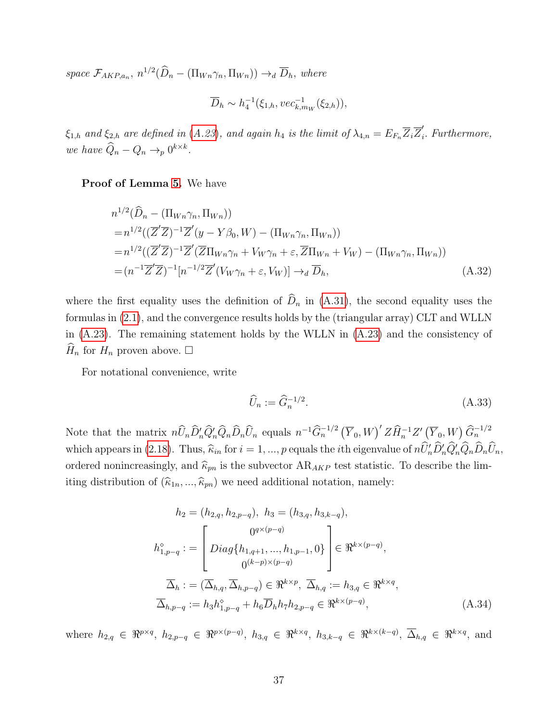space  $\mathcal{F}_{AKP,a_n}$ ,  $n^{1/2}(\widehat{D}_n - (\Pi_{Wn} \gamma_n, \Pi_{Wn})) \rightarrow_d \overline{D}_h$ , where

$$
\overline{D}_h \sim h_4^{-1}(\xi_{1,h}, vec_{k,m_W}^{-1}(\xi_{2,h})),
$$

 $\xi_{1,h}$  and  $\xi_{2,h}$  are defined in ([A.23](#page-33-1)), and again  $h_4$  is the limit of  $\lambda_{4,n} = E_{F_n} \overline{Z}_i \overline{Z}'_i$  $i<sub>i</sub>$ . Furthermore, we have  $\widehat{Q}_n - Q_n \rightarrow_p 0^{k \times k}$ .

### Proof of Lemma [5.](#page-35-1) We have

$$
n^{1/2}(\widehat{D}_n - (\Pi_{Wn}\gamma_n, \Pi_{Wn}))
$$
  
\n
$$
= n^{1/2}((\overline{Z}'\overline{Z})^{-1}\overline{Z}'(y - Y\beta_0, W) - (\Pi_{Wn}\gamma_n, \Pi_{Wn}))
$$
  
\n
$$
= n^{1/2}((\overline{Z}'\overline{Z})^{-1}\overline{Z}'(\overline{Z}\Pi_{Wn}\gamma_n + V_W\gamma_n + \varepsilon, \overline{Z}\Pi_{Wn} + V_W) - (\Pi_{Wn}\gamma_n, \Pi_{Wn}))
$$
  
\n
$$
= (n^{-1}\overline{Z}'\overline{Z})^{-1}[n^{-1/2}\overline{Z}'(V_W\gamma_n + \varepsilon, V_W)] \rightarrow_d \overline{D}_h,
$$
\n(A.32)

where the first equality uses the definition of  $\hat{D}_n$  in [\(A.31\)](#page-35-2), the second equality uses the formulas in [\(2.1\)](#page-4-1), and the convergence results holds by the (triangular array) CLT and WLLN in [\(A.23\)](#page-33-1). The remaining statement holds by the WLLN in [\(A.23\)](#page-33-1) and the consistency of  $H_n$  for  $H_n$  proven above.  $\square$ 

For notational convenience, write

<span id="page-36-0"></span>
$$
\widehat{U}_n := \widehat{G}_n^{-1/2}.\tag{A.33}
$$

Note that the matrix  $n\widehat{U}_n\widehat{D}_n'\widehat{Q}_n'\widehat{Q}_n\widehat{D}_n\widehat{U}_n$  equals  $n^{-1}\widehat{G}_n^{-1/2}(\overline{Y}_0,W)'Z\widehat{H}_n^{-1}Z'(\overline{Y}_0,W)\widehat{G}_n^{-1/2}$ which appears in [\(2.18\)](#page-8-2). Thus,  $\widehat{\kappa}_{in}$  for  $i = 1, ..., p$  equals the *i*th eigenvalue of  $n\widehat{U}'_n\widehat{D}'_n\widehat{Q}'_n\widehat{Q}_n\widehat{D}_n\widehat{U}_n$ , ordered nonincreasingly, and  $\widehat{\kappa}_{pn}$  is the subvector  $AR_{AKP}$  test statistic. To describe the limiting distribution of  $(\widehat{k}_{1n}, ..., \widehat{k}_{pn})$  we need additional notation, namely:

$$
h_2 = (h_{2,q}, h_{2,p-q}), h_3 = (h_{3,q}, h_{3,k-q}),
$$
  
\n
$$
h_{1,p-q}^{\circ} := \begin{bmatrix} 0^{q \times (p-q)} \\ Diag\{h_{1,q+1}, ..., h_{1,p-1}, 0\} \\ 0^{(k-p) \times (p-q)} \end{bmatrix} \in \mathfrak{R}^{k \times (p-q)},
$$
  
\n
$$
\overline{\Delta}_h := (\overline{\Delta}_{h,q}, \overline{\Delta}_{h,p-q}) \in \mathfrak{R}^{k \times p}, \ \overline{\Delta}_{h,q} := h_{3,q} \in \mathfrak{R}^{k \times q},
$$
  
\n
$$
\overline{\Delta}_{h,p-q} := h_3 h_{1,p-q}^{\circ} + h_6 \overline{D}_h h_7 h_{2,p-q} \in \mathfrak{R}^{k \times (p-q)},
$$
\n(A.34)

where  $h_{2,q} \in \mathbb{R}^{p \times q}$ ,  $h_{2,p-q} \in \mathbb{R}^{p \times (p-q)}$ ,  $h_{3,q} \in \mathbb{R}^{k \times q}$ ,  $h_{3,k-q} \in \mathbb{R}^{k \times (k-q)}$ ,  $\overline{\Delta}_{h,q} \in \mathbb{R}^{k \times q}$ , and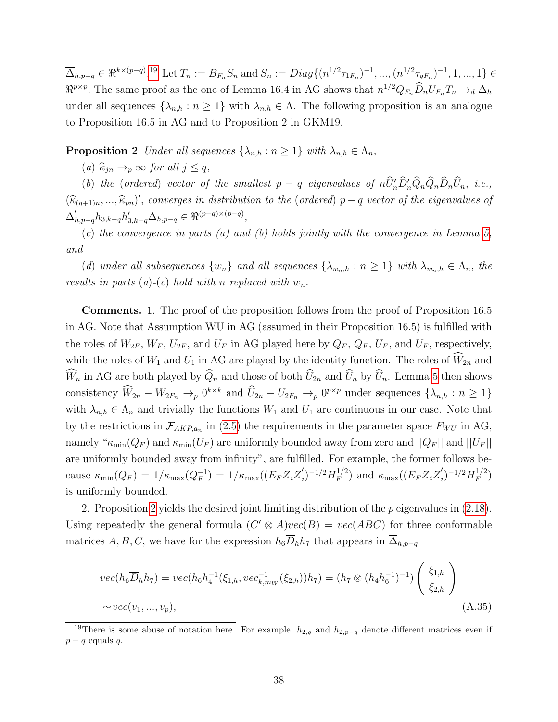$\overline{\Delta}_{h,p-q} \in \Re^{k \times (p-q)}$ .<sup>[19](#page-0-0)</sup> Let  $T_n := B_{F_n} S_n$  and  $S_n := Diag\{(n^{1/2}\tau_{1F_n})^{-1}, ..., (n^{1/2}\tau_{qF_n})^{-1}, 1, ..., 1\}$  $\Re^{p \times p}$ . The same proof as the one of Lemma 16.4 in AG shows that  $n^{1/2}Q_{F_n}\widehat{D}_nU_{F_n}T_n \to_d \overline{\Delta}_h$ under all sequences  $\{\lambda_{n,h} : n \geq 1\}$  with  $\lambda_{n,h} \in \Lambda$ . The following proposition is an analogue to Proposition 16.5 in AG and to Proposition 2 in GKM19.

<span id="page-37-0"></span>**Proposition 2** Under all sequences  $\{\lambda_{n,h} : n \geq 1\}$  with  $\lambda_{n,h} \in \Lambda_n$ ,

(a)  $\widehat{\kappa}_{jn} \rightarrow_p \infty$  for all  $j \leq q$ ,

(b) the (ordered) vector of the smallest  $p - q$  eigenvalues of  $n\hat{U}'_n\hat{D}'_n\hat{Q}_n\hat{Q}_n\hat{D}_n\hat{U}_n$ , i.e.,  $(\widehat{\kappa}_{(q+1)n}, ..., \widehat{\kappa}_{pn})'$ , converges in distribution to the (ordered) p – q vector of the eigenvalues of  $\overline{\Delta}_{h,p-q}' h_{3,k-q} h_{3,k-q}' \overline{\Delta}_{h,p-q} \in \Re^{(p-q)\times (p-q)},$ 

 $(c)$  the convergence in parts  $(a)$  and  $(b)$  holds jointly with the convergence in Lemma [5,](#page-35-1) and

(d) under all subsequences  $\{w_n\}$  and all sequences  $\{\lambda_{w_n,h} : n \geq 1\}$  with  $\lambda_{w_n,h} \in \Lambda_n$ , the results in parts (a)-(c) hold with n replaced with  $w_n$ .

Comments. 1. The proof of the proposition follows from the proof of Proposition 16.5 in AG. Note that Assumption WU in AG (assumed in their Proposition 16.5) is fulfilled with the roles of  $W_{2F}$ ,  $W_{F}$ ,  $U_{2F}$ , and  $U_{F}$  in AG played here by  $Q_{F}$ ,  $Q_{F}$ ,  $U_{F}$ , and  $U_{F}$ , respectively, while the roles of  $W_1$  and  $U_1$  in AG are played by the identity function. The roles of  $\hat{W}_{2n}$  and  $\widehat{W}_n$  in AG are both played by  $\widehat{Q}_n$  and those of both  $\widehat{U}_{2n}$  and  $\widehat{U}_n$  by  $\widehat{U}_n$ . Lemma [5](#page-35-1) then shows consistency  $\hat{W}_{2n} - W_{2F_n} \to_p 0^{k \times k}$  and  $\hat{U}_{2n} - U_{2F_n} \to_p 0^{p \times p}$  under sequences  $\{\lambda_{n,h} : n \geq 1\}$ with  $\lambda_{n,h} \in \Lambda_n$  and trivially the functions  $W_1$  and  $U_1$  are continuous in our case. Note that by the restrictions in  $\mathcal{F}_{AKP,a_n}$  in [\(2.5\)](#page-5-0) the requirements in the parameter space  $F_{WU}$  in AG, namely " $\kappa_{\min}(Q_F)$  and  $\kappa_{\min}(U_F)$  are uniformly bounded away from zero and  $||Q_F||$  and  $||U_F||$ are uniformly bounded away from infinity", are fulfilled. For example, the former follows because  $\kappa_{\min}(Q_F) = 1/\kappa_{\max}(Q_F^{-1})$  $\binom{-1}{F} = 1/\kappa_{\max}((E_F \overline{Z}_i \overline{Z}_i')$  $\mu^{'}_i)^{-1/2} H^{1/2}_F$  $E_F^{1/2}$ ) and  $\kappa_{\text{max}}((E_F \overline{Z}_i \overline{Z}_i')$  $\mu^{'}_i)^{-1/2} H^{1/2}_F$  $\binom{1/2}{F}$ is uniformly bounded.

2. Proposition [2](#page-37-0) yields the desired joint limiting distribution of the  $p$  eigenvalues in  $(2.18)$ . Using repeatedly the general formula  $(C' \otimes A)vec(B) = vec(ABC)$  for three conformable matrices A, B, C, we have for the expression  $h_6\overline{D}_h h_7$  that appears in  $\overline{\Delta}_{h,p-q}$ 

$$
vec(h_6\overline{D}_h h_7) = vec(h_6h_4^{-1}(\xi_{1,h}, vec_{k,m_W}^{-1}(\xi_{2,h}))h_7) = (h_7 \otimes (h_4h_6^{-1})^{-1}) \begin{pmatrix} \xi_{1,h} \\ \xi_{2,h} \end{pmatrix}
$$
  
~  $\sim vec(v_1, ..., v_p),$  (A.35)

<sup>&</sup>lt;sup>19</sup>There is some abuse of notation here. For example,  $h_{2,q}$  and  $h_{2,p-q}$  denote different matrices even if  $p - q$  equals  $q$ .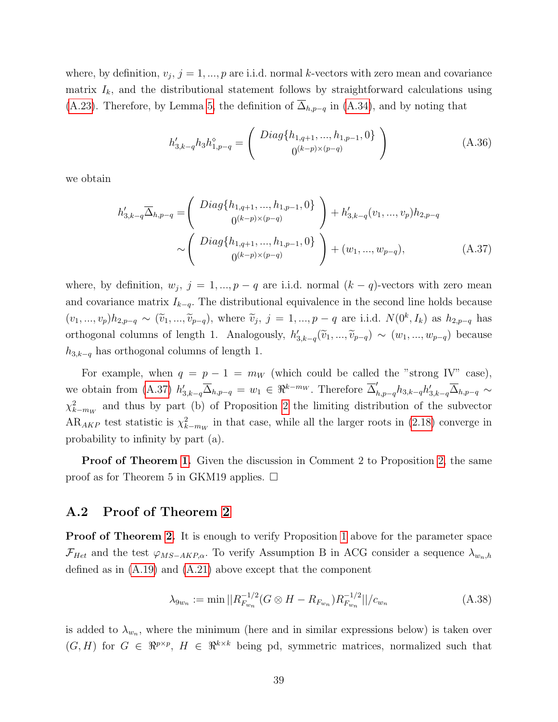where, by definition,  $v_j$ ,  $j = 1, ..., p$  are i.i.d. normal k-vectors with zero mean and covariance matrix  $I_k$ , and the distributional statement follows by straightforward calculations using [\(A.23\)](#page-33-1). Therefore, by Lemma [5,](#page-35-1) the definition of  $\overline{\Delta}_{h,p-q}$  in [\(A.34\)](#page-36-0), and by noting that

<span id="page-38-1"></span>
$$
h'_{3,k-q}h_3h_{1,p-q}^{\diamond} = \begin{pmatrix} Diag\{h_{1,q+1},...,h_{1,p-1},0\} \\ 0^{(k-p)\times(p-q)} \end{pmatrix}
$$
 (A.36)

we obtain

$$
h'_{3,k-q} \overline{\Delta}_{h,p-q} = \begin{pmatrix} Diag\{h_{1,q+1},...,h_{1,p-1},0\} \\ 0^{(k-p)\times(p-q)} \end{pmatrix} + h'_{3,k-q}(v_1,...,v_p)h_{2,p-q}
$$
  

$$
\sim \begin{pmatrix} Diag\{h_{1,q+1},...,h_{1,p-1},0\} \\ 0^{(k-p)\times(p-q)} \end{pmatrix} + (w_1,...,w_{p-q}), \qquad (A.37)
$$

where, by definition,  $w_j$ ,  $j = 1, ..., p - q$  are i.i.d. normal  $(k - q)$ -vectors with zero mean and covariance matrix  $I_{k-q}$ . The distributional equivalence in the second line holds because  $(v_1, ..., v_p)h_{2,p-q} \sim (\tilde{v}_1, ..., \tilde{v}_{p-q}),$  where  $\tilde{v}_j, j = 1, ..., p-q$  are i.i.d.  $N(0^k, I_k)$  as  $h_{2,p-q}$  has orthogonal columns of length 1. Analogously,  $h'_{3,k-q}(\tilde{v}_1, ..., \tilde{v}_{p-q}) \sim (w_1, ..., w_{p-q})$  because  $h_{3,k-q}$  has orthogonal columns of length 1.

For example, when  $q = p - 1 = m_W$  (which could be called the "strong IV" case), we obtain from [\(A.37\)](#page-38-1)  $h'_{3,k-q} \overline{\Delta}_{h,p-q} = w_1 \in \Re^{k-m_W}$ . Therefore  $\overline{\Delta}'_{h,p-q} h_{3,k-q} h'_{3,k-q} \overline{\Delta}_{h,p-q} \sim$  $\chi^2_{k-m_W}$  and thus by part (b) of Proposition [2](#page-37-0) the limiting distribution of the subvector  $AR_{AKP}$  test statistic is  $\chi^2_{k-m_W}$  in that case, while all the larger roots in [\(2.18\)](#page-8-2) converge in probability to infinity by part (a).

**Proof of Theorem [1.](#page-9-0)** Given the discussion in Comment 2 to Proposition [2,](#page-37-0) the same proof as for Theorem 5 in GKM19 applies.  $\Box$ 

### <span id="page-38-0"></span>A.2 Proof of Theorem [2](#page-14-0)

**Proof of Theorem [2.](#page-14-0)** It is enough to verify Proposition [1](#page-30-1) above for the parameter space  $\mathcal{F}_{Het}$  and the test  $\varphi_{MS-AKP,\alpha}$ . To verify Assumption B in ACG consider a sequence  $\lambda_{w_n,h}$ defined as in [\(A.19\)](#page-32-2) and [\(A.21\)](#page-32-0) above except that the component

$$
\lambda_{9w_n} := \min \left| |R_{F_{w_n}}^{-1/2}(G \otimes H - R_{F_{w_n}})R_{F_{w_n}}^{-1/2}| \right| / c_{w_n} \tag{A.38}
$$

is added to  $\lambda_{w_n}$ , where the minimum (here and in similar expressions below) is taken over  $(G, H)$  for  $G \in \mathbb{R}^{p \times p}$ ,  $H \in \mathbb{R}^{k \times k}$  being pd, symmetric matrices, normalized such that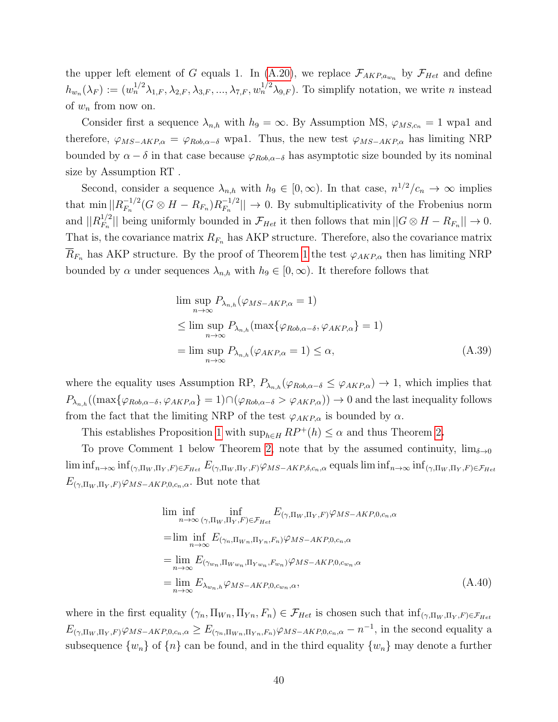the upper left element of G equals 1. In [\(A.20\)](#page-32-1), we replace  $\mathcal{F}_{AKP,a_{w_n}}$  by  $\mathcal{F}_{Het}$  and define  $h_{w_n}(\lambda_F) := (w_n^{1/2}\lambda_{1,F}, \lambda_{2,F}, \lambda_{3,F}, ..., \lambda_{7,F}, w_n^{1/2}\lambda_{9,F}).$  To simplify notation, we write n instead of  $w_n$  from now on.

Consider first a sequence  $\lambda_{n,h}$  with  $h_9 = \infty$ . By Assumption MS,  $\varphi_{MS,c_n} = 1$  wpa1 and therefore,  $\varphi_{MS-AKP,\alpha} = \varphi_{Rob,\alpha-\delta}$  wpa1. Thus, the new test  $\varphi_{MS-AKP,\alpha}$  has limiting NRP bounded by  $\alpha - \delta$  in that case because  $\varphi_{Rob,\alpha-\delta}$  has asymptotic size bounded by its nominal size by Assumption RT .

Second, consider a sequence  $\lambda_{n,h}$  with  $h_9 \in [0,\infty)$ . In that case,  $n^{1/2}/c_n \to \infty$  implies that  $\min ||R_{F_n}^{-1/2}$  $\frac{-1/2}{F_n} (G \otimes H - R_{F_n}) R_{F_n}^{-1/2}$  $\vert F_{F_n}^{-1/2} \vert \vert \to 0$ . By submultiplicativity of the Frobenius norm and  $||R_{F_n}^{1/2}$  $|F_n^{1/2}|$  being uniformly bounded in  $\mathcal{F}_{Het}$  it then follows that min  $||G \otimes H - R_{F_n}|| \to 0$ . That is, the covariance matrix  $R_{F_n}$  has AKP structure. Therefore, also the covariance matrix  $R_{F_n}$  has AKP structure. By the proof of Theorem [1](#page-9-0) the test  $\varphi_{AKP,\alpha}$  then has limiting NRP bounded by  $\alpha$  under sequences  $\lambda_{n,h}$  with  $h_9 \in [0,\infty)$ . It therefore follows that

$$
\limsup_{n \to \infty} P_{\lambda_{n,h}}(\varphi_{MS-AKP,\alpha} = 1)
$$
\n
$$
\leq \limsup_{n \to \infty} P_{\lambda_{n,h}}(\max{\varphi_{Rob,\alpha-\delta}, \varphi_{AKP,\alpha}}) = 1)
$$
\n
$$
= \limsup_{n \to \infty} P_{\lambda_{n,h}}(\varphi_{AKP,\alpha} = 1) \leq \alpha,
$$
\n(A.39)

where the equality uses Assumption RP,  $P_{\lambda_{n,h}}(\varphi_{Rob,\alpha-\delta} \leq \varphi_{AKP,\alpha}) \to 1$ , which implies that  $P_{\lambda_{n,h}}((\max\{\varphi_{Rob,\alpha-\delta},\varphi_{AKP,\alpha}\})=1)\cap(\varphi_{Rob,\alpha-\delta}>\varphi_{AKP,\alpha}))\to 0$  and the last inequality follows from the fact that the limiting NRP of the test  $\varphi_{AKP,\alpha}$  is bounded by  $\alpha$ .

This establishes Proposition [1](#page-30-1) with  $\sup_{h\in H} RP^+(h) \leq \alpha$  and thus Theorem [2](#page-14-0).

To prove Comment 1 below Theorem [2,](#page-14-0) note that by the assumed continuity,  $\lim_{\delta \to 0}$  $\liminf_{n\to\infty} \inf_{(\gamma,\Pi_W,\Pi_Y,F)\in\mathcal{F}_{Het}} E_{(\gamma,\Pi_W,\Pi_Y,F)}\varphi_{MS-AKP,\delta,c_n,\alpha}$  equals  $\liminf_{n\to\infty} \inf_{(\gamma,\Pi_W,\Pi_Y,F)\in\mathcal{F}_{Het}} E_{(\gamma,\Pi_W,\Pi_Y,F)}\varphi_{MS-AKP,\delta,c_n,\alpha}$  $E_{(\gamma,\Pi_W,\Pi_V,F)}\varphi_{MS-AKP,0,c_n,\alpha}$ . But note that

$$
\lim_{n \to \infty} \inf_{(\gamma, \Pi_W, \Pi_Y, F) \in \mathcal{F}_{Het}} E_{(\gamma, \Pi_W, \Pi_Y, F)} \varphi_{MS-AKP, 0, c_n, \alpha}
$$
\n
$$
= \lim_{n \to \infty} \inf_{\gamma, \lambda} E_{(\gamma_n, \Pi_{W_n}, \Pi_{Y_n}, F_n)} \varphi_{MS-AKP, 0, c_n, \alpha}
$$
\n
$$
= \lim_{n \to \infty} E_{(\gamma_{w_n}, \Pi_{W_{w_n}}, \Pi_{Y_{w_n}}, F_{w_n})} \varphi_{MS-AKP, 0, c_{w_n}, \alpha}
$$
\n
$$
= \lim_{n \to \infty} E_{\lambda_{w_n}, h} \varphi_{MS-AKP, 0, c_{w_n}, \alpha}, \qquad (A.40)
$$

where in the first equality  $(\gamma_n, \Pi_{W_n}, \Pi_{Y_n}, F_n) \in \mathcal{F}_{Het}$  is chosen such that  $\inf_{(\gamma, \Pi_W, \Pi_Y, F) \in \mathcal{F}_{Het}}$  $E_{(\gamma,\Pi_W,\Pi_Y,F)}\varphi_{MS-AKP,0,c_n,\alpha} \geq E_{(\gamma_n,\Pi_{W_n},\Pi_{Y_n},F_n)}\varphi_{MS-AKP,0,c_n,\alpha} - n^{-1}$ , in the second equality a subsequence  $\{w_n\}$  of  $\{n\}$  can be found, and in the third equality  $\{w_n\}$  may denote a further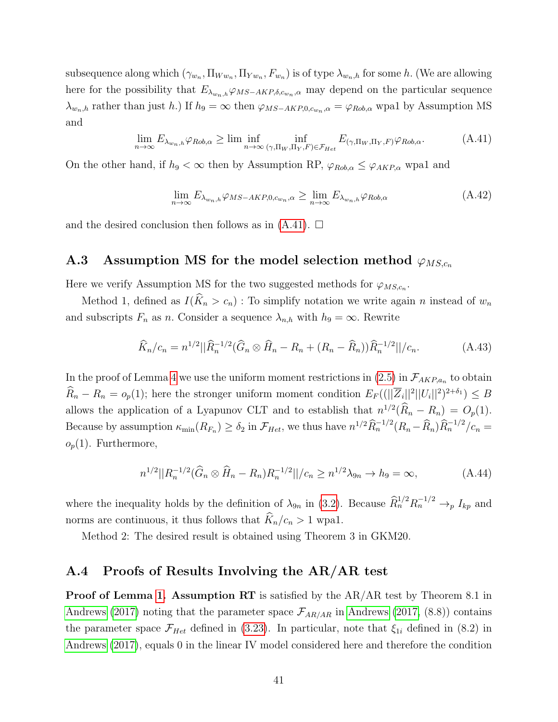subsequence along which  $(\gamma_{w_n}, \Pi_{W w_n}, \Pi_{Y w_n}, F_{w_n})$  is of type  $\lambda_{w_n,h}$  for some h. (We are allowing here for the possibility that  $E_{\lambda_{wn},h} \varphi_{MS-AKP,\delta,c_{w_n},\alpha}$  may depend on the particular sequence  $\lambda_{w_n,h}$  rather than just h.) If  $h_9 = \infty$  then  $\varphi_{MS-AKP,0,c_{w_n},\alpha} = \varphi_{Rob,\alpha}$  wpal by Assumption MS and

<span id="page-40-2"></span>
$$
\lim_{n \to \infty} E_{\lambda_{w_n,h}} \varphi_{Rob,\alpha} \ge \liminf_{n \to \infty} \inf_{(\gamma,\Pi_W,\Pi_Y,F) \in \mathcal{F}_{Het}} E_{(\gamma,\Pi_W,\Pi_Y,F)} \varphi_{Rob,\alpha}.
$$
 (A.41)

On the other hand, if  $h_9 < \infty$  then by Assumption RP,  $\varphi_{Rob,\alpha} \leq \varphi_{AKP,\alpha}$  wpal and

$$
\lim_{n \to \infty} E_{\lambda_{w_n,h}} \varphi_{MS-AKP,0,c_{w_n},\alpha} \ge \lim_{n \to \infty} E_{\lambda_{w_n,h}} \varphi_{Rob,\alpha} \tag{A.42}
$$

and the desired conclusion then follows as in  $(A.41)$ .  $\square$ 

### <span id="page-40-0"></span>A.3 Assumption MS for the model selection method  $\varphi_{MS,c_n}$

Here we verify Assumption MS for the two suggested methods for  $\varphi_{MS,c_n}$ .

Method 1, defined as  $I(\hat{K}_n > c_n)$ : To simplify notation we write again n instead of  $w_n$ and subscripts  $F_n$  as n. Consider a sequence  $\lambda_{n,h}$  with  $h_9 = \infty$ . Rewrite

$$
\widehat{K}_n/c_n = n^{1/2} ||\widehat{R}_n^{-1/2} (\widehat{G}_n \otimes \widehat{H}_n - R_n + (R_n - \widehat{R}_n)) \widehat{R}_n^{-1/2} ||/c_n.
$$
 (A.43)

In the proof of Lemma [4](#page-34-0) we use the uniform moment restrictions in  $(2.5)$  in  $\mathcal{F}_{AKP,a_n}$  to obtain  $\hat{R}_n - R_n = o_p(1)$ ; here the stronger uniform moment condition  $E_F((\|\overline{Z}_i\|^2 ||U_i\|^2)^{2+\delta_1}) \leq B$ allows the application of a Lyapunov CLT and to establish that  $n^{1/2}(\tilde{R}_n - R_n) = O_p(1)$ . Because by assumption  $\kappa_{\min}(R_{F_n}) \ge \delta_2$  in  $\mathcal{F}_{Het}$ , we thus have  $n^{1/2}\widehat{R}_n^{-1/2}(R_n-\widehat{R}_n)\widehat{R}_n^{-1/2}/c_n =$  $o_p(1)$ . Furthermore,

$$
n^{1/2}||R_n^{-1/2}(\widehat{G}_n \otimes \widehat{H}_n - R_n)R_n^{-1/2}||/c_n \ge n^{1/2}\lambda_{9n} \to h_9 = \infty,
$$
 (A.44)

where the inequality holds by the definition of  $\lambda_{9n}$  in [\(3.2\)](#page-12-2). Because  $\widehat{R}_n^{1/2} R_n^{-1/2} \to_p I_{kp}$  and norms are continuous, it thus follows that  $\widehat{K}_n/c_n > 1$  wpa1.

Method 2: The desired result is obtained using Theorem 3 in GKM20.

### <span id="page-40-1"></span>A.4 Proofs of Results Involving the AR/AR test

Proof of Lemma [1.](#page-19-1) Assumption RT is satisfied by the AR/AR test by Theorem 8.1 in [Andrews \(2017\)](#page-45-0) noting that the parameter space  $\mathcal{F}_{AR/AR}$  in [Andrews \(2017,](#page-45-0) (8.8)) contains the parameter space  $\mathcal{F}_{Het}$  defined in [\(3.23\)](#page-19-0). In particular, note that  $\xi_{1i}$  defined in (8.2) in [Andrews \(2017\)](#page-45-0), equals 0 in the linear IV model considered here and therefore the condition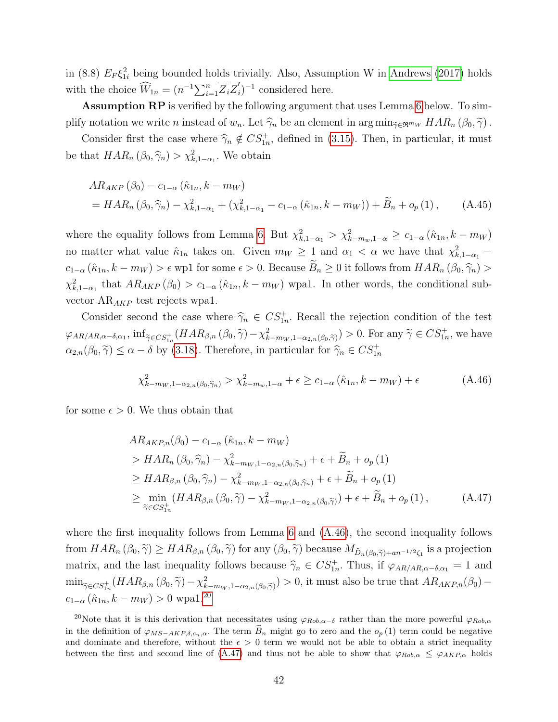in (8.8)  $E_F \xi_{1i}^2$  being bounded holds trivially. Also, Assumption W in [Andrews \(2017\)](#page-45-0) holds with the choice  $\widehat{W}_{1n} = (n^{-1} \sum_{i=1}^{n} \overline{Z}_{i} \overline{Z}_{i}^{\prime})$  $i)^{-1}$  considered here.

Assumption RP is verified by the following argument that uses Lemma [6](#page-42-0) below. To simplify notation we write n instead of  $w_n$ . Let  $\widehat{\gamma}_n$  be an element in  $\arg \min_{\widetilde{\gamma} \in \mathfrak{R}^{m_W}} HAR_n (\beta_0, \widetilde{\gamma})$ .

Consider first the case where  $\hat{\gamma}_n \notin CS_{1n}^+$ , defined in [\(3.15\)](#page-17-3). Then, in particular, it must be that  $HAR_n(\beta_0, \widehat{\gamma}_n) > \chi^2_{k,1-\alpha_1}$ . We obtain

$$
AR_{AKP} (\beta_0) - c_{1-\alpha} (\hat{\kappa}_{1n}, k - m_W)
$$
  
=  $HAR_n (\beta_0, \hat{\gamma}_n) - \chi^2_{k,1-\alpha_1} + (\chi^2_{k,1-\alpha_1} - c_{1-\alpha} (\hat{\kappa}_{1n}, k - m_W)) + \tilde{B}_n + o_p (1),$  (A.45)

where the equality follows from Lemma [6.](#page-42-0) But  $\chi^2_{k,1-\alpha_1} > \chi^2_{k-m_w,1-\alpha} \ge c_{1-\alpha} (\hat{\kappa}_{1n}, k-m_W)$ no matter what value  $\hat{\kappa}_{1n}$  takes on. Given  $m_W \geq 1$  and  $\alpha_1 < \alpha$  we have that  $\chi^2_{k,1-\alpha_1}$  –  $c_{1-\alpha}$   $(\hat{\kappa}_{1n}, k - m_W) > \epsilon$  wp1 for some  $\epsilon > 0$ . Because  $\widetilde{B}_n \geq 0$  it follows from  $HAR_n$   $(\beta_0, \widehat{\gamma}_n) >$  $\chi^2_{k,1-\alpha_1}$  that  $AR_{AKP}(\beta_0) > c_{1-\alpha}(\hat{\kappa}_{1n},k-m_W)$  wpa1. In other words, the conditional subvector  $AR_{AKP}$  test rejects wpa1.

Consider second the case where  $\hat{\gamma}_n \in CS_{1n}^+$ . Recall the rejection condition of the test  $\varphi_{AR/AR,\alpha-\delta,\alpha_1}$ ,  $\inf_{\tilde{\gamma}\in CS^+_{1n}}(HAR_{\beta,n}(\beta_0,\tilde{\gamma})-\chi^2_{k-m_W,1-\alpha_{2,n}(\beta_0,\tilde{\gamma})})>0$ . For any  $\tilde{\gamma}\in CS^+_{1n}$ , we have  $\alpha_{2,n}(\beta_0, \tilde{\gamma}) \le \alpha - \delta$  by [\(3.18\)](#page-17-1). Therefore, in particular for  $\hat{\gamma}_n \in CS^+_{1n}$ 

<span id="page-41-0"></span>
$$
\chi_{k-m_W,1-\alpha_{2,n}(\beta_0,\widehat{\gamma}_n)}^2 > \chi_{k-m_w,1-\alpha}^2 + \epsilon \ge c_{1-\alpha}(\widehat{\kappa}_{1n},k-m_W) + \epsilon
$$
 (A.46)

for some  $\epsilon > 0$ . We thus obtain that

<span id="page-41-1"></span>
$$
AR_{AKP,n}(\beta_0) - c_{1-\alpha} (\hat{\kappa}_{1n}, k - m_W)
$$
  
>  $HAR_n (\beta_0, \hat{\gamma}_n) - \chi^2_{k-m_W, 1-\alpha_{2,n}(\beta_0, \hat{\gamma}_n)} + \epsilon + \widetilde{B}_n + o_p (1)$   

$$
\geq HAR_{\beta,n} (\beta_0, \hat{\gamma}_n) - \chi^2_{k-m_W, 1-\alpha_{2,n}(\beta_0, \hat{\gamma}_n)} + \epsilon + \widetilde{B}_n + o_p (1)
$$
  

$$
\geq \min_{\tilde{\gamma} \in CS_{1n}^+} (HAR_{\beta,n} (\beta_0, \tilde{\gamma}) - \chi^2_{k-m_W, 1-\alpha_{2,n}(\beta_0, \tilde{\gamma})}) + \epsilon + \widetilde{B}_n + o_p (1), \qquad (A.47)
$$

where the first inequality follows from Lemma [6](#page-42-0) and [\(A.46\)](#page-41-0), the second inequality follows from  $HAR_n (\beta_0, \widetilde{\gamma}) \geq HAR_{\beta,n} (\beta_0, \widetilde{\gamma})$  for any  $(\beta_0, \widetilde{\gamma})$  because  $M_{\tilde{D}_n(\beta_0, \widetilde{\gamma})+an^{-1/2}\zeta_1}$  is a projection matrix, and the last inequality follows because  $\hat{\gamma}_n \in CS_{1n}^+$ . Thus, if  $\varphi_{AR/AR,\alpha-\delta,\alpha_1} = 1$  and  $\min_{\tilde{\gamma} \in CS_{1n}^+}(HAR_{\beta,n}(\beta_0, \tilde{\gamma}) - \chi^2_{k-m_W, 1-\alpha_{2,n}(\beta_0, \tilde{\gamma})}) > 0$ , it must also be true that  $AR_{AKP,n}(\beta_0)$  $c_{1-\alpha}$   $(\hat{\kappa}_{1n}, k - m_W) > 0$  wpa1.<sup>[20](#page-0-0)</sup>

<sup>&</sup>lt;sup>20</sup>Note that it is this derivation that necessitates using  $\varphi_{Rob,\alpha-\delta}$  rather than the more powerful  $\varphi_{Rob,\alpha}$ in the definition of  $\varphi_{MS-AKP,\delta,c_n,\alpha}$ . The term  $B_n$  might go to zero and the  $o_p(1)$  term could be negative and dominate and therefore, without the  $\epsilon > 0$  term we would not be able to obtain a strict inequality between the first and second line of [\(A.47\)](#page-41-1) and thus not be able to show that  $\varphi_{Rob,\alpha} \leq \varphi_{AKP,\alpha}$  holds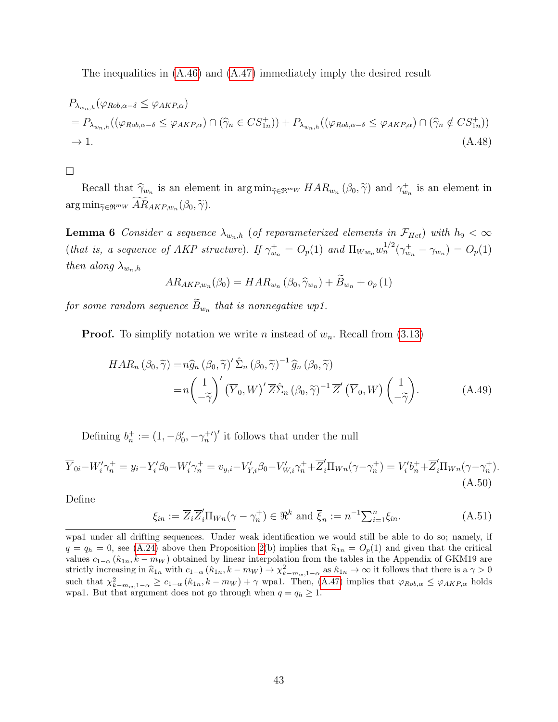The inequalities in [\(A.46\)](#page-41-0) and [\(A.47\)](#page-41-1) immediately imply the desired result

$$
P_{\lambda_{w_n,h}}(\varphi_{Rob,\alpha-\delta} \leq \varphi_{AKP,\alpha})
$$
  
=  $P_{\lambda_{w_n,h}}((\varphi_{Rob,\alpha-\delta} \leq \varphi_{AKP,\alpha}) \cap (\widehat{\gamma}_n \in CS_{1n}^+)) + P_{\lambda_{w_n,h}}((\varphi_{Rob,\alpha-\delta} \leq \varphi_{AKP,\alpha}) \cap (\widehat{\gamma}_n \notin CS_{1n}^+))$   
 $\to 1.$  (A.48)

#### $\Box$

Recall that  $\hat{\gamma}_{w_n}$  is an element in  $\arg \min_{\tilde{\gamma} \in \mathfrak{R}^{m_W}} HAR_{w_n}(\beta_0, \tilde{\gamma})$  and  $\gamma_{w_n}^+$  is an element in  $\arg\min_{\widetilde{\gamma}\in\mathfrak{R}^{m_W}}AR_{AKP,w_n}(\beta_0,\widetilde{\gamma}).$ 

<span id="page-42-0"></span>**Lemma 6** Consider a sequence  $\lambda_{w_n,h}$  (of reparameterized elements in  $\mathcal{F}_{Het}$ ) with  $h_9 < \infty$ (that is, a sequence of AKP structure). If  $\gamma_{w_n}^+ = O_p(1)$  and  $\Pi_{W w_n} w_n^{1/2}(\gamma_{w_n}^+ - \gamma_{w_n}) = O_p(1)$ then along  $\lambda_{w_n,h}$ 

$$
AR_{AKP,w_n}(\beta_0) = HAR_{w_n}(\beta_0, \widehat{\gamma}_{w_n}) + \widetilde{B}_{w_n} + o_p(1)
$$

for some random sequence  $B_{w_n}$  that is nonnegative wp1.

**Proof.** To simplify notation we write *n* instead of  $w_n$ . Recall from [\(3.13\)](#page-16-1)

$$
HAR_n \left( \beta_0, \widetilde{\gamma} \right) = n \widehat{g}_n \left( \beta_0, \widetilde{\gamma} \right)' \widehat{\Sigma}_n \left( \beta_0, \widetilde{\gamma} \right)^{-1} \widehat{g}_n \left( \beta_0, \widetilde{\gamma} \right)
$$
  
=  $n \left( \frac{1}{-\widetilde{\gamma}} \right)' \left( \overline{Y}_0, W \right)' \overline{Z} \widehat{\Sigma}_n \left( \beta_0, \widetilde{\gamma} \right)^{-1} \overline{Z}' \left( \overline{Y}_0, W \right) \left( \frac{1}{-\widetilde{\gamma}} \right).$  (A.49)

Defining  $b_n^+ := (1, -\beta_0', -\gamma_n^{+\prime})'$  it follows that under the null

<span id="page-42-1"></span>
$$
\overline{Y}_{0i} - W'_i \gamma_n^+ = y_i - Y'_i \beta_0 - W'_i \gamma_n^+ = v_{y,i} - V'_{Y,i} \beta_0 - V'_{W,i} \gamma_n^+ + \overline{Z}'_i \Pi_{Wn} (\gamma - \gamma_n^+) = V'_i b_n^+ + \overline{Z}'_i \Pi_{Wn} (\gamma - \gamma_n^+).
$$
\n(A.50)

Define

$$
\xi_{in} := \overline{Z}_i \overline{Z}'_i \Pi_{Wn} (\gamma - \gamma_n^+) \in \mathfrak{R}^k \text{ and } \overline{\xi}_n := n^{-1} \sum_{i=1}^n \xi_{in}.
$$
 (A.51)

wpa1 under all drifting sequences. Under weak identification we would still be able to do so; namely, if  $q = q_h = 0$ , see [\(A.24\)](#page-33-2) above then Proposition [2\(](#page-37-0)b) implies that  $\hat{\kappa}_{1n} = O_p(1)$  and given that the critical values  $c_{1-\alpha}$  ( $\hat{\kappa}_{1n}, k - m_W$ ) obtained by linear interpolation from the tables in the Appendix of GKM19 are strictly increasing in  $\hat{\kappa}_{1n}$  with  $c_{1-\alpha}$   $(\hat{\kappa}_{1n}, k - m_W) \rightarrow \chi^2_{k-m_w, 1-\alpha}$  as  $\hat{\kappa}_{1n} \rightarrow \infty$  it follows that there is a  $\gamma > 0$ such that  $\chi^2_{k-m_w,1-\alpha} \geq c_{1-\alpha}(\hat{\kappa}_{1n},k-m_W) + \gamma$  wpa1. Then,  $(A.47)$  implies that  $\varphi_{Rob,\alpha} \leq \varphi_{AKP,\alpha}$  holds wpa1. But that argument does not go through when  $q = q_h \ge 1$ .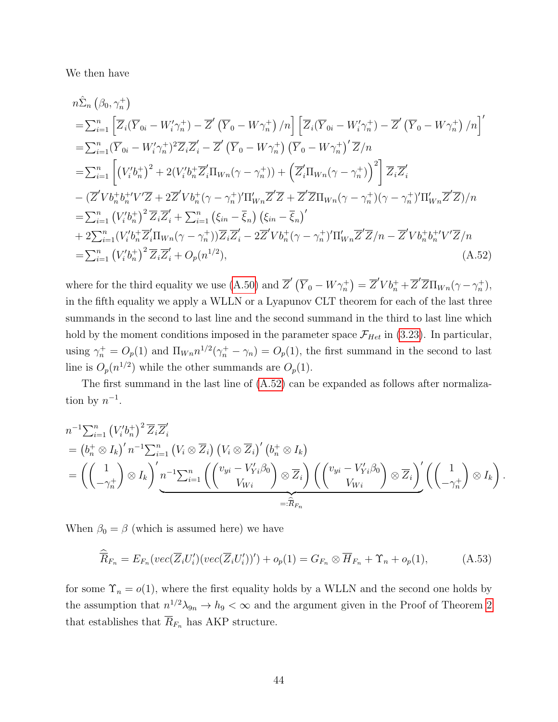We then have

$$
n\hat{\Sigma}_{n} (\beta_{0}, \gamma_{n}^{+})
$$
\n
$$
= \sum_{i=1}^{n} \left[ \overline{Z}_{i} (\overline{Y}_{0i} - W'_{i} \gamma_{n}^{+}) - \overline{Z}' (\overline{Y}_{0} - W \gamma_{n}^{+}) / n \right] \left[ \overline{Z}_{i} (\overline{Y}_{0i} - W'_{i} \gamma_{n}^{+}) - \overline{Z}' (\overline{Y}_{0} - W \gamma_{n}^{+}) / n \right]'
$$
\n
$$
= \sum_{i=1}^{n} (\overline{Y}_{0i} - W'_{i} \gamma_{n}^{+})^{2} \overline{Z}_{i} \overline{Z}'_{i} - \overline{Z}' (\overline{Y}_{0} - W \gamma_{n}^{+}) (\overline{Y}_{0} - W \gamma_{n}^{+})' \overline{Z}/n
$$
\n
$$
= \sum_{i=1}^{n} \left[ (V'_{i} b_{n}^{+})^{2} + 2(V'_{i} b_{n}^{+} \overline{Z}'_{i} \Pi_{Wn} (\gamma - \gamma_{n}^{+})) + \left( \overline{Z}'_{i} \Pi_{Wn} (\gamma - \gamma_{n}^{+}) \right)^{2} \right] \overline{Z}_{i} \overline{Z}'_{i}
$$
\n
$$
- (\overline{Z}' V b_{n}^{+} b_{n}^{+} / V' \overline{Z} + 2 \overline{Z}' V b_{n}^{+} (\gamma - \gamma_{n}^{+})' \Pi'_{Wn} \overline{Z}' \overline{Z} + \overline{Z}' \overline{Z} \Pi_{Wn} (\gamma - \gamma_{n}^{+}) (\gamma - \gamma_{n}^{+})' \Pi'_{Wn} \overline{Z}' \overline{Z}/n
$$
\n
$$
= \sum_{i=1}^{n} (V'_{i} b_{n}^{+})^{2} \overline{Z}_{i} \overline{Z}'_{i} + \sum_{i=1}^{n} (\xi_{in} - \overline{\xi}_{n}) (\xi_{in} - \overline{\xi}_{n})'
$$
\n
$$
+ 2 \sum_{i=1}^{n} (V'_{i} b_{n}^{+} \overline{Z}'_{i} \Pi_{Wn} (\gamma - \gamma_{n}^{+})) \overline{Z}_{i} \overline{Z}'_{i} - 2 \overline{Z}' V b_{n}^{
$$

<span id="page-43-0"></span>where for the third equality we use [\(A.50\)](#page-42-1) and  $\overline{Z}'(\overline{Y}_0 - W\gamma_n^+) = \overline{Z}'Vb_n^+ + \overline{Z}'\overline{Z}\Pi_{Wn}(\gamma - \gamma_n^+)$ , in the fifth equality we apply a WLLN or a Lyapunov CLT theorem for each of the last three summands in the second to last line and the second summand in the third to last line which hold by the moment conditions imposed in the parameter space  $\mathcal{F}_{Het}$  in [\(3.23\)](#page-19-0). In particular, using  $\gamma_n^+ = O_p(1)$  and  $\Pi_{Wn} n^{1/2}(\gamma_n^+ - \gamma_n) = O_p(1)$ , the first summand in the second to last line is  $O_p(n^{1/2})$  while the other summands are  $O_p(1)$ .

The first summand in the last line of [\(A.52\)](#page-43-0) can be expanded as follows after normalization by  $n^{-1}$ .

$$
n^{-1} \sum_{i=1}^{n} (V_i' b_n^+)^2 \overline{Z}_i \overline{Z}'_i
$$
  
=  $(b_n^+ \otimes I_k)' n^{-1} \sum_{i=1}^{n} (V_i \otimes \overline{Z}_i) (V_i \otimes \overline{Z}_i)' (b_n^+ \otimes I_k)$   
=  $\left( \begin{pmatrix} 1 \\ -\gamma_n^+ \end{pmatrix} \otimes I_k \right)' n^{-1} \sum_{i=1}^{n} \left( \begin{pmatrix} v_{yi} - V_{Yi}' \beta_0 \\ V_{Wi} \end{pmatrix} \otimes \overline{Z}_i \right) \left( \begin{pmatrix} v_{yi} - V_{Yi}' \beta_0 \\ V_{Wi} \end{pmatrix} \otimes \overline{Z}_i \right)' \left( \begin{pmatrix} 1 \\ -\gamma_n^+ \end{pmatrix} \otimes I_k \right).$ 

When  $\beta_0 = \beta$  (which is assumed here) we have

<span id="page-43-1"></span>
$$
\widehat{\overline{R}}_{F_n} = E_{F_n}(vec(\overline{Z}_i U_i')(vec(\overline{Z}_i U_i'))') + o_p(1) = G_{F_n} \otimes \overline{H}_{F_n} + \Upsilon_n + o_p(1),
$$
\n(A.53)

for some  $\Upsilon_n = o(1)$ , where the first equality holds by a WLLN and the second one holds by the assumption that  $n^{1/2}\lambda_{9n} \to h_9 < \infty$  and the argument given in the Proof of Theorem [2](#page-14-0) that establishes that  $\overline{R}_{F_n}$  has AKP structure.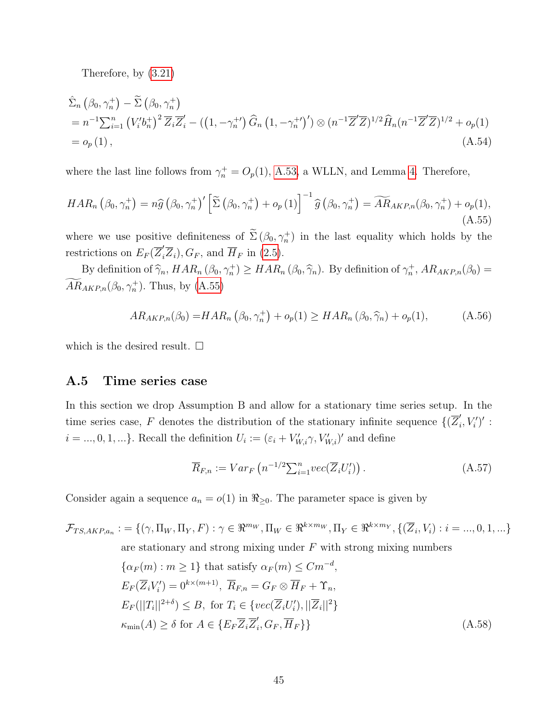Therefore, by [\(3.21\)](#page-18-1)

$$
\hat{\Sigma}_{n} (\beta_{0}, \gamma_{n}^{+}) - \tilde{\Sigma} (\beta_{0}, \gamma_{n}^{+})
$$
\n
$$
= n^{-1} \sum_{i=1}^{n} (V_{i}' b_{n}^{+})^{2} \overline{Z}_{i} \overline{Z}_{i}' - ((1, -\gamma_{n}^{+}) \widehat{G}_{n} (1, -\gamma_{n}^{+})') \otimes (n^{-1} \overline{Z}' \overline{Z})^{1/2} \widehat{H}_{n} (n^{-1} \overline{Z}' \overline{Z})^{1/2} + o_{p}(1)
$$
\n
$$
= o_{p}(1), \qquad (A.54)
$$

where the last line follows from  $\gamma_n^+ = O_p(1)$ , [A.53,](#page-43-1) a WLLN, and Lemma [4.](#page-34-0) Therefore,

<span id="page-44-1"></span>
$$
HAR_n\left(\beta_0,\gamma_n^+\right) = n\widehat{g}\left(\beta_0,\gamma_n^+\right)' \left[\widetilde{\Sigma}\left(\beta_0,\gamma_n^+\right) + o_p\left(1\right)\right]^{-1} \widehat{g}\left(\beta_0,\gamma_n^+\right) = \widetilde{AR}_{AKP,n}\left(\beta_0,\gamma_n^+\right) + o_p(1),\tag{A.55}
$$

where we use positive definiteness of  $\Sigma(\beta_0, \gamma_n^+)$  in the last equality which holds by the restrictions on  $E_F(\overline{Z}'_i\overline{Z}_i), G_F$ , and  $\overline{H}_F$  in [\(2.5\)](#page-5-0).

By definition of  $\hat{\gamma}_n$ ,  $HAR_n (\beta_0, \gamma_n^+) \geq HAR_n (\beta_0, \hat{\gamma}_n)$ . By definition of  $\gamma_n^+$ ,  $AR_{AKP,n}(\beta_0) =$  $AR_{AKP,n}(\beta_0, \gamma_n^+)$ . Thus, by [\(A.55\)](#page-44-1)

$$
AR_{AKP,n}(\beta_0) = HAR_n\left(\beta_0, \gamma_n^+\right) + o_p(1) \geq HAR_n\left(\beta_0, \widehat{\gamma}_n\right) + o_p(1),\tag{A.56}
$$

which is the desired result.  $\square$ 

### <span id="page-44-0"></span>A.5 Time series case

In this section we drop Assumption B and allow for a stationary time series setup. In the time series case, F denotes the distribution of the stationary infinite sequence  $\{(\overline{Z}_{i}^{'}\})$  $'_{i},V'_{i})'$  :  $i = ..., 0, 1, ...$ . Recall the definition  $U_i := (\varepsilon_i + V'_{W,i} \gamma, V'_{W,i})'$  and define

$$
\overline{R}_{F,n} := Var_F\left(n^{-1/2} \sum_{i=1}^n vec(\overline{Z}_i U'_i)\right).
$$
\n(A.57)

 $\{G_F, H_F\}$  (A.58)

Consider again a sequence  $a_n = o(1)$  in  $\Re_{\geq 0}$ . The parameter space is given by

$$
\mathcal{F}_{TS,AKP,a_n} := \{ (\gamma, \Pi_W, \Pi_Y, F) : \gamma \in \mathbb{R}^{m_W}, \Pi_W \in \mathbb{R}^{k \times m_W}, \Pi_Y \in \mathbb{R}^{k \times m_Y}, \{ (\overline{Z}_i, V_i) : i = ..., 0, 1, ...\}
$$
  
are stationary and strong mixing under  $F$  with strong mixing numbers  

$$
\{ \alpha_F(m) : m \ge 1 \}
$$
 that satisfy  $\alpha_F(m) \le Cm^{-d},$   

$$
E_F(\overline{Z}_i V_i') = 0^{k \times (m+1)}, \overline{R}_{F,n} = G_F \otimes \overline{H}_F + \Upsilon_n,
$$
  

$$
E_F(||T_i||^{2+\delta}) \le B, \text{ for } T_i \in \{ vec(\overline{Z}_i U_i'), ||\overline{Z}_i||^2 \}
$$
  

$$
\kappa_{\min}(A) \ge \delta \text{ for } A \in \{ E_F \overline{Z}_i \overline{Z}_i', G_F, \overline{H}_F \}
$$
 (A.58)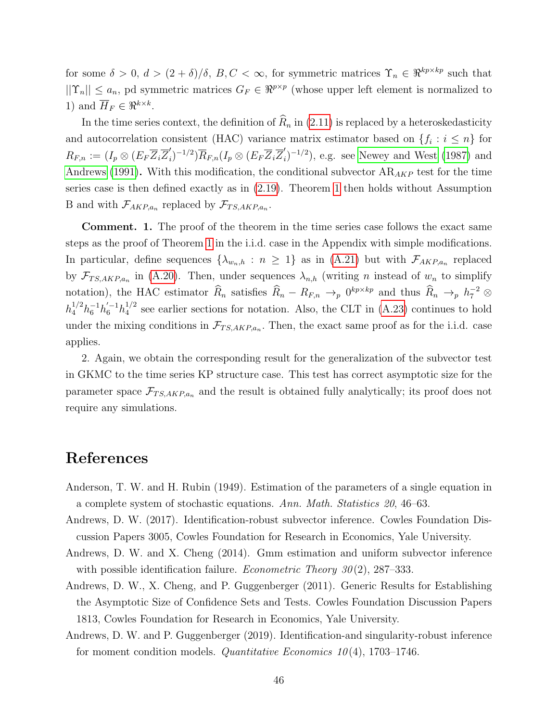for some  $\delta > 0$ ,  $d > (2 + \delta)/\delta$ ,  $B, C < \infty$ , for symmetric matrices  $\Upsilon_n \in \Re^{kp \times kp}$  such that  $||\Upsilon_n|| \le a_n$ , pd symmetric matrices  $G_F \in \mathbb{R}^{p \times p}$  (whose upper left element is normalized to 1) and  $\overline{H}_F \in \mathbb{R}^{k \times k}$ .

In the time series context, the definition of  $\widehat{R}_n$  in [\(2.11\)](#page-7-4) is replaced by a heteroskedasticity and autocorrelation consistent (HAC) variance matrix estimator based on  $\{f_i : i \leq n\}$  for  $R_{F,n} := (I_p \otimes (E_F \overline{Z}_i \overline{Z}_i')$  $I_{i}^{\prime})^{-1/2})\overline{R}_{F,n}(I_{p}\otimes(E_{F}\overline{Z}_{i}\overline{Z}_{i}^{\prime}% \overline{Z}_{i}^{\prime})\circ P_{i}^{\prime})=0$  $i_j^{(n)}$  $(-1/2)$ , e.g. see [Newey and West \(1987\)](#page-47-9) and [Andrews \(1991\)](#page-46-17). With this modification, the conditional subvector  $AR_{AKP}$  test for the time series case is then defined exactly as in [\(2.19\)](#page-8-1). Theorem [1](#page-9-0) then holds without Assumption B and with  $\mathcal{F}_{AKP,a_n}$  replaced by  $\mathcal{F}_{TS,AKP,a_n}$ .

Comment. 1. The proof of the theorem in the time series case follows the exact same steps as the proof of Theorem [1](#page-9-0) in the i.i.d. case in the Appendix with simple modifications. In particular, define sequences  $\{\lambda_{w_n,h} : n \geq 1\}$  as in  $(A.21)$  but with  $\mathcal{F}_{AKP,a_n}$  replaced by  $\mathcal{F}_{TS,AKP,a_n}$  in [\(A.20\)](#page-32-1). Then, under sequences  $\lambda_{n,h}$  (writing *n* instead of  $w_n$  to simplify notation), the HAC estimator  $\widehat{R}_n$  satisfies  $\widehat{R}_n - R_{F,n} \to_p 0^{kp \times kp}$  and thus  $\widehat{R}_n \to_p h^{-2}_{7} \otimes$  $h_4^{1/2} h_6^{-1} h_6^{'-1} h_4^{1/2}$  $_4^{1/2}$  see earlier sections for notation. Also, the CLT in [\(A.23\)](#page-33-1) continues to hold under the mixing conditions in  $\mathcal{F}_{TS, AKP,a_n}$ . Then, the exact same proof as for the i.i.d. case applies.

2. Again, we obtain the corresponding result for the generalization of the subvector test in GKMC to the time series KP structure case. This test has correct asymptotic size for the parameter space  $\mathcal{F}_{TS,AKP,a_n}$  and the result is obtained fully analytically; its proof does not require any simulations.

### References

- <span id="page-45-2"></span>Anderson, T. W. and H. Rubin (1949). Estimation of the parameters of a single equation in a complete system of stochastic equations. Ann. Math. Statistics 20, 46–63.
- <span id="page-45-0"></span>Andrews, D. W. (2017). Identification-robust subvector inference. Cowles Foundation Discussion Papers 3005, Cowles Foundation for Research in Economics, Yale University.
- <span id="page-45-1"></span>Andrews, D. W. and X. Cheng (2014). Gmm estimation and uniform subvector inference with possible identification failure. *Econometric Theory*  $30(2)$ , 287–333.
- Andrews, D. W., X. Cheng, and P. Guggenberger (2011). Generic Results for Establishing the Asymptotic Size of Confidence Sets and Tests. Cowles Foundation Discussion Papers 1813, Cowles Foundation for Research in Economics, Yale University.
- Andrews, D. W. and P. Guggenberger (2019). Identification-and singularity-robust inference for moment condition models. *Quantitative Economics*  $10(4)$ , 1703–1746.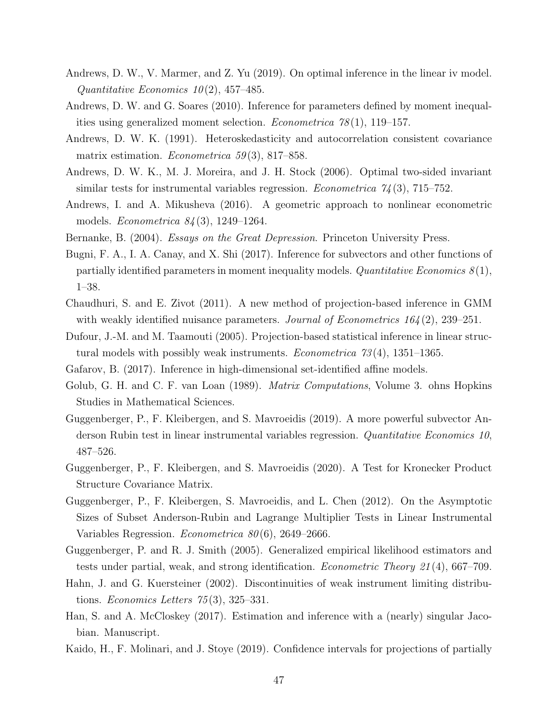- <span id="page-46-13"></span>Andrews, D. W., V. Marmer, and Z. Yu (2019). On optimal inference in the linear iv model. Quantitative Economics  $10(2)$ , 457-485.
- <span id="page-46-10"></span>Andrews, D. W. and G. Soares (2010). Inference for parameters defined by moment inequalities using generalized moment selection. *Econometrica*  $78(1)$ , 119–157.
- <span id="page-46-17"></span>Andrews, D. W. K. (1991). Heteroskedasticity and autocorrelation consistent covariance matrix estimation. *Econometrica* 59(3), 817–858.
- <span id="page-46-12"></span>Andrews, D. W. K., M. J. Moreira, and J. H. Stock (2006). Optimal two-sided invariant similar tests for instrumental variables regression. *Econometrica*  $74(3)$ , 715–752.
- <span id="page-46-4"></span>Andrews, I. and A. Mikusheva (2016). A geometric approach to nonlinear econometric models. Econometrica 84 (3), 1249–1264.
- <span id="page-46-11"></span><span id="page-46-6"></span>Bernanke, B. (2004). Essays on the Great Depression. Princeton University Press.
- Bugni, F. A., I. A. Canay, and X. Shi (2017). Inference for subvectors and other functions of partially identified parameters in moment inequality models. Quantitative Economics  $8(1)$ , 1–38.
- <span id="page-46-3"></span>Chaudhuri, S. and E. Zivot (2011). A new method of projection-based inference in GMM with weakly identified nuisance parameters. Journal of Econometrics  $164(2)$ , 239–251.
- <span id="page-46-2"></span>Dufour, J.-M. and M. Taamouti (2005). Projection-based statistical inference in linear structural models with possibly weak instruments. *Econometrica*  $73(4)$ , 1351–1365.
- <span id="page-46-16"></span><span id="page-46-7"></span>Gafarov, B. (2017). Inference in high-dimensional set-identified affine models.
- Golub, G. H. and C. F. van Loan (1989). *Matrix Computations*, Volume 3. ohns Hopkins Studies in Mathematical Sciences.
- <span id="page-46-0"></span>Guggenberger, P., F. Kleibergen, and S. Mavroeidis (2019). A more powerful subvector Anderson Rubin test in linear instrumental variables regression. Quantitative Economics 10, 487–526.
- <span id="page-46-9"></span>Guggenberger, P., F. Kleibergen, and S. Mavroeidis (2020). A Test for Kronecker Product Structure Covariance Matrix.
- <span id="page-46-1"></span>Guggenberger, P., F. Kleibergen, S. Mavroeidis, and L. Chen (2012). On the Asymptotic Sizes of Subset Anderson-Rubin and Lagrange Multiplier Tests in Linear Instrumental Variables Regression. Econometrica 80 (6), 2649–2666.
- <span id="page-46-15"></span>Guggenberger, P. and R. J. Smith (2005). Generalized empirical likelihood estimators and tests under partial, weak, and strong identification. Econometric Theory 21 (4), 667–709.
- <span id="page-46-14"></span>Hahn, J. and G. Kuersteiner (2002). Discontinuities of weak instrument limiting distributions. Economics Letters 75 (3), 325–331.
- <span id="page-46-5"></span>Han, S. and A. McCloskey (2017). Estimation and inference with a (nearly) singular Jacobian. Manuscript.
- <span id="page-46-8"></span>Kaido, H., F. Molinari, and J. Stoye (2019). Confidence intervals for projections of partially